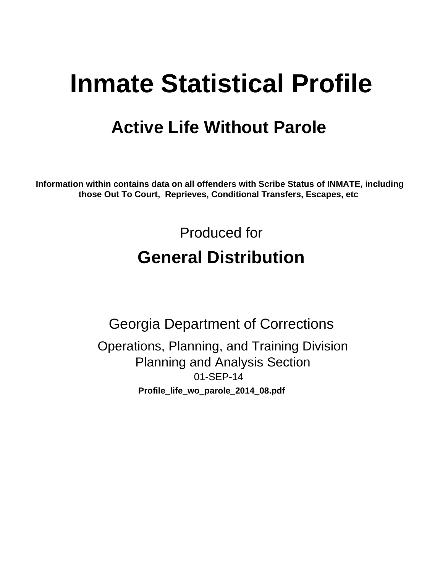# **Inmate Statistical Profile**

## **Active Life Without Parole**

Information within contains data on all offenders with Scribe Status of INMATE, including those Out To Court, Reprieves, Conditional Transfers, Escapes, etc

> Produced for **General Distribution**

**Georgia Department of Corrections** Operations, Planning, and Training Division **Planning and Analysis Section** 01-SEP-14 Profile\_life\_wo\_parole\_2014\_08.pdf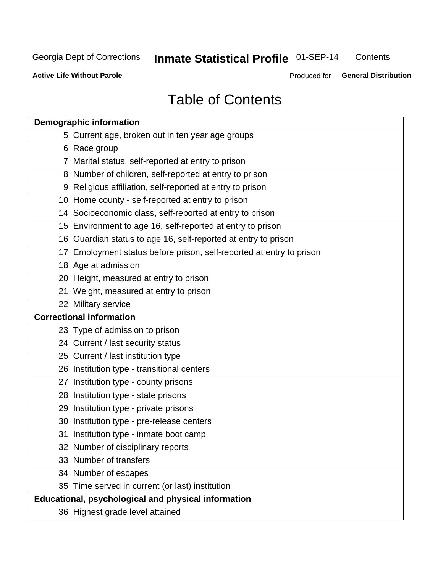#### Inmate Statistical Profile 01-SEP-14 Contents

**Active Life Without Parole** 

Produced for General Distribution

## **Table of Contents**

| <b>Demographic information</b>                                       |
|----------------------------------------------------------------------|
| 5 Current age, broken out in ten year age groups                     |
| 6 Race group                                                         |
| 7 Marital status, self-reported at entry to prison                   |
| 8 Number of children, self-reported at entry to prison               |
| 9 Religious affiliation, self-reported at entry to prison            |
| 10 Home county - self-reported at entry to prison                    |
| 14 Socioeconomic class, self-reported at entry to prison             |
| 15 Environment to age 16, self-reported at entry to prison           |
| 16 Guardian status to age 16, self-reported at entry to prison       |
| 17 Employment status before prison, self-reported at entry to prison |
| 18 Age at admission                                                  |
| 20 Height, measured at entry to prison                               |
| 21 Weight, measured at entry to prison                               |
| 22 Military service                                                  |
| <b>Correctional information</b>                                      |
| 23 Type of admission to prison                                       |
| 24 Current / last security status                                    |
| 25 Current / last institution type                                   |
| 26 Institution type - transitional centers                           |
| 27 Institution type - county prisons                                 |
| 28 Institution type - state prisons                                  |
| 29 Institution type - private prisons                                |
| 30 Institution type - pre-release centers                            |
| 31 Institution type - inmate boot camp                               |
| 32 Number of disciplinary reports                                    |
| 33 Number of transfers                                               |
| 34 Number of escapes                                                 |
| 35 Time served in current (or last) institution                      |
| Educational, psychological and physical information                  |
| 36 Highest grade level attained                                      |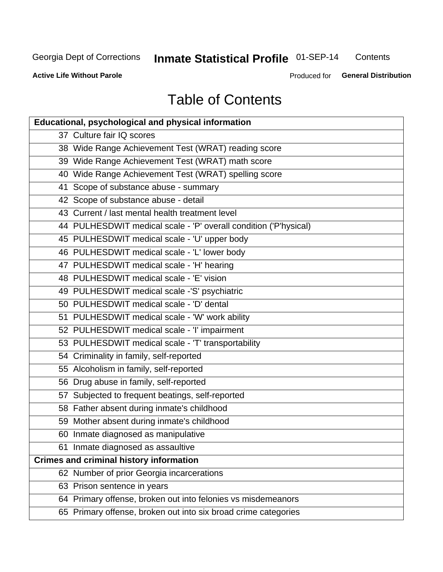## Inmate Statistical Profile 01-SEP-14

Contents

**Active Life Without Parole** 

Produced for General Distribution

## **Table of Contents**

| <b>Educational, psychological and physical information</b>       |
|------------------------------------------------------------------|
| 37 Culture fair IQ scores                                        |
| 38 Wide Range Achievement Test (WRAT) reading score              |
| 39 Wide Range Achievement Test (WRAT) math score                 |
| 40 Wide Range Achievement Test (WRAT) spelling score             |
| 41 Scope of substance abuse - summary                            |
| 42 Scope of substance abuse - detail                             |
| 43 Current / last mental health treatment level                  |
| 44 PULHESDWIT medical scale - 'P' overall condition ('P'hysical) |
| 45 PULHESDWIT medical scale - 'U' upper body                     |
| 46 PULHESDWIT medical scale - 'L' lower body                     |
| 47 PULHESDWIT medical scale - 'H' hearing                        |
| 48 PULHESDWIT medical scale - 'E' vision                         |
| 49 PULHESDWIT medical scale -'S' psychiatric                     |
| 50 PULHESDWIT medical scale - 'D' dental                         |
| 51 PULHESDWIT medical scale - 'W' work ability                   |
| 52 PULHESDWIT medical scale - 'I' impairment                     |
| 53 PULHESDWIT medical scale - 'T' transportability               |
| 54 Criminality in family, self-reported                          |
| 55 Alcoholism in family, self-reported                           |
| 56 Drug abuse in family, self-reported                           |
| 57 Subjected to frequent beatings, self-reported                 |
| 58 Father absent during inmate's childhood                       |
| 59 Mother absent during inmate's childhood                       |
| 60 Inmate diagnosed as manipulative                              |
| 61 Inmate diagnosed as assaultive                                |
| <b>Crimes and criminal history information</b>                   |
| 62 Number of prior Georgia incarcerations                        |
| 63 Prison sentence in years                                      |
| 64 Primary offense, broken out into felonies vs misdemeanors     |
| 65 Primary offense, broken out into six broad crime categories   |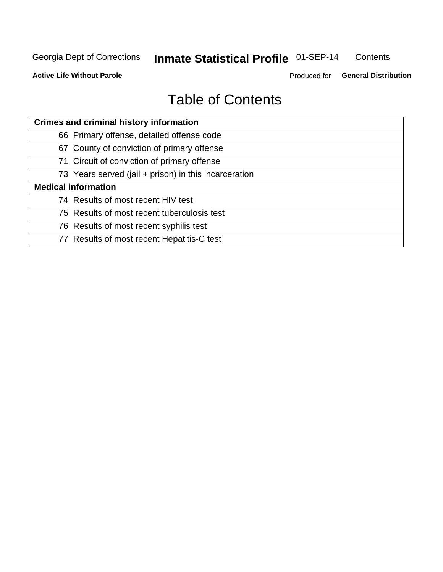#### Inmate Statistical Profile 01-SEP-14 Contents

**Active Life Without Parole** 

Produced for General Distribution

## **Table of Contents**

| <b>Crimes and criminal history information</b>        |
|-------------------------------------------------------|
| 66 Primary offense, detailed offense code             |
| 67 County of conviction of primary offense            |
| 71 Circuit of conviction of primary offense           |
| 73 Years served (jail + prison) in this incarceration |
| <b>Medical information</b>                            |
| 74 Results of most recent HIV test                    |
| 75 Results of most recent tuberculosis test           |
| 76 Results of most recent syphilis test               |
| 77 Results of most recent Hepatitis-C test            |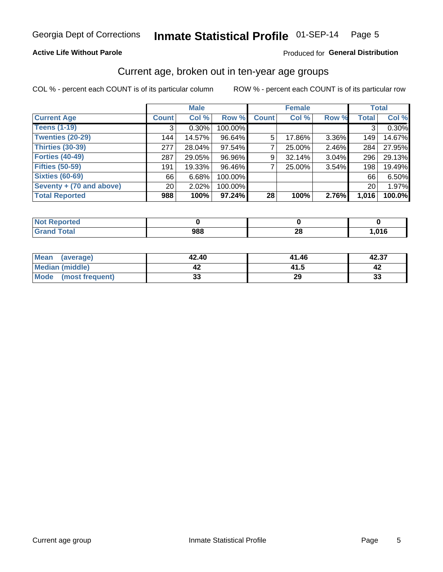#### Inmate Statistical Profile 01-SEP-14 Page 5

#### **Active Life Without Parole**

#### Produced for General Distribution

#### Current age, broken out in ten-year age groups

COL % - percent each COUNT is of its particular column

|                          |              | <b>Male</b> |         |              | <b>Female</b> |       |              | <b>Total</b> |
|--------------------------|--------------|-------------|---------|--------------|---------------|-------|--------------|--------------|
| <b>Current Age</b>       | <b>Count</b> | Col %       | Row %   | <b>Count</b> | Col %         | Row % | <b>Total</b> | Col %        |
| <b>Teens (1-19)</b>      | 3            | $0.30\%$    | 100.00% |              |               |       | 3            | 0.30%        |
| <b>Twenties (20-29)</b>  | 144          | 14.57%      | 96.64%  | 5            | 17.86%        | 3.36% | 149          | 14.67%       |
| Thirties (30-39)         | 277          | 28.04%      | 97.54%  |              | 25.00%        | 2.46% | 284          | 27.95%       |
| <b>Forties (40-49)</b>   | 287          | 29.05%      | 96.96%  | 9            | 32.14%        | 3.04% | 296          | 29.13%       |
| <b>Fifties (50-59)</b>   | 191          | 19.33%      | 96.46%  |              | 25.00%        | 3.54% | 198          | 19.49%       |
| <b>Sixties (60-69)</b>   | 66           | 6.68%       | 100.00% |              |               |       | 66           | 6.50%        |
| Seventy + (70 and above) | 20           | 2.02%       | 100.00% |              |               |       | 20           | 1.97%        |
| <b>Total Reported</b>    | 988          | 100%        | 97.24%  | 28           | 100%          | 2.76% | 1,016        | 100.0%       |

| <b>prted</b><br>. <b>.</b> |     |         |              |
|----------------------------|-----|---------|--------------|
| <b>Total</b>               | 988 | ົ<br>20 | 01C<br>1.010 |

| Mean<br>(average)       | 42.40    | 41.46 | 42.37 |
|-------------------------|----------|-------|-------|
| Median (middle)         |          | 41.5  |       |
| Mode<br>(most frequent) | n.<br>vu | 29    | 33    |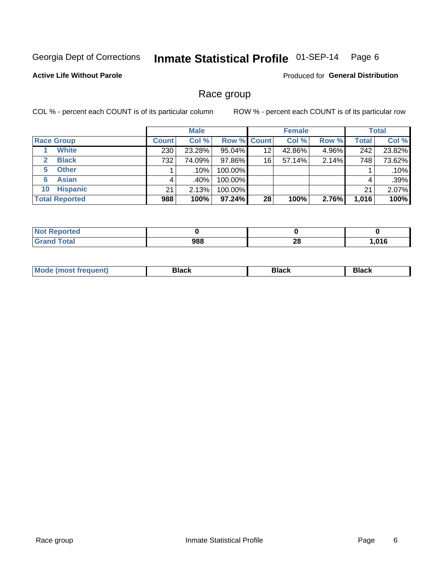#### Inmate Statistical Profile 01-SEP-14 Page 6

#### **Active Life Without Parole**

Produced for General Distribution

#### Race group

COL % - percent each COUNT is of its particular column

|                              |              | <b>Male</b> |                    |    | <b>Female</b> |       |              | <b>Total</b> |
|------------------------------|--------------|-------------|--------------------|----|---------------|-------|--------------|--------------|
| <b>Race Group</b>            | <b>Count</b> | Col %       | <b>Row % Count</b> |    | Col %         | Row % | <b>Total</b> | Col %        |
| <b>White</b>                 | 230          | 23.28%      | 95.04%             | 12 | 42.86%        | 4.96% | 242          | 23.82%       |
| <b>Black</b><br>$\mathbf{2}$ | 732          | 74.09%      | 97.86%             | 16 | 57.14%        | 2.14% | 748          | 73.62%       |
| <b>Other</b><br>5.           |              | .10%        | 100.00%            |    |               |       |              | .10%         |
| <b>Asian</b><br>6            | 4            | .40% !      | 100.00%            |    |               |       | 4            | .39%         |
| <b>Hispanic</b><br>10        | 21           | 2.13%       | 100.00%            |    |               |       | 21           | 2.07%        |
| <b>Total Reported</b>        | 988          | 100%        | $97.24\%$          | 28 | 100%          | 2.76% | 1,016        | 100%         |

| Reported     |     |         |      |
|--------------|-----|---------|------|
| <b>Total</b> | 988 | ഹ<br>ZO | ,016 |

| M | - - - | Piavn |
|---|-------|-------|
|   |       |       |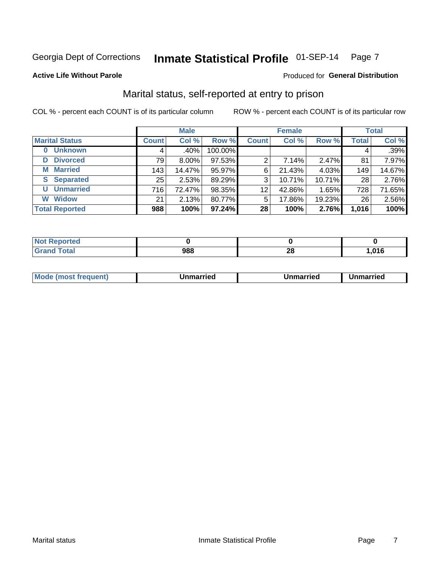#### Inmate Statistical Profile 01-SEP-14 Page 7

#### **Active Life Without Parole**

#### Produced for General Distribution

### Marital status, self-reported at entry to prison

COL % - percent each COUNT is of its particular column

|                            | <b>Male</b>  |          |         | <b>Female</b> |        |        | <b>Total</b> |        |
|----------------------------|--------------|----------|---------|---------------|--------|--------|--------------|--------|
| <b>Marital Status</b>      | <b>Count</b> | Col %    | Row %   | <b>Count</b>  | Col %  | Row %  | <b>Total</b> | Col %  |
| <b>Unknown</b><br>$\bf{0}$ |              | .40%     | 100.00% |               |        |        | 4            | .39%   |
| <b>Divorced</b><br>D       | 79           | $8.00\%$ | 97.53%  | 2             | 7.14%  | 2.47%  | 81           | 7.97%  |
| <b>Married</b><br>М        | 143          | 14.47%   | 95.97%  | 6             | 21.43% | 4.03%  | 149          | 14.67% |
| <b>Separated</b><br>S      | 25           | 2.53%    | 89.29%  | 3             | 10.71% | 10.71% | 28           | 2.76%  |
| <b>Unmarried</b><br>U      | 716          | 72.47%   | 98.35%  | 12            | 42.86% | 1.65%  | 728          | 71.65% |
| <b>Widow</b><br>W          | 21           | 2.13%    | 80.77%  | 5             | 17.86% | 19.23% | 26           | 2.56%  |
| <b>Total Reported</b>      | 988          | 100%     | 97.24%  | 28            | 100%   | 2.76%  | 1,016        | 100%   |

| prted<br>NOT RADO |             |           |      |
|-------------------|-------------|-----------|------|
| ™otal             | nnr<br>, 10 | OG.<br>__ | .016 |

|  | M | . | Unmarried | າmarried<br>______ |
|--|---|---|-----------|--------------------|
|--|---|---|-----------|--------------------|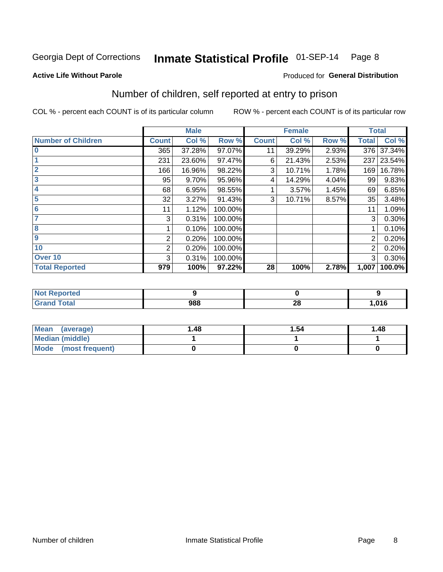#### Inmate Statistical Profile 01-SEP-14 Page 8

#### **Active Life Without Parole**

#### **Produced for General Distribution**

### Number of children, self reported at entry to prison

COL % - percent each COUNT is of its particular column

|                           |                | <b>Male</b> |         |              | <b>Female</b> |       | <b>Total</b> |        |
|---------------------------|----------------|-------------|---------|--------------|---------------|-------|--------------|--------|
| <b>Number of Children</b> | <b>Count</b>   | Col %       | Row %   | <b>Count</b> | Col %         | Row % | <b>Total</b> | Col %  |
| $\bf{0}$                  | 365            | 37.28%      | 97.07%  | 11           | 39.29%        | 2.93% | 376          | 37.34% |
|                           | 231            | 23.60%      | 97.47%  | 6            | 21.43%        | 2.53% | 237          | 23.54% |
| $\overline{2}$            | 166            | 16.96%      | 98.22%  | 3            | 10.71%        | 1.78% | 169          | 16.78% |
| 3                         | 95             | 9.70%       | 95.96%  | 4            | 14.29%        | 4.04% | 99           | 9.83%  |
| 4                         | 68             | 6.95%       | 98.55%  |              | 3.57%         | 1.45% | 69           | 6.85%  |
| 5                         | 32             | 3.27%       | 91.43%  | 3            | 10.71%        | 8.57% | 35           | 3.48%  |
| 6                         | 11             | 1.12%       | 100.00% |              |               |       | 11           | 1.09%  |
| 7                         | 3              | 0.31%       | 100.00% |              |               |       | 3            | 0.30%  |
| 8                         |                | 0.10%       | 100.00% |              |               |       |              | 0.10%  |
| $\boldsymbol{9}$          | 2              | 0.20%       | 100.00% |              |               |       | 2            | 0.20%  |
| 10                        | $\overline{2}$ | 0.20%       | 100.00% |              |               |       | 2            | 0.20%  |
| Over 10                   | 3              | 0.31%       | 100.00% |              |               |       | 3            | 0.30%  |
| <b>Total Reported</b>     | 979            | 100%        | 97.22%  | 28           | 100%          | 2.78% | 1,007        | 100.0% |

| тео         |     |         |      |
|-------------|-----|---------|------|
| $f = 4 - 7$ | 988 | ഹ<br>ŽΌ | ,016 |

| <b>Mean</b><br>(average) | 48. ا | 1.54 | 1.48 |
|--------------------------|-------|------|------|
| <b>Median (middle)</b>   |       |      |      |
| Mode<br>(most frequent)  |       |      |      |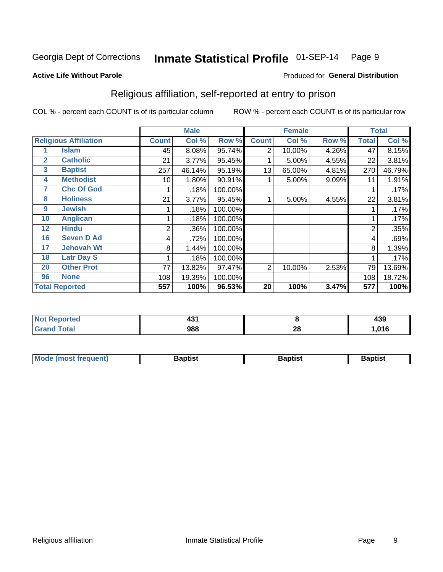#### Inmate Statistical Profile 01-SEP-14 Page 9

Produced for General Distribution

#### **Active Life Without Parole**

### Religious affiliation, self-reported at entry to prison

COL % - percent each COUNT is of its particular column

|                |                              |                | <b>Male</b> |         |                | <b>Female</b> |       |                | <b>Total</b> |
|----------------|------------------------------|----------------|-------------|---------|----------------|---------------|-------|----------------|--------------|
|                | <b>Religious Affiliation</b> | <b>Count</b>   | Col %       | Row %   | <b>Count</b>   | Col %         | Row % | <b>Total</b>   | Col %        |
|                | <b>Islam</b>                 | 45             | 8.08%       | 95.74%  | $\overline{2}$ | 10.00%        | 4.26% | 47             | 8.15%        |
| $\overline{2}$ | <b>Catholic</b>              | 21             | 3.77%       | 95.45%  |                | 5.00%         | 4.55% | 22             | 3.81%        |
| 3              | <b>Baptist</b>               | 257            | 46.14%      | 95.19%  | 13             | 65.00%        | 4.81% | 270            | 46.79%       |
| 4              | <b>Methodist</b>             | 10             | 1.80%       | 90.91%  |                | 5.00%         | 9.09% | 11             | 1.91%        |
| 7              | <b>Chc Of God</b>            |                | .18%        | 100.00% |                |               |       |                | .17%         |
| 8              | <b>Holiness</b>              | 21             | 3.77%       | 95.45%  |                | 5.00%         | 4.55% | 22             | 3.81%        |
| 9              | <b>Jewish</b>                |                | .18%        | 100.00% |                |               |       |                | .17%         |
| 10             | <b>Anglican</b>              |                | .18%        | 100.00% |                |               |       |                | .17%         |
| 12             | <b>Hindu</b>                 | $\overline{2}$ | .36%        | 100.00% |                |               |       | $\overline{2}$ | .35%         |
| 16             | <b>Seven D Ad</b>            | 4              | .72%        | 100.00% |                |               |       | 4              | .69%         |
| 17             | <b>Jehovah Wt</b>            | 8              | 1.44%       | 100.00% |                |               |       | 8              | 1.39%        |
| 18             | <b>Latr Day S</b>            |                | .18%        | 100.00% |                |               |       |                | .17%         |
| 20             | <b>Other Prot</b>            | 77             | 13.82%      | 97.47%  | 2              | 10.00%        | 2.53% | 79             | 13.69%       |
| 96             | <b>None</b>                  | 108            | 19.39%      | 100.00% |                |               |       | 108            | 18.72%       |
|                | <b>Total Reported</b>        | 557            | 100%        | 96.53%  | 20             | 100%          | 3.47% | 577            | 100%         |

| rreo | 80 A |          | ,,, |
|------|------|----------|-----|
|      | . J  |          | 499 |
|      | 988  | n,<br>ZO | 04C |

| Mode (most frequent) | Baptist | <b>Baptist</b> | aptıst |
|----------------------|---------|----------------|--------|
|                      |         |                |        |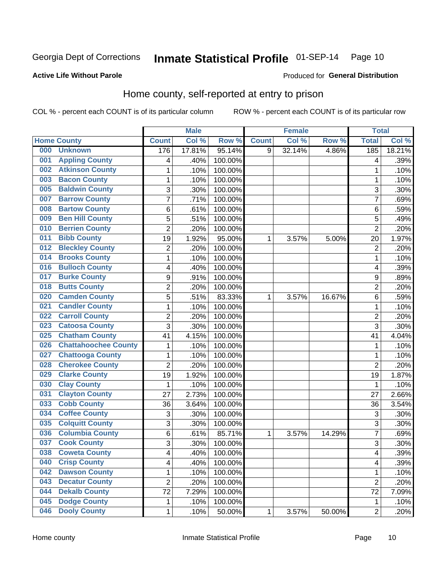## Inmate Statistical Profile 01-SEP-14 Page 10

#### **Active Life Without Parole**

#### Produced for General Distribution

### Home county, self-reported at entry to prison

COL % - percent each COUNT is of its particular column

|     |                             |                | <b>Male</b> |         |              | <b>Female</b> |        | <b>Total</b>   |        |
|-----|-----------------------------|----------------|-------------|---------|--------------|---------------|--------|----------------|--------|
|     | <b>Home County</b>          | <b>Count</b>   | Col %       | Row %   | <b>Count</b> | Col %         | Row %  | <b>Total</b>   | Col %  |
| 000 | <b>Unknown</b>              | 176            | 17.81%      | 95.14%  | 9            | 32.14%        | 4.86%  | 185            | 18.21% |
| 001 | <b>Appling County</b>       | 4              | .40%        | 100.00% |              |               |        | 4              | .39%   |
| 002 | <b>Atkinson County</b>      | 1              | .10%        | 100.00% |              |               |        | 1              | .10%   |
| 003 | <b>Bacon County</b>         | 1              | .10%        | 100.00% |              |               |        | 1              | .10%   |
| 005 | <b>Baldwin County</b>       | 3              | .30%        | 100.00% |              |               |        | 3              | .30%   |
| 007 | <b>Barrow County</b>        | $\overline{7}$ | .71%        | 100.00% |              |               |        | 7              | .69%   |
| 008 | <b>Bartow County</b>        | 6              | .61%        | 100.00% |              |               |        | 6              | .59%   |
| 009 | <b>Ben Hill County</b>      | 5              | .51%        | 100.00% |              |               |        | 5              | .49%   |
| 010 | <b>Berrien County</b>       | $\overline{2}$ | .20%        | 100.00% |              |               |        | $\overline{2}$ | .20%   |
| 011 | <b>Bibb County</b>          | 19             | 1.92%       | 95.00%  | 1            | 3.57%         | 5.00%  | 20             | 1.97%  |
| 012 | <b>Bleckley County</b>      | $\overline{2}$ | .20%        | 100.00% |              |               |        | $\overline{2}$ | .20%   |
| 014 | <b>Brooks County</b>        | 1              | .10%        | 100.00% |              |               |        | 1              | .10%   |
| 016 | <b>Bulloch County</b>       | 4              | .40%        | 100.00% |              |               |        | 4              | .39%   |
| 017 | <b>Burke County</b>         | 9              | .91%        | 100.00% |              |               |        | 9              | .89%   |
| 018 | <b>Butts County</b>         | $\overline{2}$ | .20%        | 100.00% |              |               |        | $\overline{2}$ | .20%   |
| 020 | <b>Camden County</b>        | 5              | .51%        | 83.33%  | 1            | 3.57%         | 16.67% | 6              | .59%   |
| 021 | <b>Candler County</b>       | $\mathbf 1$    | .10%        | 100.00% |              |               |        | 1              | .10%   |
| 022 | <b>Carroll County</b>       | $\overline{c}$ | .20%        | 100.00% |              |               |        | $\overline{2}$ | .20%   |
| 023 | <b>Catoosa County</b>       | $\overline{3}$ | .30%        | 100.00% |              |               |        | 3              | .30%   |
| 025 | <b>Chatham County</b>       | 41             | 4.15%       | 100.00% |              |               |        | 41             | 4.04%  |
| 026 | <b>Chattahoochee County</b> | $\mathbf 1$    | .10%        | 100.00% |              |               |        | 1              | .10%   |
| 027 | <b>Chattooga County</b>     | $\mathbf 1$    | .10%        | 100.00% |              |               |        | 1              | .10%   |
| 028 | <b>Cherokee County</b>      | $\overline{2}$ | .20%        | 100.00% |              |               |        | $\overline{2}$ | .20%   |
| 029 | <b>Clarke County</b>        | 19             | 1.92%       | 100.00% |              |               |        | 19             | 1.87%  |
| 030 | <b>Clay County</b>          | 1              | .10%        | 100.00% |              |               |        | 1              | .10%   |
| 031 | <b>Clayton County</b>       | 27             | 2.73%       | 100.00% |              |               |        | 27             | 2.66%  |
| 033 | <b>Cobb County</b>          | 36             | 3.64%       | 100.00% |              |               |        | 36             | 3.54%  |
| 034 | <b>Coffee County</b>        | 3              | .30%        | 100.00% |              |               |        | 3              | .30%   |
| 035 | <b>Colquitt County</b>      | 3              | .30%        | 100.00% |              |               |        | 3              | .30%   |
| 036 | <b>Columbia County</b>      | 6              | .61%        | 85.71%  | 1            | 3.57%         | 14.29% | 7              | .69%   |
| 037 | <b>Cook County</b>          | $\overline{3}$ | .30%        | 100.00% |              |               |        | 3              | .30%   |
| 038 | <b>Coweta County</b>        | 4              | .40%        | 100.00% |              |               |        | 4              | .39%   |
| 040 | <b>Crisp County</b>         | 4              | .40%        | 100.00% |              |               |        | 4              | .39%   |
| 042 | <b>Dawson County</b>        | $\mathbf{1}$   | .10%        | 100.00% |              |               |        | 1              | .10%   |
| 043 | <b>Decatur County</b>       | $\overline{c}$ | .20%        | 100.00% |              |               |        | 2              | .20%   |
| 044 | <b>Dekalb County</b>        | 72             | 7.29%       | 100.00% |              |               |        | 72             | 7.09%  |
| 045 | <b>Dodge County</b>         | 1              | .10%        | 100.00% |              |               |        | 1              | .10%   |
| 046 | <b>Dooly County</b>         | 1              | .10%        | 50.00%  | $\mathbf 1$  | 3.57%         | 50.00% | $\overline{2}$ | .20%   |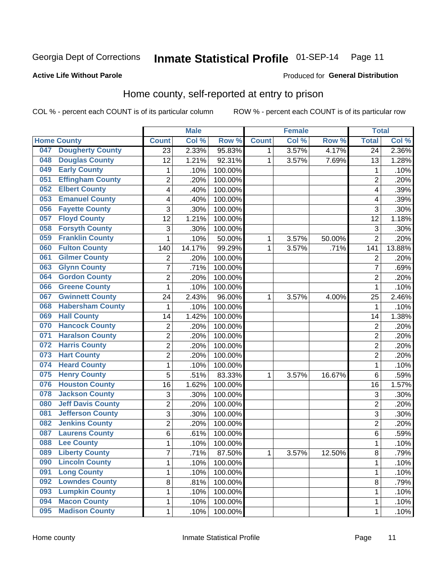## Inmate Statistical Profile 01-SEP-14 Page 11

#### **Active Life Without Parole**

#### Produced for General Distribution

### Home county, self-reported at entry to prison

COL % - percent each COUNT is of its particular column

|     |                          |                         | <b>Male</b> |         |              | <b>Female</b> |        | <b>Total</b>            |        |
|-----|--------------------------|-------------------------|-------------|---------|--------------|---------------|--------|-------------------------|--------|
|     | <b>Home County</b>       | <b>Count</b>            | Col %       | Row %   | <b>Count</b> | Col %         | Row %  | <b>Total</b>            | Col %  |
| 047 | <b>Dougherty County</b>  | 23                      | 2.33%       | 95.83%  | 1            | 3.57%         | 4.17%  | 24                      | 2.36%  |
| 048 | <b>Douglas County</b>    | 12                      | 1.21%       | 92.31%  | 1            | 3.57%         | 7.69%  | 13                      | 1.28%  |
| 049 | <b>Early County</b>      | 1                       | .10%        | 100.00% |              |               |        | 1                       | .10%   |
| 051 | <b>Effingham County</b>  | $\overline{c}$          | .20%        | 100.00% |              |               |        | $\overline{2}$          | .20%   |
| 052 | <b>Elbert County</b>     | 4                       | .40%        | 100.00% |              |               |        | $\overline{\mathbf{4}}$ | .39%   |
| 053 | <b>Emanuel County</b>    | 4                       | .40%        | 100.00% |              |               |        | 4                       | .39%   |
| 056 | <b>Fayette County</b>    | 3                       | .30%        | 100.00% |              |               |        | 3                       | .30%   |
| 057 | <b>Floyd County</b>      | 12                      | 1.21%       | 100.00% |              |               |        | 12                      | 1.18%  |
| 058 | <b>Forsyth County</b>    | 3                       | .30%        | 100.00% |              |               |        | 3                       | .30%   |
| 059 | <b>Franklin County</b>   | $\mathbf 1$             | .10%        | 50.00%  | 1            | 3.57%         | 50.00% | $\overline{2}$          | .20%   |
| 060 | <b>Fulton County</b>     | 140                     | 14.17%      | 99.29%  | 1            | 3.57%         | .71%   | 141                     | 13.88% |
| 061 | <b>Gilmer County</b>     | $\overline{2}$          | .20%        | 100.00% |              |               |        | $\overline{2}$          | .20%   |
| 063 | <b>Glynn County</b>      | $\overline{7}$          | .71%        | 100.00% |              |               |        | 7                       | .69%   |
| 064 | <b>Gordon County</b>     | $\overline{2}$          | .20%        | 100.00% |              |               |        | $\overline{2}$          | .20%   |
| 066 | <b>Greene County</b>     | 1                       | .10%        | 100.00% |              |               |        | 1                       | .10%   |
| 067 | <b>Gwinnett County</b>   | 24                      | 2.43%       | 96.00%  | 1            | 3.57%         | 4.00%  | 25                      | 2.46%  |
| 068 | <b>Habersham County</b>  | 1                       | .10%        | 100.00% |              |               |        | 1                       | .10%   |
| 069 | <b>Hall County</b>       | 14                      | 1.42%       | 100.00% |              |               |        | 14                      | 1.38%  |
| 070 | <b>Hancock County</b>    | $\overline{\mathbf{c}}$ | .20%        | 100.00% |              |               |        | $\overline{2}$          | .20%   |
| 071 | <b>Haralson County</b>   | $\overline{2}$          | .20%        | 100.00% |              |               |        | $\overline{2}$          | .20%   |
| 072 | <b>Harris County</b>     | $\overline{c}$          | .20%        | 100.00% |              |               |        | $\overline{2}$          | .20%   |
| 073 | <b>Hart County</b>       | $\overline{2}$          | .20%        | 100.00% |              |               |        | $\overline{2}$          | .20%   |
| 074 | <b>Heard County</b>      | $\mathbf{1}$            | .10%        | 100.00% |              |               |        | 1                       | .10%   |
| 075 | <b>Henry County</b>      | 5                       | .51%        | 83.33%  | 1            | 3.57%         | 16.67% | 6                       | .59%   |
| 076 | <b>Houston County</b>    | 16                      | 1.62%       | 100.00% |              |               |        | 16                      | 1.57%  |
| 078 | <b>Jackson County</b>    | 3                       | .30%        | 100.00% |              |               |        | 3                       | .30%   |
| 080 | <b>Jeff Davis County</b> | $\overline{c}$          | .20%        | 100.00% |              |               |        | $\overline{2}$          | .20%   |
| 081 | <b>Jefferson County</b>  | 3                       | .30%        | 100.00% |              |               |        | 3                       | .30%   |
| 082 | <b>Jenkins County</b>    | $\overline{c}$          | .20%        | 100.00% |              |               |        | $\overline{2}$          | .20%   |
| 087 | <b>Laurens County</b>    | 6                       | .61%        | 100.00% |              |               |        | 6                       | .59%   |
| 088 | <b>Lee County</b>        | 1                       | .10%        | 100.00% |              |               |        | 1                       | .10%   |
| 089 | <b>Liberty County</b>    | $\overline{7}$          | .71%        | 87.50%  | 1            | 3.57%         | 12.50% | 8                       | .79%   |
| 090 | <b>Lincoln County</b>    | 1                       | .10%        | 100.00% |              |               |        | 1                       | .10%   |
| 091 | <b>Long County</b>       | $\mathbf{1}$            | .10%        | 100.00% |              |               |        | 1                       | .10%   |
| 092 | <b>Lowndes County</b>    | 8                       | .81%        | 100.00% |              |               |        | 8                       | .79%   |
| 093 | <b>Lumpkin County</b>    | $\mathbf{1}$            | .10%        | 100.00% |              |               |        | 1                       | .10%   |
| 094 | <b>Macon County</b>      | $\mathbf{1}$            | .10%        | 100.00% |              |               |        | 1                       | .10%   |
| 095 | <b>Madison County</b>    | $\mathbf{1}$            | .10%        | 100.00% |              |               |        | 1                       | .10%   |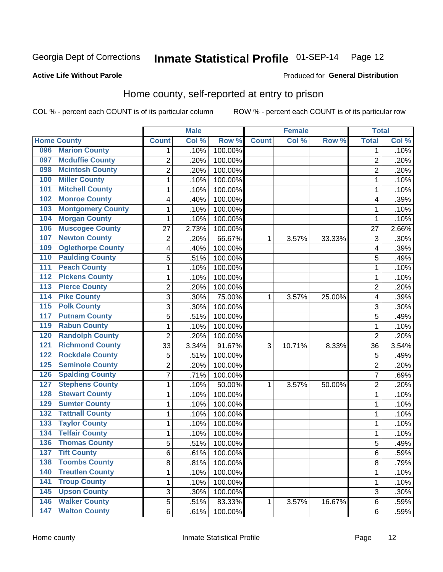### Inmate Statistical Profile 01-SEP-14 Page 12

#### **Active Life Without Parole**

#### Produced for General Distribution

#### Home county, self-reported at entry to prison

COL % - percent each COUNT is of its particular column

|                  |                          |                         | <b>Male</b> |         |              | <b>Female</b> |        | <b>Total</b>            |       |
|------------------|--------------------------|-------------------------|-------------|---------|--------------|---------------|--------|-------------------------|-------|
|                  | <b>Home County</b>       | <b>Count</b>            | Col %       | Row %   | <b>Count</b> | Col %         | Row %  | <b>Total</b>            | Col % |
| 096              | <b>Marion County</b>     | 1                       | .10%        | 100.00% |              |               |        | 1                       | .10%  |
| 097              | <b>Mcduffie County</b>   | $\overline{2}$          | .20%        | 100.00% |              |               |        | $\overline{2}$          | .20%  |
| 098              | <b>Mcintosh County</b>   | $\overline{c}$          | .20%        | 100.00% |              |               |        | $\overline{c}$          | .20%  |
| 100              | <b>Miller County</b>     | $\mathbf 1$             | .10%        | 100.00% |              |               |        | 1                       | .10%  |
| 101              | <b>Mitchell County</b>   | $\mathbf 1$             | .10%        | 100.00% |              |               |        | 1                       | .10%  |
| 102              | <b>Monroe County</b>     | 4                       | .40%        | 100.00% |              |               |        | $\overline{\mathbf{4}}$ | .39%  |
| 103              | <b>Montgomery County</b> | $\mathbf 1$             | .10%        | 100.00% |              |               |        | 1                       | .10%  |
| 104              | <b>Morgan County</b>     | $\mathbf 1$             | .10%        | 100.00% |              |               |        | 1                       | .10%  |
| 106              | <b>Muscogee County</b>   | 27                      | 2.73%       | 100.00% |              |               |        | 27                      | 2.66% |
| 107              | <b>Newton County</b>     | $\overline{\mathbf{c}}$ | .20%        | 66.67%  | 1            | 3.57%         | 33.33% | 3                       | .30%  |
| 109              | <b>Oglethorpe County</b> | 4                       | .40%        | 100.00% |              |               |        | 4                       | .39%  |
| 110              | <b>Paulding County</b>   | 5                       | .51%        | 100.00% |              |               |        | 5                       | .49%  |
| 111              | <b>Peach County</b>      | $\mathbf 1$             | .10%        | 100.00% |              |               |        | 1                       | .10%  |
| $\overline{112}$ | <b>Pickens County</b>    | $\mathbf 1$             | .10%        | 100.00% |              |               |        | 1                       | .10%  |
| $\overline{113}$ | <b>Pierce County</b>     | $\overline{c}$          | .20%        | 100.00% |              |               |        | $\overline{2}$          | .20%  |
| 114              | <b>Pike County</b>       | 3                       | .30%        | 75.00%  | 1            | 3.57%         | 25.00% | 4                       | .39%  |
| $\overline{115}$ | <b>Polk County</b>       | 3                       | .30%        | 100.00% |              |               |        | 3                       | .30%  |
| 117              | <b>Putnam County</b>     | 5                       | .51%        | 100.00% |              |               |        | 5                       | .49%  |
| 119              | <b>Rabun County</b>      | $\mathbf 1$             | .10%        | 100.00% |              |               |        | 1                       | .10%  |
| 120              | <b>Randolph County</b>   | $\overline{c}$          | .20%        | 100.00% |              |               |        | $\overline{2}$          | .20%  |
| 121              | <b>Richmond County</b>   | 33                      | 3.34%       | 91.67%  | 3            | 10.71%        | 8.33%  | 36                      | 3.54% |
| 122              | <b>Rockdale County</b>   | 5                       | .51%        | 100.00% |              |               |        | 5                       | .49%  |
| 125              | <b>Seminole County</b>   | $\overline{2}$          | .20%        | 100.00% |              |               |        | $\overline{2}$          | .20%  |
| 126              | <b>Spalding County</b>   | $\overline{7}$          | .71%        | 100.00% |              |               |        | 7                       | .69%  |
| 127              | <b>Stephens County</b>   | $\mathbf 1$             | .10%        | 50.00%  | 1            | 3.57%         | 50.00% | $\overline{2}$          | .20%  |
| 128              | <b>Stewart County</b>    | $\mathbf 1$             | .10%        | 100.00% |              |               |        | 1                       | .10%  |
| 129              | <b>Sumter County</b>     | $\mathbf 1$             | .10%        | 100.00% |              |               |        | 1                       | .10%  |
| 132              | <b>Tattnall County</b>   | $\mathbf 1$             | .10%        | 100.00% |              |               |        | 1                       | .10%  |
| 133              | <b>Taylor County</b>     | $\mathbf 1$             | .10%        | 100.00% |              |               |        | 1                       | .10%  |
| 134              | <b>Telfair County</b>    | $\mathbf 1$             | .10%        | 100.00% |              |               |        | 1                       | .10%  |
| 136              | <b>Thomas County</b>     | 5                       | .51%        | 100.00% |              |               |        | 5                       | .49%  |
| 137              | <b>Tift County</b>       | 6                       | .61%        | 100.00% |              |               |        | 6                       | .59%  |
| 138              | <b>Toombs County</b>     | 8                       | .81%        | 100.00% |              |               |        | 8                       | .79%  |
| 140              | <b>Treutlen County</b>   | $\mathbf{1}$            | .10%        | 100.00% |              |               |        | 1                       | .10%  |
| $\overline{141}$ | <b>Troup County</b>      | $\mathbf 1$             | .10%        | 100.00% |              |               |        | 1                       | .10%  |
| 145              | <b>Upson County</b>      | 3                       | .30%        | 100.00% |              |               |        | 3                       | .30%  |
| 146              | <b>Walker County</b>     | 5                       | .51%        | 83.33%  | 1            | 3.57%         | 16.67% | 6                       | .59%  |
| 147              | <b>Walton County</b>     | 6                       | .61%        | 100.00% |              |               |        | $\,6$                   | .59%  |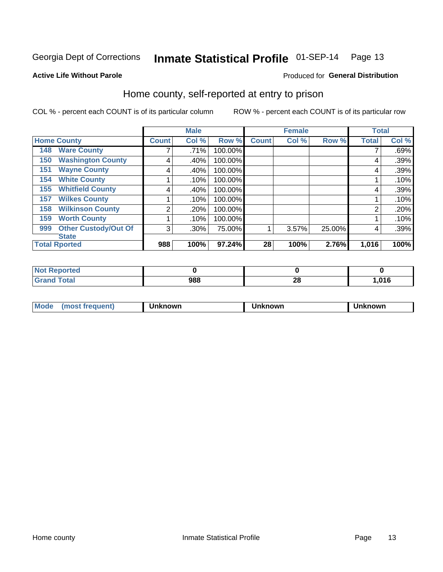### Inmate Statistical Profile 01-SEP-14 Page 13

Produced for General Distribution

#### **Active Life Without Parole**

#### Home county, self-reported at entry to prison

COL % - percent each COUNT is of its particular column

|     |                             |              | <b>Male</b> |         |              | <b>Female</b> |        | <b>Total</b>   |       |
|-----|-----------------------------|--------------|-------------|---------|--------------|---------------|--------|----------------|-------|
|     | <b>Home County</b>          | <b>Count</b> | Col %       | Row %   | <b>Count</b> | Col %         | Row %  | <b>Total</b>   | Col % |
| 148 | <b>Ware County</b>          |              | .71%        | 100.00% |              |               |        |                | .69%  |
| 150 | <b>Washington County</b>    | 4            | .40%        | 100.00% |              |               |        | 4              | .39%  |
| 151 | <b>Wayne County</b>         | 4            | .40%        | 100.00% |              |               |        | 4              | .39%  |
| 154 | <b>White County</b>         |              | .10%        | 100.00% |              |               |        |                | .10%  |
| 155 | <b>Whitfield County</b>     | 4            | .40%        | 100.00% |              |               |        | 4              | .39%  |
| 157 | <b>Wilkes County</b>        |              | .10%        | 100.00% |              |               |        |                | .10%  |
| 158 | <b>Wilkinson County</b>     | 2            | .20%        | 100.00% |              |               |        | $\overline{2}$ | .20%  |
| 159 | <b>Worth County</b>         |              | .10%        | 100.00% |              |               |        |                | .10%  |
| 999 | <b>Other Custody/Out Of</b> | 3            | .30%        | 75.00%  |              | 3.57%         | 25.00% | 4              | .39%  |
|     | <b>State</b>                |              |             |         |              |               |        |                |       |
|     | <b>Total Rported</b>        | 988          | 100%        | 97.24%  | 28           | 100%          | 2.76%  | 1,016          | 100%  |

| <b>rted</b>             |     |           |       |
|-------------------------|-----|-----------|-------|
| <b>c</b> otal<br>$\sim$ | 988 | ne.<br>Zu | 016,، |

| Mode<br>็ตown<br>nowr<br>nown<br>rreauent) |
|--------------------------------------------|
|--------------------------------------------|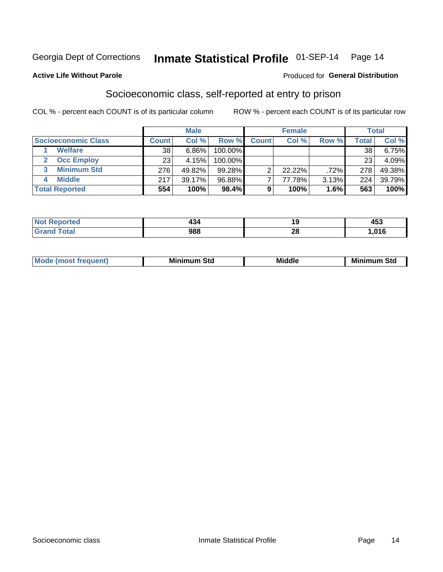### Inmate Statistical Profile 01-SEP-14 Page 14

#### **Active Life Without Parole**

#### Produced for General Distribution

### Socioeconomic class, self-reported at entry to prison

COL % - percent each COUNT is of its particular column

|                       | <b>Male</b> |        | <b>Female</b> |              |        | <b>Total</b> |       |          |
|-----------------------|-------------|--------|---------------|--------------|--------|--------------|-------|----------|
| Socioeconomic Class   | Count⊺      | Col %  | Row %         | <b>Count</b> | Col %  | Row %        | Total | Col %    |
| <b>Welfare</b>        | 38          | 6.86%  | 100.00%       |              |        |              | 38    | $6.75\%$ |
| <b>Occ Employ</b>     | 23          | 4.15%  | 100.00%       |              |        |              | 23    | 4.09%    |
| <b>Minimum Std</b>    | 276         | 49.82% | $99.28\%$     |              | 22.22% | .72%         | 278   | 49.38%   |
| <b>Middle</b>         | 217         | 39.17% | 96.88%        |              | 77.78% | 3.13%        | 224   | 39.79%   |
| <b>Total Reported</b> | 554         | 100%   | 98.4%         |              | 100%   | 1.6%         | 563   | 100%     |

| rtea<br>NO<br>. |     |                     | 1 E 2<br>ניט |
|-----------------|-----|---------------------|--------------|
|                 | 988 | ഹ<br>$\overline{ }$ | 04C          |

| ____ |
|------|
|------|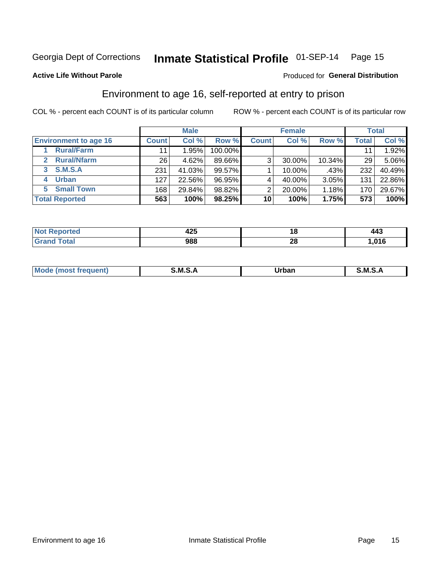### Inmate Statistical Profile 01-SEP-14 Page 15

**Active Life Without Parole** 

#### **Produced for General Distribution**

### Environment to age 16, self-reported at entry to prison

COL % - percent each COUNT is of its particular column

|                                    |                 | <b>Male</b> |         |              | <b>Female</b> |        |       | <b>Total</b> |
|------------------------------------|-----------------|-------------|---------|--------------|---------------|--------|-------|--------------|
| <b>Environment to age 16</b>       | <b>Count</b>    | Col %       | Row %   | <b>Count</b> | Col %         | Row %  | Total | Col %        |
| <b>Rural/Farm</b>                  | 11              | .95%        | 100.00% |              |               |        |       | 1.92%        |
| <b>Rural/Nfarm</b><br>$\mathbf{2}$ | 26 <sub>1</sub> | 4.62%       | 89.66%  | 3            | 30.00%        | 10.34% | 29    | 5.06%        |
| 3 S.M.S.A                          | 231             | 41.03%      | 99.57%  |              | 10.00%        | .43%   | 232   | 40.49%       |
| <b>Urban</b><br>4                  | 127             | 22.56%      | 96.95%  |              | 40.00%        | 3.05%  | 131   | 22.86%       |
| 5 Small Town                       | 168             | 29.84%      | 98.82%  | 2            | 20.00%        | 1.18%  | 170   | 29.67%       |
| <b>Total Reported</b>              | 563             | 100%        | 98.25%  | 10           | 100%          | 1.75%  | 573   | 100%         |

| <b>Not Reported</b> | 1つに<br>14J | 10      | 443  |
|---------------------|------------|---------|------|
| <b>Total</b>        | 988        | ົ<br>ZQ | ,016 |

| Mo | M | lulaam<br>Ua.<br>_____ | M |
|----|---|------------------------|---|
|    |   |                        |   |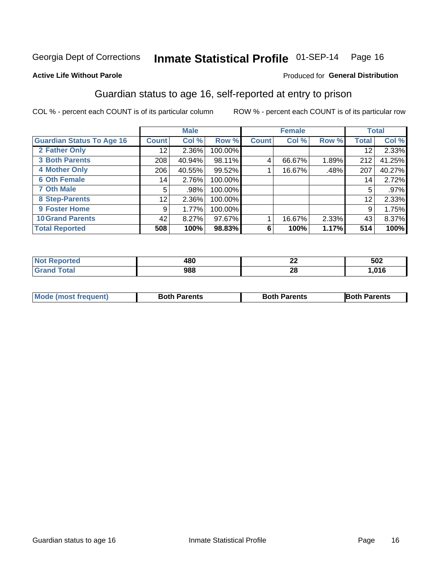### Inmate Statistical Profile 01-SEP-14 Page 16

#### **Active Life Without Parole**

#### Produced for General Distribution

### Guardian status to age 16, self-reported at entry to prison

COL % - percent each COUNT is of its particular column

|                                  |              | <b>Male</b> |         |              | <b>Female</b> |       |              | <b>Total</b> |
|----------------------------------|--------------|-------------|---------|--------------|---------------|-------|--------------|--------------|
| <b>Guardian Status To Age 16</b> | <b>Count</b> | Col %       | Row %   | <b>Count</b> | Col %         | Row % | <b>Total</b> | Col %        |
| 2 Father Only                    | 12           | 2.36%       | 100.00% |              |               |       | 12           | 2.33%        |
| <b>3 Both Parents</b>            | 208          | 40.94%      | 98.11%  | 4            | 66.67%        | 1.89% | 212          | 41.25%       |
| <b>4 Mother Only</b>             | 206          | 40.55%      | 99.52%  |              | 16.67%        | .48%  | 207          | 40.27%       |
| <b>6 Oth Female</b>              | 14           | 2.76%       | 100.00% |              |               |       | 14           | 2.72%        |
| <b>7 Oth Male</b>                | 5            | .98%        | 100.00% |              |               |       | 5            | $.97\%$      |
| 8 Step-Parents                   | 12           | 2.36%       | 100.00% |              |               |       | 12           | 2.33%        |
| 9 Foster Home                    | 9            | 1.77%       | 100.00% |              |               |       | 9            | 1.75%        |
| <b>10 Grand Parents</b>          | 42           | 8.27%       | 97.67%  |              | 16.67%        | 2.33% | 43           | 8.37%        |
| <b>Total Reported</b>            | 508          | 100%        | 98.83%  | 6            | 100%          | 1.17% | 514          | 100%         |

| <b>rted</b> | 480 | $\overline{\phantom{a}}$<br>LL | 502              |
|-------------|-----|--------------------------------|------------------|
| <b>otal</b> | 988 | 28                             | 04C<br>. . U I V |

| <b>Mode (most frequent)</b> | <b>Both Parents</b> | <b>Both Parents</b> | <b>Both Parents</b> |
|-----------------------------|---------------------|---------------------|---------------------|
|                             |                     |                     |                     |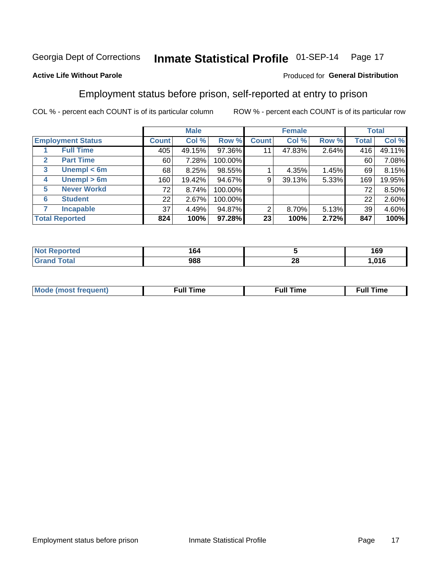#### Inmate Statistical Profile 01-SEP-14 Page 17

#### **Active Life Without Parole**

#### Produced for General Distribution

### Employment status before prison, self-reported at entry to prison

COL % - percent each COUNT is of its particular column

|                       |                          | <b>Male</b>  |        | <b>Female</b> |              |        | <b>Total</b> |       |        |
|-----------------------|--------------------------|--------------|--------|---------------|--------------|--------|--------------|-------|--------|
|                       | <b>Employment Status</b> | <b>Count</b> | Col %  | Row %         | <b>Count</b> | Col %  | Row %        | Total | Col %  |
|                       | <b>Full Time</b>         | 405          | 49.15% | 97.36%        | 11           | 47.83% | 2.64%        | 416   | 49.11% |
| $\mathbf{2}$          | <b>Part Time</b>         | 60           | 7.28%  | 100.00%       |              |        |              | 60    | 7.08%  |
| 3                     | Unempl $<$ 6m            | 68           | 8.25%  | 98.55%        |              | 4.35%  | 1.45%        | 69    | 8.15%  |
| 4                     | Unempl > 6m              | 160          | 19.42% | 94.67%        | 9            | 39.13% | 5.33%        | 169   | 19.95% |
| 5                     | <b>Never Workd</b>       | 72           | 8.74%  | 100.00%       |              |        |              | 72    | 8.50%  |
| 6                     | <b>Student</b>           | 22           | 2.67%  | 100.00%       |              |        |              | 22    | 2.60%  |
| 7                     | <b>Incapable</b>         | 37           | 4.49%  | 94.87%        | 2            | 8.70%  | 5.13%        | 39    | 4.60%  |
| <b>Total Reported</b> |                          | 824          | 100%   | 97.28%        | 23           | 100%   | 2.72%        | 847   | 100%   |

| m.<br>тес | 164<br>$ -$ |          | 169  |
|-----------|-------------|----------|------|
| $C0+0$    | 988         | n.<br>ZU | ,016 |

| Mc | ∴ull | ----<br>ıme<br>w |
|----|------|------------------|
|    |      |                  |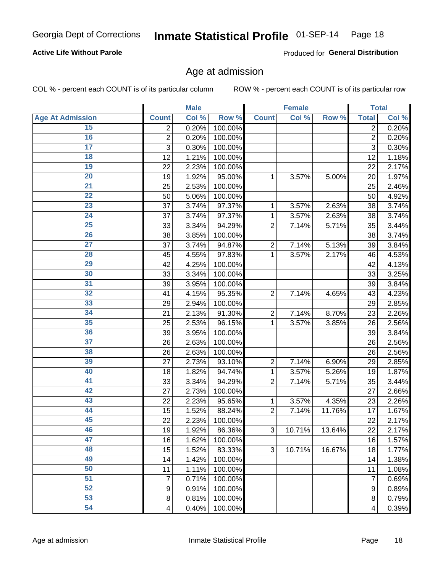## Inmate Statistical Profile 01-SEP-14 Page 18

#### **Active Life Without Parole**

Produced for General Distribution

#### Age at admission

COL % - percent each COUNT is of its particular column

|                         |                          | <b>Male</b> |         |                | <b>Female</b> |        |                         | <b>Total</b> |
|-------------------------|--------------------------|-------------|---------|----------------|---------------|--------|-------------------------|--------------|
| <b>Age At Admission</b> | <b>Count</b>             | Col %       | Row %   | <b>Count</b>   | Col %         | Row %  | <b>Total</b>            | Col %        |
| 15                      | 2                        | 0.20%       | 100.00% |                |               |        | $\overline{2}$          | 0.20%        |
| 16                      | $\overline{2}$           | 0.20%       | 100.00% |                |               |        | $\overline{2}$          | 0.20%        |
| $\overline{17}$         | 3                        | 0.30%       | 100.00% |                |               |        | 3                       | 0.30%        |
| 18                      | 12                       | 1.21%       | 100.00% |                |               |        | 12                      | 1.18%        |
| 19                      | 22                       | 2.23%       | 100.00% |                |               |        | 22                      | 2.17%        |
| $\overline{20}$         | 19                       | 1.92%       | 95.00%  | 1              | 3.57%         | 5.00%  | 20                      | 1.97%        |
| 21                      | 25                       | 2.53%       | 100.00% |                |               |        | 25                      | 2.46%        |
| 22                      | 50                       | 5.06%       | 100.00% |                |               |        | 50                      | 4.92%        |
| 23                      | 37                       | 3.74%       | 97.37%  | 1              | 3.57%         | 2.63%  | 38                      | 3.74%        |
| 24                      | 37                       | 3.74%       | 97.37%  | 1              | 3.57%         | 2.63%  | 38                      | 3.74%        |
| $\overline{25}$         | 33                       | 3.34%       | 94.29%  | $\overline{2}$ | 7.14%         | 5.71%  | 35                      | 3.44%        |
| 26                      | 38                       | 3.85%       | 100.00% |                |               |        | 38                      | 3.74%        |
| $\overline{27}$         | 37                       | 3.74%       | 94.87%  | $\overline{2}$ | 7.14%         | 5.13%  | 39                      | 3.84%        |
| 28                      | 45                       | 4.55%       | 97.83%  | 1              | 3.57%         | 2.17%  | 46                      | 4.53%        |
| 29                      | 42                       | 4.25%       | 100.00% |                |               |        | 42                      | 4.13%        |
| 30                      | 33                       | 3.34%       | 100.00% |                |               |        | 33                      | 3.25%        |
| 31                      | 39                       | 3.95%       | 100.00% |                |               |        | 39                      | 3.84%        |
| 32                      | 41                       | 4.15%       | 95.35%  | $\overline{2}$ | 7.14%         | 4.65%  | 43                      | 4.23%        |
| 33                      | 29                       | 2.94%       | 100.00% |                |               |        | 29                      | 2.85%        |
| 34                      | 21                       | 2.13%       | 91.30%  | $\overline{2}$ | 7.14%         | 8.70%  | 23                      | 2.26%        |
| 35                      | 25                       | 2.53%       | 96.15%  | 1              | 3.57%         | 3.85%  | 26                      | 2.56%        |
| 36                      | 39                       | 3.95%       | 100.00% |                |               |        | 39                      | 3.84%        |
| $\overline{37}$         | 26                       | 2.63%       | 100.00% |                |               |        | 26                      | 2.56%        |
| 38                      | 26                       | 2.63%       | 100.00% |                |               |        | 26                      | 2.56%        |
| 39                      | 27                       | 2.73%       | 93.10%  | $\overline{2}$ | 7.14%         | 6.90%  | 29                      | 2.85%        |
| 40                      | 18                       | 1.82%       | 94.74%  | 1              | 3.57%         | 5.26%  | 19                      | 1.87%        |
| 41                      | 33                       | 3.34%       | 94.29%  | $\overline{2}$ | 7.14%         | 5.71%  | 35                      | 3.44%        |
| 42                      | 27                       | 2.73%       | 100.00% |                |               |        | 27                      | 2.66%        |
| 43                      | 22                       | 2.23%       | 95.65%  | 1              | 3.57%         | 4.35%  | 23                      | 2.26%        |
| 44                      | 15                       | 1.52%       | 88.24%  | $\overline{2}$ | 7.14%         | 11.76% | 17                      | 1.67%        |
| 45                      | 22                       | 2.23%       | 100.00% |                |               |        | 22                      | 2.17%        |
| 46                      | 19                       | 1.92%       | 86.36%  | 3              | 10.71%        | 13.64% | 22                      | 2.17%        |
| 47                      | 16                       | 1.62%       | 100.00% |                |               |        | 16                      | 1.57%        |
| 48                      | 15                       | 1.52%       | 83.33%  | 3              | 10.71%        | 16.67% | 18                      | 1.77%        |
| 49                      | 14                       | 1.42%       | 100.00% |                |               |        | 14                      | 1.38%        |
| 50                      | 11                       | 1.11%       | 100.00% |                |               |        | 11                      | 1.08%        |
| $\overline{51}$         | 7                        | 0.71%       | 100.00% |                |               |        | 7                       | 0.69%        |
| 52                      | $\boldsymbol{9}$         | 0.91%       | 100.00% |                |               |        | $\boldsymbol{9}$        | 0.89%        |
| 53                      | 8                        | 0.81%       | 100.00% |                |               |        | 8                       | 0.79%        |
| 54                      | $\overline{\mathcal{A}}$ | 0.40%       | 100.00% |                |               |        | $\overline{\mathbf{4}}$ | 0.39%        |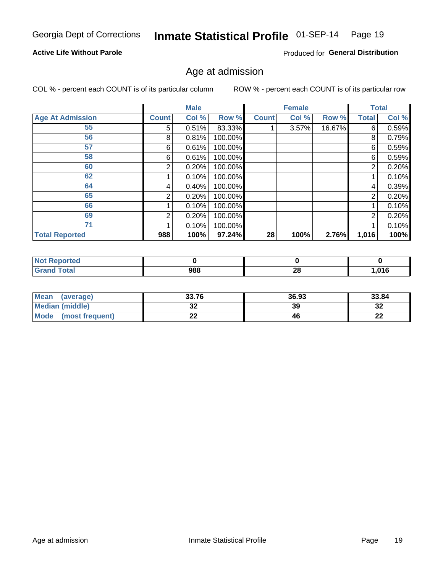## Inmate Statistical Profile 01-SEP-14 Page 19

#### **Active Life Without Parole**

Produced for General Distribution

#### Age at admission

COL % - percent each COUNT is of its particular column

|                         |                | <b>Male</b> |         |              | <b>Female</b> |        |                | <b>Total</b> |
|-------------------------|----------------|-------------|---------|--------------|---------------|--------|----------------|--------------|
| <b>Age At Admission</b> | <b>Count</b>   | Col %       | Row %   | <b>Count</b> | Col %         | Row %  | <b>Total</b>   | Col %        |
| 55                      | 5              | 0.51%       | 83.33%  |              | 3.57%         | 16.67% | 6              | 0.59%        |
| 56                      | 8              | 0.81%       | 100.00% |              |               |        | 8              | 0.79%        |
| 57                      | 6              | 0.61%       | 100.00% |              |               |        | 6              | 0.59%        |
| 58                      | 6              | 0.61%       | 100.00% |              |               |        | 6              | 0.59%        |
| 60                      | 2              | 0.20%       | 100.00% |              |               |        | $\overline{2}$ | 0.20%        |
| 62                      |                | 0.10%       | 100.00% |              |               |        |                | 0.10%        |
| 64                      | 4              | 0.40%       | 100.00% |              |               |        | 4              | 0.39%        |
| 65                      | $\overline{2}$ | 0.20%       | 100.00% |              |               |        | 2              | 0.20%        |
| 66                      |                | 0.10%       | 100.00% |              |               |        |                | 0.10%        |
| 69                      | 2              | 0.20%       | 100.00% |              |               |        | 2              | 0.20%        |
| 71                      |                | 0.10%       | 100.00% |              |               |        |                | 0.10%        |
| <b>Total Reported</b>   | 988            | 100%        | 97.24%  | 28           | 100%          | 2.76%  | 1,016          | 100%         |

| <b>Not Reported</b> |     |     |        |
|---------------------|-----|-----|--------|
| <b>Total</b>        | 988 | ne. | 01C    |
| Gra                 |     | 40  | סו ט.ו |

| Mean<br>(average)              | 33.76                 | 36.93 | 33.84    |
|--------------------------------|-----------------------|-------|----------|
| Median (middle)                | u                     | 39    | ົ<br>∠ت  |
| <b>Mode</b><br>(most frequent) | $\sim$<br><u>. . </u> | 46    | n.<br>LL |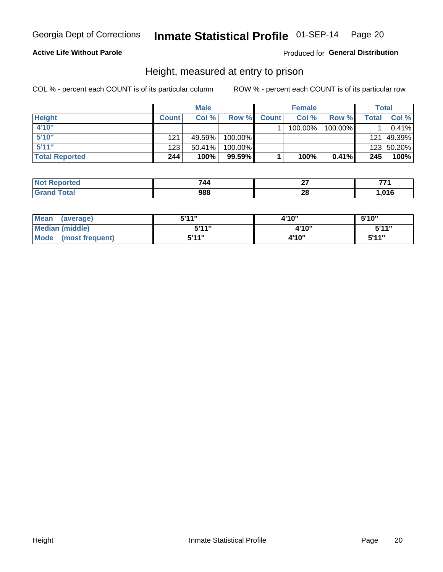## Inmate Statistical Profile 01-SEP-14 Page 20

#### **Active Life Without Parole**

#### Produced for General Distribution

#### Height, measured at entry to prison

COL % - percent each COUNT is of its particular column

|                       |              | <b>Male</b> |           |              | <b>Female</b> |         |       | Total        |
|-----------------------|--------------|-------------|-----------|--------------|---------------|---------|-------|--------------|
| <b>Height</b>         | <b>Count</b> | Col %       | Row %     | <b>Count</b> | Col %         | Row %   | Total | Col %        |
| 4'10"                 |              |             |           |              | 100.00%       | 100.00% |       | 0.41%        |
| 5'10''                | 121          | 49.59%      | 100.00%   |              |               |         |       | 121   49.39% |
| 5'11''                | 123          | $50.41\%$   | 100.00%   |              |               |         |       | 123 50.20%   |
| <b>Total Reported</b> | 244          | 100%        | $99.59\%$ |              | 100%          | 0.41%   | 245   | 100%         |

| <b>Not</b>      | 744 | ~-  | --    |
|-----------------|-----|-----|-------|
| <b>Reported</b> |     |     |       |
| <b>Total</b>    | 988 | ne. | . nar |
| ' Grand         |     | ZС  | טו טו |

| Mean (average)       | 5'11"        | 4'10" | 5'10"  |
|----------------------|--------------|-------|--------|
| Median (middle)      | <b>5'44"</b> | 4'10" | 5'11"  |
| Mode (most frequent) | 5'11"        | 4'10" | 5'11'' |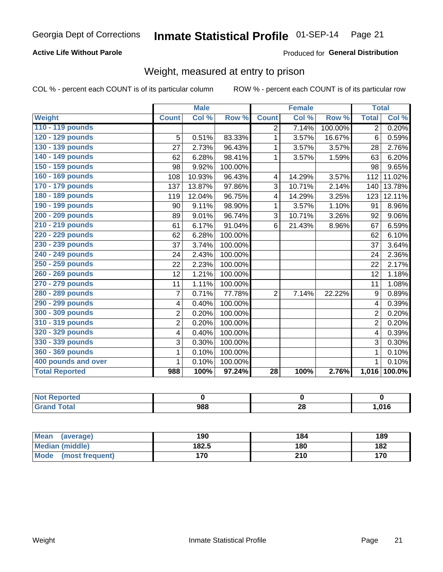#### Inmate Statistical Profile 01-SEP-14 Page 21

#### **Active Life Without Parole**

#### Produced for General Distribution

### Weight, measured at entry to prison

COL % - percent each COUNT is of its particular column

|                       |                | <b>Male</b> |         |                         | <b>Female</b>              |         | <b>Total</b>   |        |
|-----------------------|----------------|-------------|---------|-------------------------|----------------------------|---------|----------------|--------|
| <b>Weight</b>         | <b>Count</b>   | Col %       | Row %   | <b>Count</b>            | $\overline{\text{Col }^9}$ | Row %   | <b>Total</b>   | Col %  |
| 110 - 119 pounds      |                |             |         | $\overline{2}$          | 7.14%                      | 100.00% | $\overline{2}$ | 0.20%  |
| 120 - 129 pounds      | 5              | 0.51%       | 83.33%  | 1                       | 3.57%                      | 16.67%  | 6              | 0.59%  |
| 130 - 139 pounds      | 27             | 2.73%       | 96.43%  | 1                       | 3.57%                      | 3.57%   | 28             | 2.76%  |
| 140 - 149 pounds      | 62             | 6.28%       | 98.41%  | 1                       | 3.57%                      | 1.59%   | 63             | 6.20%  |
| 150 - 159 pounds      | 98             | 9.92%       | 100.00% |                         |                            |         | 98             | 9.65%  |
| 160 - 169 pounds      | 108            | 10.93%      | 96.43%  | 4                       | 14.29%                     | 3.57%   | 112            | 11.02% |
| 170 - 179 pounds      | 137            | 13.87%      | 97.86%  | 3                       | 10.71%                     | 2.14%   | 140            | 13.78% |
| 180 - 189 pounds      | 119            | 12.04%      | 96.75%  | $\overline{\mathbf{4}}$ | 14.29%                     | 3.25%   | 123            | 12.11% |
| 190 - 199 pounds      | 90             | 9.11%       | 98.90%  | 1                       | 3.57%                      | 1.10%   | 91             | 8.96%  |
| 200 - 209 pounds      | 89             | 9.01%       | 96.74%  | 3                       | 10.71%                     | 3.26%   | 92             | 9.06%  |
| 210 - 219 pounds      | 61             | 6.17%       | 91.04%  | 6                       | 21.43%                     | 8.96%   | 67             | 6.59%  |
| 220 - 229 pounds      | 62             | 6.28%       | 100.00% |                         |                            |         | 62             | 6.10%  |
| 230 - 239 pounds      | 37             | 3.74%       | 100.00% |                         |                            |         | 37             | 3.64%  |
| 240 - 249 pounds      | 24             | 2.43%       | 100.00% |                         |                            |         | 24             | 2.36%  |
| 250 - 259 pounds      | 22             | 2.23%       | 100.00% |                         |                            |         | 22             | 2.17%  |
| 260 - 269 pounds      | 12             | 1.21%       | 100.00% |                         |                            |         | 12             | 1.18%  |
| 270 - 279 pounds      | 11             | 1.11%       | 100.00% |                         |                            |         | 11             | 1.08%  |
| 280 - 289 pounds      | 7              | 0.71%       | 77.78%  | $\overline{2}$          | 7.14%                      | 22.22%  | 9              | 0.89%  |
| 290 - 299 pounds      | 4              | 0.40%       | 100.00% |                         |                            |         | 4              | 0.39%  |
| 300 - 309 pounds      | $\overline{2}$ | 0.20%       | 100.00% |                         |                            |         | 2              | 0.20%  |
| 310 - 319 pounds      | $\overline{c}$ | 0.20%       | 100.00% |                         |                            |         | 2              | 0.20%  |
| 320 - 329 pounds      | 4              | 0.40%       | 100.00% |                         |                            |         | 4              | 0.39%  |
| 330 - 339 pounds      | 3              | 0.30%       | 100.00% |                         |                            |         | 3              | 0.30%  |
| 360 - 369 pounds      | 1              | 0.10%       | 100.00% |                         |                            |         | 1              | 0.10%  |
| 400 pounds and over   | 1              | 0.10%       | 100.00% |                         |                            |         | 1              | 0.10%  |
| <b>Total Reported</b> | 988            | 100%        | 97.24%  | 28                      | 100%                       | 2.76%   | 1,016          | 100.0% |

| المتمتلين<br>rted<br>N |       |     |      |
|------------------------|-------|-----|------|
| $\sim$                 | 988   | ne. | .016 |
|                        | - - - | ΔU  |      |

| <b>Mean</b><br>(average) | 190   | 184 | 189 |
|--------------------------|-------|-----|-----|
| <b>Median (middle)</b>   | 182.5 | 180 | 182 |
| Mode<br>(most frequent)  | 170   | 210 | 170 |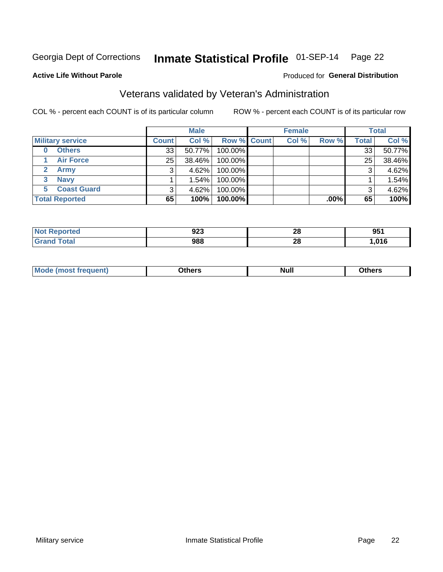#### Inmate Statistical Profile 01-SEP-14 Page 22

#### **Active Life Without Parole**

#### **Produced for General Distribution**

### Veterans validated by Veteran's Administration

COL % - percent each COUNT is of its particular column

|                          |                 | <b>Male</b> |             | <b>Female</b> |         |              | <b>Total</b> |
|--------------------------|-----------------|-------------|-------------|---------------|---------|--------------|--------------|
| <b>Military service</b>  | <b>Count</b>    | Col %       | Row % Count | Col %         | Row %   | <b>Total</b> | Col %        |
| <b>Others</b><br>0       | 33 <sup>1</sup> | 50.77%      | 100.00%     |               |         | 33           | 50.77%       |
| <b>Air Force</b>         | 25              | 38.46%      | 100.00%     |               |         | 25           | 38.46%       |
| Army                     |                 | 4.62%       | 100.00%     |               |         | 3            | 4.62%        |
| <b>Navy</b><br>3         |                 | 1.54%       | 100.00%     |               |         |              | 1.54%        |
| <b>Coast Guard</b><br>5. |                 | 4.62%       | 100.00%     |               |         | 3            | 4.62%        |
| <b>Total Reported</b>    | 65              | 100%        | 100.00%     |               | $.00\%$ | 65           | 100%         |

| тес. | <u>__</u><br>94J | ጣ<br>40 | 951  |
|------|------------------|---------|------|
|      | 988              | ົ<br>40 | ,016 |

| Mo<br><b>Null</b><br>วthers<br>____<br>____ |
|---------------------------------------------|
|---------------------------------------------|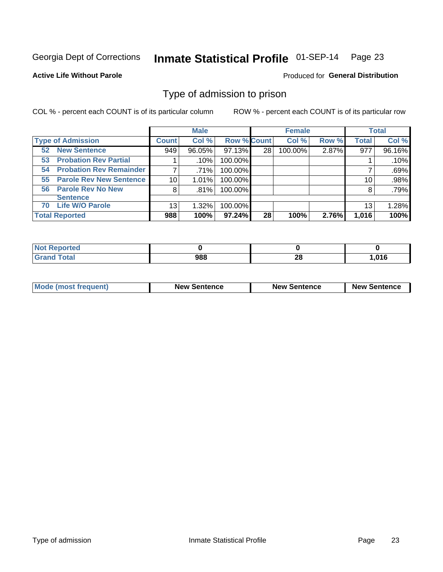#### Inmate Statistical Profile 01-SEP-14 Page 23

**Active Life Without Parole** 

Produced for General Distribution

#### Type of admission to prison

COL % - percent each COUNT is of its particular column

|                                      |                 | <b>Male</b> |                    |    | <b>Female</b> |       |              | <b>Total</b> |
|--------------------------------------|-----------------|-------------|--------------------|----|---------------|-------|--------------|--------------|
| <b>Type of Admission</b>             | <b>Count</b>    | Col %       | <b>Row % Count</b> |    | Col %         | Row % | <b>Total</b> | Col %        |
| <b>52 New Sentence</b>               | 949             | 96.05%      | 97.13%             | 28 | 100.00%       | 2.87% | 977          | 96.16%       |
| <b>Probation Rev Partial</b><br>53   |                 | .10%        | 100.00%            |    |               |       |              | .10%         |
| <b>Probation Rev Remainder</b><br>54 | 7               | .71%        | 100.00%            |    |               |       |              | .69%         |
| <b>Parole Rev New Sentence</b><br>55 | 10 <sup>1</sup> | 1.01%       | 100.00%            |    |               |       | 10           | .98%         |
| <b>Parole Rev No New</b><br>56       | 8               | .81%        | 100.00%            |    |               |       | 8            | .79%         |
| <b>Sentence</b>                      |                 |             |                    |    |               |       |              |              |
| <b>Life W/O Parole</b><br>70         | 13              | 1.32%       | 100.00%            |    |               |       | 13           | 1.28%        |
| <b>Total Reported</b>                | 988             | 100%        | $97.24\%$          | 28 | 100%          | 2.76% | 1,016        | 100%         |

| ported<br><b>NOT</b> |                   |           |        |
|----------------------|-------------------|-----------|--------|
| <b>Total</b>         | <b>000</b><br>,00 | oc.<br>ZU | 016, ا |

| <b>Mode (most frequent)</b> | <b>New Sentence</b> | <b>New Sentence</b> | <b>New Sentence</b> |
|-----------------------------|---------------------|---------------------|---------------------|
|                             |                     |                     |                     |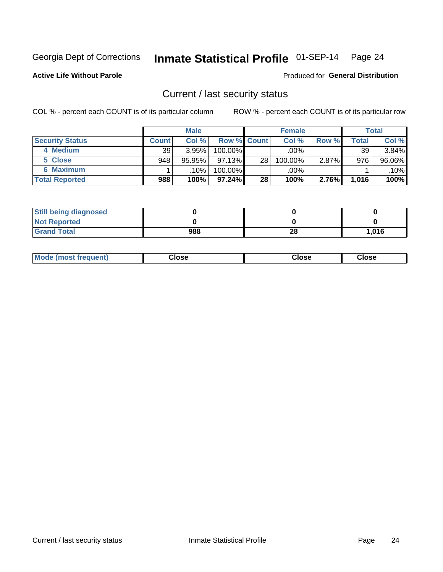## Inmate Statistical Profile 01-SEP-14 Page 24

**Active Life Without Parole** 

Produced for General Distribution

#### Current / last security status

COL % - percent each COUNT is of its particular column

|                        |              | <b>Male</b> |                    |                 | <b>Female</b> |       |       | Total  |
|------------------------|--------------|-------------|--------------------|-----------------|---------------|-------|-------|--------|
| <b>Security Status</b> | <b>Count</b> | Col %       | <b>Row % Count</b> |                 | Col %         | Row % | Total | Col %  |
| 4 Medium               | 39           | 3.95%       | $100.00\%$         |                 | $.00\%$       |       | 39    | 3.84%  |
| 5 Close                | 948          | 95.95%      | $97.13\%$          | 28 <sub>1</sub> | 100.00%       | 2.87% | 976   | 96.06% |
| <b>6 Maximum</b>       |              | .10%        | 100.00%            |                 | .00%          |       |       | .10%   |
| <b>Total Reported</b>  | 988          | 100%        | $97.24\%$          | 28              | 100%          | 2.76% | 1,016 | 100%   |

| <b>Still being diagnosed</b> |     |    |       |
|------------------------------|-----|----|-------|
| <b>Not Reported</b>          |     |    |       |
| <b>Grand Total</b>           | 988 | 28 | 1,016 |

| <b>Mode (most frequent)</b> | Close | Close | <b>Close</b> |
|-----------------------------|-------|-------|--------------|
|                             |       |       |              |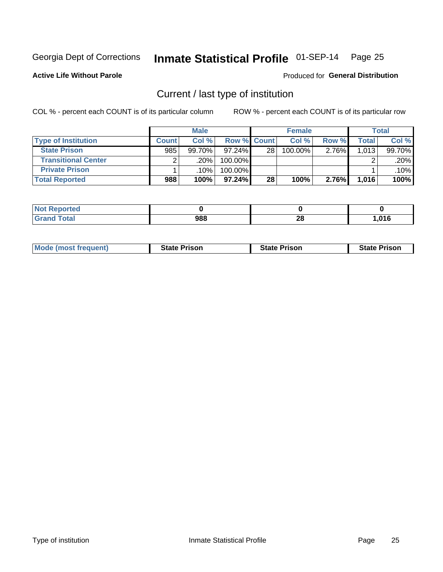#### Inmate Statistical Profile 01-SEP-14 Page 25

**Active Life Without Parole** 

Produced for General Distribution

### Current / last type of institution

COL % - percent each COUNT is of its particular column

|                            |              | <b>Male</b> |                    |    | <b>Female</b> |       |       | <b>Total</b> |
|----------------------------|--------------|-------------|--------------------|----|---------------|-------|-------|--------------|
| <b>Type of Institution</b> | <b>Count</b> | Col%        | <b>Row % Count</b> |    | Col %         | Row % | Total | Col %        |
| <b>State Prison</b>        | 985          | $99.70\%$   | $97.24\%$          | 28 | $100.00\%$    | 2.76% | 1,013 | 99.70%       |
| <b>Transitional Center</b> |              | ا 20%.      | 100.00%            |    |               |       |       | .20%         |
| <b>Private Prison</b>      |              | ا 10%.      | 100.00%            |    |               |       |       | $.10\%$      |
| <b>Total Reported</b>      | 988          | 100%        | $97.24\%$          | 28 | 100%          | 2.76% | 1,016 | 100%         |

| oorted<br><b>NI</b> |     |         |      |
|---------------------|-----|---------|------|
| $\sim$              | 988 | ഹ<br>zo | ,016 |

| <b>Mode (most frequent)</b> | <b>State Prison</b> | <b>State Prison</b> | <b>State Prison</b> |
|-----------------------------|---------------------|---------------------|---------------------|
|                             |                     |                     |                     |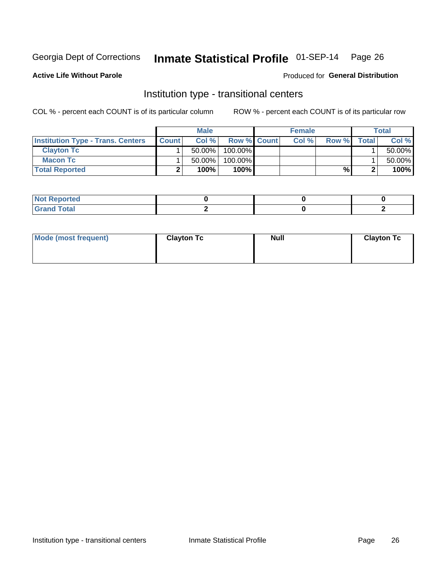### Inmate Statistical Profile 01-SEP-14 Page 26

**Active Life Without Parole** 

#### **Produced for General Distribution**

### Institution type - transitional centers

COL % - percent each COUNT is of its particular column

|                                          |              | <b>Male</b> |                    | <b>Female</b> |       |              | <b>Total</b> |
|------------------------------------------|--------------|-------------|--------------------|---------------|-------|--------------|--------------|
| <b>Institution Type - Trans. Centers</b> | <b>Count</b> | Col %       | <b>Row % Count</b> | Col %         | Row % | <b>Total</b> | Col %        |
| <b>Clayton Tc</b>                        |              | $50.00\%$   | $100.00\%$         |               |       |              | 50.00%       |
| <b>Macon Tc</b>                          |              | $50.00\%$   | $100.00\%$         |               |       |              | 50.00%       |
| <b>Total Reported</b>                    |              | 100%        | $100\%$            |               | %     |              | 100%         |

| rtea                               |  |  |
|------------------------------------|--|--|
| $\sim$ $\sim$ $\sim$ $\sim$ $\sim$ |  |  |

| Mode (most frequent) | <b>Clayton Tc</b> | <b>Null</b> | <b>Clayton Tc</b> |
|----------------------|-------------------|-------------|-------------------|
|                      |                   |             |                   |
|                      |                   |             |                   |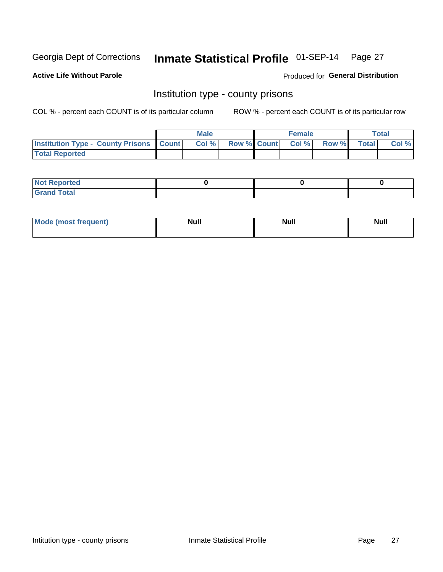## Inmate Statistical Profile 01-SEP-14 Page 27

**Active Life Without Parole** 

**Produced for General Distribution** 

#### Institution type - county prisons

COL % - percent each COUNT is of its particular column

|                                                    | <b>Male</b> |       |  | <b>Female</b> |                          |             | <b>Total</b> |       |
|----------------------------------------------------|-------------|-------|--|---------------|--------------------------|-------------|--------------|-------|
| <b>Institution Type - County Prisons   Count  </b> |             | Col % |  |               | <b>Row % Count Col %</b> | Row % Total |              | Col % |
| <b>Total Reported</b>                              |             |       |  |               |                          |             |              |       |

| <b>Not Reported</b>         |  |  |
|-----------------------------|--|--|
| <b>Total</b><br>-<br>______ |  |  |

| <b>Mode</b>      | <b>Null</b> | <b>Null</b> | <b>Null</b> |
|------------------|-------------|-------------|-------------|
| (most freauent). |             |             |             |
|                  |             |             |             |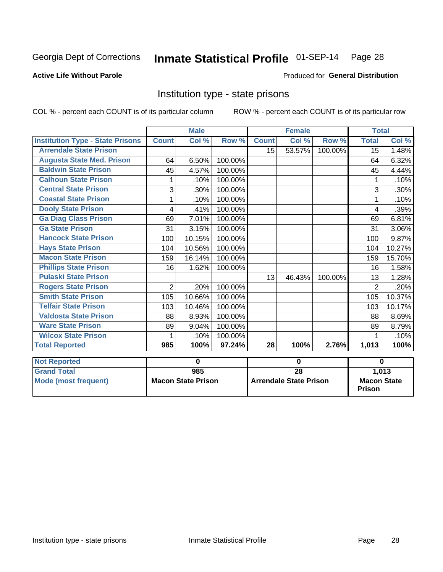#### Inmate Statistical Profile 01-SEP-14 Page 28

#### **Active Life Without Parole**

#### Produced for General Distribution

### Institution type - state prisons

COL % - percent each COUNT is of its particular column

ROW % - percent each COUNT is of its particular row

|                                         |                | <b>Male</b>               |         |              |                               |         | <b>Total</b>       |        |  |
|-----------------------------------------|----------------|---------------------------|---------|--------------|-------------------------------|---------|--------------------|--------|--|
| <b>Institution Type - State Prisons</b> | <b>Count</b>   | Col %                     | Row %   | <b>Count</b> | Col %                         | Row %   | <b>Total</b>       | Col %  |  |
| <b>Arrendale State Prison</b>           |                |                           |         | 15           | 53.57%                        | 100.00% | 15                 | 1.48%  |  |
| <b>Augusta State Med. Prison</b>        | 64             | 6.50%                     | 100.00% |              |                               |         | 64                 | 6.32%  |  |
| <b>Baldwin State Prison</b>             | 45             | 4.57%                     | 100.00% |              |                               |         | 45                 | 4.44%  |  |
| <b>Calhoun State Prison</b>             |                | .10%                      | 100.00% |              |                               |         |                    | .10%   |  |
| <b>Central State Prison</b>             | 3              | .30%                      | 100.00% |              |                               |         | 3                  | .30%   |  |
| <b>Coastal State Prison</b>             |                | .10%                      | 100.00% |              |                               |         |                    | .10%   |  |
| <b>Dooly State Prison</b>               | 4              | .41%                      | 100.00% |              |                               |         | 4                  | .39%   |  |
| <b>Ga Diag Class Prison</b>             | 69             | 7.01%                     | 100.00% |              |                               |         | 69                 | 6.81%  |  |
| <b>Ga State Prison</b>                  | 31             | 3.15%                     | 100.00% |              |                               |         | 31                 | 3.06%  |  |
| <b>Hancock State Prison</b>             | 100            | 10.15%                    | 100.00% |              |                               |         | 100                | 9.87%  |  |
| <b>Hays State Prison</b>                | 104            | 10.56%                    | 100.00% |              |                               |         | 104                | 10.27% |  |
| <b>Macon State Prison</b>               | 159            | 16.14%                    | 100.00% |              |                               |         | 159                | 15.70% |  |
| <b>Phillips State Prison</b>            | 16             | 1.62%                     | 100.00% |              |                               |         | 16                 | 1.58%  |  |
| <b>Pulaski State Prison</b>             |                |                           |         | 13           | 46.43%                        | 100.00% | 13                 | 1.28%  |  |
| <b>Rogers State Prison</b>              | $\overline{2}$ | .20%                      | 100.00% |              |                               |         | $\overline{2}$     | .20%   |  |
| <b>Smith State Prison</b>               | 105            | 10.66%                    | 100.00% |              |                               |         | 105                | 10.37% |  |
| <b>Telfair State Prison</b>             | 103            | 10.46%                    | 100.00% |              |                               |         | 103                | 10.17% |  |
| <b>Valdosta State Prison</b>            | 88             | 8.93%                     | 100.00% |              |                               |         | 88                 | 8.69%  |  |
| <b>Ware State Prison</b>                | 89             | 9.04%                     | 100.00% |              |                               |         | 89                 | 8.79%  |  |
| <b>Wilcox State Prison</b>              | 1              | .10%                      | 100.00% |              |                               |         | 1                  | .10%   |  |
| <b>Total Reported</b>                   | 985            | 100%                      | 97.24%  | 28           | 100%                          | 2.76%   | 1,013              | 100%   |  |
| <b>Not Reported</b>                     |                | 0                         |         | $\bf{0}$     |                               |         | $\bf{0}$           |        |  |
| <b>Grand Total</b>                      |                | 985                       |         |              | $\overline{28}$               |         |                    | 1,013  |  |
| <b>Mode (most frequent)</b>             |                | <b>Macon State Prison</b> |         |              | <b>Arrendale State Prison</b> |         | <b>Macon State</b> |        |  |

**Prison**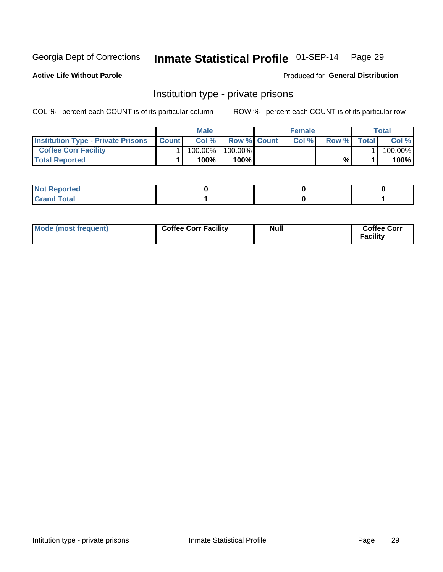## Inmate Statistical Profile 01-SEP-14 Page 29

**Active Life Without Parole** 

**Produced for General Distribution** 

### Institution type - private prisons

COL % - percent each COUNT is of its particular column

|                                           | <b>Male</b>  |         |                    | <b>Female</b> |       |       | Total |         |
|-------------------------------------------|--------------|---------|--------------------|---------------|-------|-------|-------|---------|
| <b>Institution Type - Private Prisons</b> | <b>Count</b> | Col%    | <b>Row % Count</b> |               | Col % | Row % | Total | Col %   |
| <b>Coffee Corr Facility</b>               |              | 100.00% | 100.00%            |               |       |       |       | 100.00% |
| <b>Total Reported</b>                     |              | $100\%$ | $100\%$            |               |       | %\    |       | 100%    |

| ∣ Not Reportea |  |  |
|----------------|--|--|
|                |  |  |

| Mode (most frequent) | <b>Coffee Corr Facility</b> | <b>Null</b> | <b>Coffee Corr</b><br>Facility |
|----------------------|-----------------------------|-------------|--------------------------------|
|----------------------|-----------------------------|-------------|--------------------------------|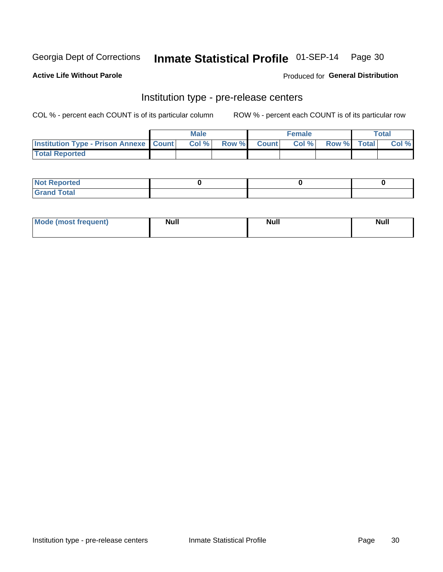### Inmate Statistical Profile 01-SEP-14 Page 30

**Active Life Without Parole** 

Produced for General Distribution

### Institution type - pre-release centers

COL % - percent each COUNT is of its particular column

|                                                   | <b>Male</b> |      |  |             | <b>Female</b> | <b>Total</b> |  |       |
|---------------------------------------------------|-------------|------|--|-------------|---------------|--------------|--|-------|
| <b>Institution Type - Prison Annexe   Count  </b> |             | Col% |  | Row % Count | Col%          | Row % Total  |  | Col % |
| <b>Total Reported</b>                             |             |      |  |             |               |              |  |       |

| <b>Reported</b><br>I NOT |  |  |
|--------------------------|--|--|
| <b>Total</b><br>$C$ ren  |  |  |

| $^{\circ}$ Mo<br>frequent)<br>⊥(most | <b>Null</b> | Noll<br><b>vull</b> | <b>Null</b> |
|--------------------------------------|-------------|---------------------|-------------|
|                                      |             |                     |             |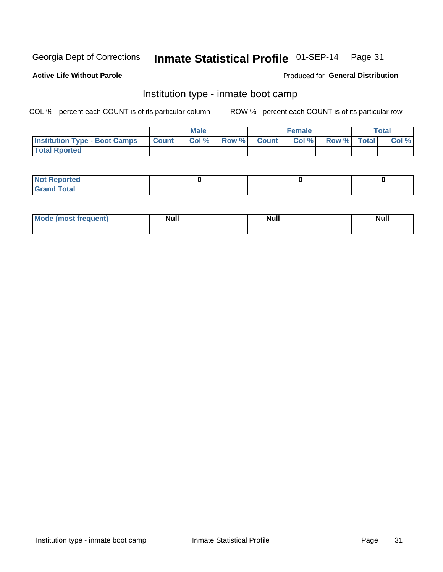### Inmate Statistical Profile 01-SEP-14 Page 31

#### **Active Life Without Parole**

#### Produced for General Distribution

### Institution type - inmate boot camp

COL % - percent each COUNT is of its particular column

|                                      | <b>Male</b>     |       |              |              | <b>Female</b> | <b>Total</b> |  |       |
|--------------------------------------|-----------------|-------|--------------|--------------|---------------|--------------|--|-------|
| <b>Institution Type - Boot Camps</b> | <b>I</b> Count⊥ | Col % | <b>Row %</b> | <b>Count</b> | Col %         | Row % Total  |  | Col % |
| <b>Total Rported</b>                 |                 |       |              |              |               |              |  |       |

| <b>Not Reported</b> |  |  |
|---------------------|--|--|
| <b>Total</b><br>Cro |  |  |

| <b>I Mode (most frequent)</b> | <b>Null</b> | <b>Null</b> | <b>Null</b> |
|-------------------------------|-------------|-------------|-------------|
|                               |             |             |             |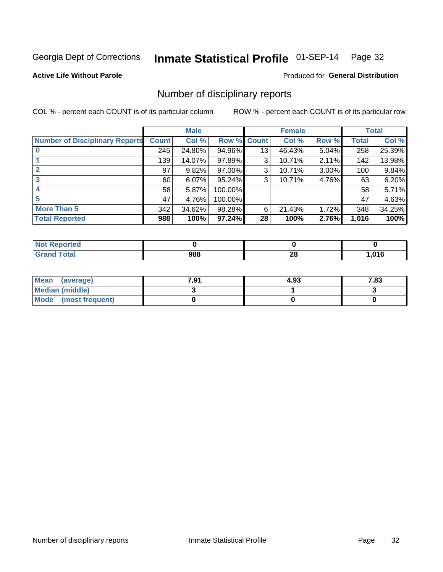## Inmate Statistical Profile 01-SEP-14 Page 32

#### **Active Life Without Parole**

#### **Produced for General Distribution**

#### Number of disciplinary reports

COL % - percent each COUNT is of its particular column

|                                       | <b>Male</b>  |        | <b>Female</b> |                 |        | <b>Total</b> |              |        |
|---------------------------------------|--------------|--------|---------------|-----------------|--------|--------------|--------------|--------|
| <b>Number of Disciplinary Reports</b> | <b>Count</b> | Col %  | Row %         | <b>Count</b>    | Col %  | Row %        | <b>Total</b> | Col %  |
|                                       | 245          | 24.80% | 94.96%        | 13              | 46.43% | 5.04%        | 258          | 25.39% |
|                                       | 139          | 14.07% | 97.89%        | 3               | 10.71% | 2.11%        | 142          | 13.98% |
| $\mathbf{2}$                          | 97           | 9.82%  | 97.00%        | 3               | 10.71% | $3.00\%$     | 100          | 9.84%  |
| 3                                     | 60           | 6.07%  | 95.24%        | 3               | 10.71% | 4.76%        | 63           | 6.20%  |
|                                       | 58           | 5.87%  | 100.00%       |                 |        |              | 58           | 5.71%  |
| 5                                     | 47           | 4.76%  | 100.00%       |                 |        |              | 47           | 4.63%  |
| <b>More Than 5</b>                    | 342          | 34.62% | 98.28%        | 6               | 21.43% | 1.72%        | 348          | 34.25% |
| <b>Total Reported</b>                 | 988          | 100%   | 97.24%        | 28 <sup>1</sup> | 100%   | 2.76%        | 1,016        | 100%   |

| <b>Not Reported</b> |     |          |      |
|---------------------|-----|----------|------|
| <sup>-</sup> otal   | 988 | ഹ<br>ZO. | .016 |

| Mean (average)       | 7.91 | 4.93 | 7.83 |
|----------------------|------|------|------|
| Median (middle)      |      |      |      |
| Mode (most frequent) |      |      |      |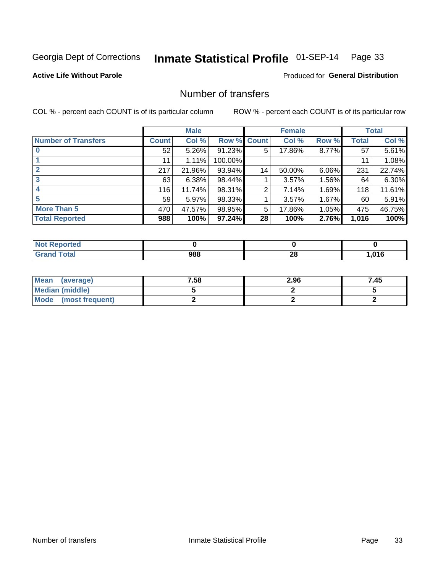## Inmate Statistical Profile 01-SEP-14 Page 33

**Active Life Without Parole** 

**Produced for General Distribution** 

### Number of transfers

COL % - percent each COUNT is of its particular column

|                            | <b>Male</b> |          | <b>Female</b> |              |        | <b>Total</b> |              |        |
|----------------------------|-------------|----------|---------------|--------------|--------|--------------|--------------|--------|
| <b>Number of Transfers</b> | Count l     | Col %    | Row %         | <b>Count</b> | Col %  | Row %        | <b>Total</b> | Col %  |
|                            | 52          | $5.26\%$ | 91.23%        | 5            | 17.86% | 8.77%        | 57           | 5.61%  |
|                            | 11          | 1.11%    | 100.00%       |              |        |              | 11           | 1.08%  |
| 2                          | 217         | 21.96%   | 93.94%        | 14           | 50.00% | 6.06%        | 231          | 22.74% |
| 3                          | 63          | 6.38%    | 98.44%        |              | 3.57%  | $1.56\%$     | 64           | 6.30%  |
|                            | 116         | 11.74%   | 98.31%        | 2            | 7.14%  | 1.69%        | 118          | 11.61% |
| 5                          | 59          | 5.97%    | 98.33%        |              | 3.57%  | 1.67%        | 60           | 5.91%  |
| <b>More Than 5</b>         | 470         | 47.57%   | 98.95%        | 5            | 17.86% | 1.05%        | 475          | 46.75% |
| <b>Total Reported</b>      | 988         | 100%     | 97.24%        | 28           | 100%   | 2.76%        | 1,016        | 100%   |

| <b>Not Reported</b> |     |          |      |
|---------------------|-----|----------|------|
| <sup>-</sup> otal   | 988 | ഹ<br>ZO. | .016 |

| Mean (average)       | 7.58 | 2.96 | 7.45 |
|----------------------|------|------|------|
| Median (middle)      |      |      |      |
| Mode (most frequent) |      |      |      |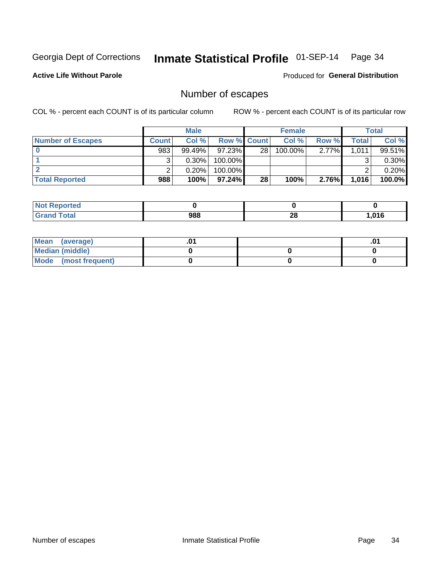## Inmate Statistical Profile 01-SEP-14 Page 34

**Active Life Without Parole** 

Produced for General Distribution

### Number of escapes

COL % - percent each COUNT is of its particular column

|                          |              | <b>Male</b> |                    |    | <b>Female</b> |          |       | <b>Total</b> |
|--------------------------|--------------|-------------|--------------------|----|---------------|----------|-------|--------------|
| <b>Number of Escapes</b> | <b>Count</b> | Col%        | <b>Row % Count</b> |    | Col %         | Row %    | Total | Col %        |
|                          | 983          | $99.49\%$   | $97.23\%$          | 28 | 100.00%       | $2.77\%$ | 1,011 | 99.51%       |
|                          |              | $0.30\%$    | 100.00%            |    |               |          |       | $0.30\%$     |
|                          |              | 0.20%       | 100.00%            |    |               |          |       | 0.20%        |
| <b>Total Reported</b>    | 988          | 100%        | $97.24\%$          | 28 | 100%          | 2.76%    | 1,016 | 100.0%       |

| <b>Not Reported</b> |     |         |      |
|---------------------|-----|---------|------|
| <b>Grand Total</b>  | 988 | റ<br>20 | .016 |

| Mean (average)       |  | .v |
|----------------------|--|----|
| Median (middle)      |  |    |
| Mode (most frequent) |  |    |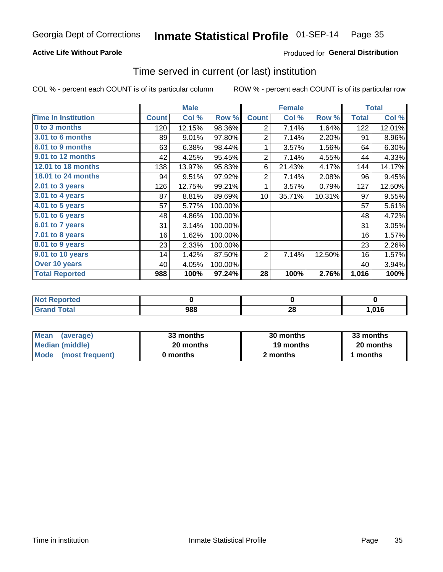## Inmate Statistical Profile 01-SEP-14 Page 35

#### **Active Life Without Parole**

#### Produced for General Distribution

#### Time served in current (or last) institution

COL % - percent each COUNT is of its particular column

|                            |              | <b>Male</b> |         |                 | <b>Female</b> |        |              | <b>Total</b> |
|----------------------------|--------------|-------------|---------|-----------------|---------------|--------|--------------|--------------|
| <b>Time In Institution</b> | <b>Count</b> | Col %       | Row %   | <b>Count</b>    | Col %         | Row %  | <b>Total</b> | Col %        |
| 0 to 3 months              | 120          | 12.15%      | 98.36%  | 2               | 7.14%         | 1.64%  | 122          | 12.01%       |
| <b>3.01 to 6 months</b>    | 89           | 9.01%       | 97.80%  | $\overline{2}$  | 7.14%         | 2.20%  | 91           | 8.96%        |
| 6.01 to 9 months           | 63           | 6.38%       | 98.44%  | 1               | 3.57%         | 1.56%  | 64           | 6.30%        |
| 9.01 to 12 months          | 42           | 4.25%       | 95.45%  | $\overline{2}$  | 7.14%         | 4.55%  | 44           | 4.33%        |
| 12.01 to 18 months         | 138          | 13.97%      | 95.83%  | 6               | 21.43%        | 4.17%  | 144          | 14.17%       |
| <b>18.01 to 24 months</b>  | 94           | 9.51%       | 97.92%  | $\overline{2}$  | 7.14%         | 2.08%  | 96           | 9.45%        |
| $2.01$ to 3 years          | 126          | 12.75%      | 99.21%  | 1               | 3.57%         | 0.79%  | 127          | 12.50%       |
| $3.01$ to 4 years          | 87           | 8.81%       | 89.69%  | 10 <sup>1</sup> | 35.71%        | 10.31% | 97           | 9.55%        |
| 4.01 to 5 years            | 57           | 5.77%       | 100.00% |                 |               |        | 57           | 5.61%        |
| 5.01 to 6 years            | 48           | 4.86%       | 100.00% |                 |               |        | 48           | 4.72%        |
| 6.01 to 7 years            | 31           | 3.14%       | 100.00% |                 |               |        | 31           | 3.05%        |
| 7.01 to 8 years            | 16           | 1.62%       | 100.00% |                 |               |        | 16           | 1.57%        |
| 8.01 to 9 years            | 23           | 2.33%       | 100.00% |                 |               |        | 23           | 2.26%        |
| 9.01 to 10 years           | 14           | 1.42%       | 87.50%  | 2               | 7.14%         | 12.50% | 16           | 1.57%        |
| Over 10 years              | 40           | 4.05%       | 100.00% |                 |               |        | 40           | 3.94%        |
| <b>Total Reported</b>      | 988          | 100%        | 97.24%  | 28              | 100%          | 2.76%  | 1,016        | 100%         |

| Reported<br>NOT F      |     |          |      |
|------------------------|-----|----------|------|
| $f \wedge f \wedge f'$ | 988 | 20<br>__ | .016 |

| <b>Mean</b><br>(average) | 33 months | 30 months | 33 months |  |
|--------------------------|-----------|-----------|-----------|--|
| Median (middle)          | 20 months | 19 months | 20 months |  |
| Mode (most frequent)     | 0 months  | 2 months  | 1 months  |  |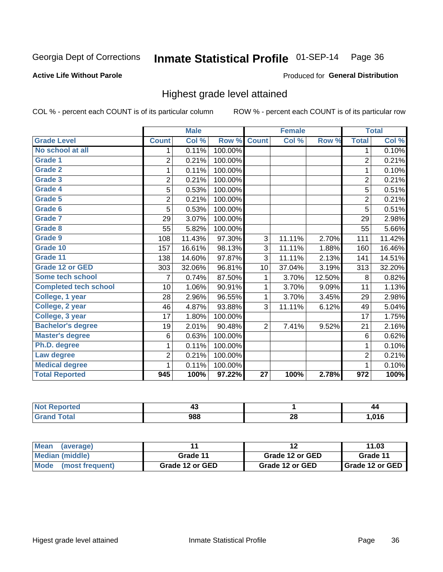#### Inmate Statistical Profile 01-SEP-14 Page 36

#### **Active Life Without Parole**

#### Produced for General Distribution

### Highest grade level attained

COL % - percent each COUNT is of its particular column

|                              |                | <b>Male</b> |         |                 | <b>Female</b> |        |                  | <b>Total</b> |
|------------------------------|----------------|-------------|---------|-----------------|---------------|--------|------------------|--------------|
| <b>Grade Level</b>           | <b>Count</b>   | Col %       | Row %   | <b>Count</b>    | Col %         | Row %  | <b>Total</b>     | Col %        |
| No school at all             | 1.             | 0.11%       | 100.00% |                 |               |        | 1                | 0.10%        |
| Grade 1                      | 2              | 0.21%       | 100.00% |                 |               |        | $\overline{2}$   | 0.21%        |
| <b>Grade 2</b>               | 1              | 0.11%       | 100.00% |                 |               |        | $\mathbf{1}$     | 0.10%        |
| Grade 3                      | $\overline{2}$ | 0.21%       | 100.00% |                 |               |        | $\overline{c}$   | 0.21%        |
| Grade 4                      | 5              | 0.53%       | 100.00% |                 |               |        | 5                | 0.51%        |
| Grade 5                      | $\overline{2}$ | 0.21%       | 100.00% |                 |               |        | $\overline{2}$   | 0.21%        |
| Grade 6                      | 5              | 0.53%       | 100.00% |                 |               |        | 5                | 0.51%        |
| Grade 7                      | 29             | 3.07%       | 100.00% |                 |               |        | 29               | 2.98%        |
| Grade 8                      | 55             | 5.82%       | 100.00% |                 |               |        | 55               | 5.66%        |
| Grade 9                      | 108            | 11.43%      | 97.30%  | 3               | 11.11%        | 2.70%  | 111              | 11.42%       |
| Grade 10                     | 157            | 16.61%      | 98.13%  | 3               | 11.11%        | 1.88%  | 160              | 16.46%       |
| Grade 11                     | 138            | 14.60%      | 97.87%  | 3               | 11.11%        | 2.13%  | 141              | 14.51%       |
| <b>Grade 12 or GED</b>       | 303            | 32.06%      | 96.81%  | 10              | 37.04%        | 3.19%  | 313              | 32.20%       |
| Some tech school             | 7              | 0.74%       | 87.50%  | 1               | 3.70%         | 12.50% | 8                | 0.82%        |
| <b>Completed tech school</b> | 10             | 1.06%       | 90.91%  | 1               | 3.70%         | 9.09%  | 11               | 1.13%        |
| College, 1 year              | 28             | 2.96%       | 96.55%  | 1               | 3.70%         | 3.45%  | 29               | 2.98%        |
| College, 2 year              | 46             | 4.87%       | 93.88%  | 3               | 11.11%        | 6.12%  | 49               | 5.04%        |
| College, 3 year              | 17             | 1.80%       | 100.00% |                 |               |        | 17               | 1.75%        |
| <b>Bachelor's degree</b>     | 19             | 2.01%       | 90.48%  | $\overline{2}$  | 7.41%         | 9.52%  | 21               | 2.16%        |
| <b>Master's degree</b>       | 6              | 0.63%       | 100.00% |                 |               |        | 6                | 0.62%        |
| Ph.D. degree                 | 1              | 0.11%       | 100.00% |                 |               |        | 1                | 0.10%        |
| Law degree                   | $\overline{2}$ | 0.21%       | 100.00% |                 |               |        | $\overline{2}$   | 0.21%        |
| <b>Medical degree</b>        | 1              | 0.11%       | 100.00% |                 |               |        | 1                | 0.10%        |
| <b>Total Reported</b>        | 945            | 100%        | 97.22%  | $\overline{27}$ | 100%          | 2.78%  | $\overline{972}$ | 100%         |

| . | г.  |         | 44  |
|---|-----|---------|-----|
|   | 988 | ົ<br>40 | 04C |

| <b>Mean</b><br>(average) | 11              |                 | 11.03                    |
|--------------------------|-----------------|-----------------|--------------------------|
| Median (middle)          | Grade 11        | Grade 12 or GED | Grade 11                 |
| Mode (most frequent)     | Grade 12 or GED | Grade 12 or GED | <b>I</b> Grade 12 or GED |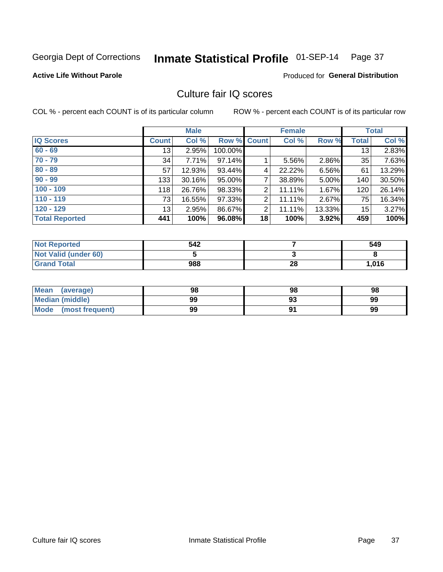# Inmate Statistical Profile 01-SEP-14 Page 37

## **Active Life Without Parole**

# **Produced for General Distribution**

# Culture fair IQ scores

COL % - percent each COUNT is of its particular column

|                       |              | <b>Male</b> |                    |                | <b>Female</b> |        |              | <b>Total</b> |
|-----------------------|--------------|-------------|--------------------|----------------|---------------|--------|--------------|--------------|
| <b>IQ Scores</b>      | <b>Count</b> | Col %       | <b>Row % Count</b> |                | Col %         | Row %  | <b>Total</b> | Col %        |
| $60 - 69$             | 13           | 2.95%       | 100.00%            |                |               |        | 13           | 2.83%        |
| $70 - 79$             | 34           | 7.71%       | 97.14%             |                | 5.56%         | 2.86%  | 35           | 7.63%        |
| $80 - 89$             | 57           | 12.93%      | 93.44%             | 4              | 22.22%        | 6.56%  | 61           | 13.29%       |
| $90 - 99$             | 133          | 30.16%      | 95.00%             | 7              | 38.89%        | 5.00%  | 140          | 30.50%       |
| $100 - 109$           | 118          | 26.76%      | 98.33%             | 2              | 11.11%        | 1.67%  | 120          | 26.14%       |
| $110 - 119$           | 73           | 16.55%      | 97.33%             | $\overline{2}$ | 11.11%        | 2.67%  | 75           | 16.34%       |
| $120 - 129$           | 13           | 2.95%       | 86.67%             | $\overline{2}$ | 11.11%        | 13.33% | 15           | 3.27%        |
| <b>Total Reported</b> | 441          | 100%        | 96.08%             | 18             | 100%          | 3.92%  | 459          | 100%         |

| <b>Not Reported</b>         | 542 |    | 549   |
|-----------------------------|-----|----|-------|
| <b>Not Valid (under 60)</b> |     |    |       |
| <b>Grand Total</b>          | 988 | 28 | 1,016 |

| <b>Mean</b><br>(average) | 98 | 98 | 98 |
|--------------------------|----|----|----|
| <b>Median (middle)</b>   | 99 |    | 99 |
| Mode<br>(most frequent)  | 99 |    | 99 |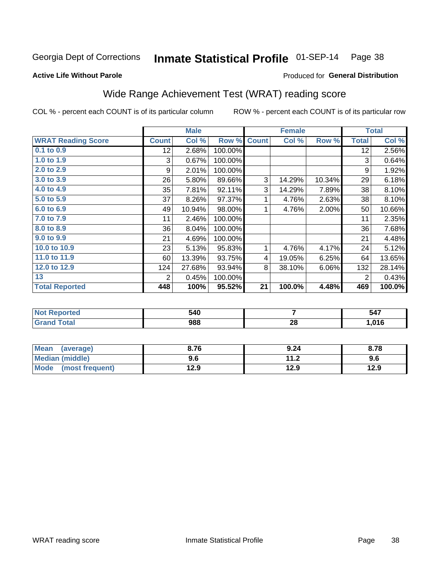# Inmate Statistical Profile 01-SEP-14 Page 38

Produced for General Distribution

### **Active Life Without Parole**

# Wide Range Achievement Test (WRAT) reading score

COL % - percent each COUNT is of its particular column

| <b>Count</b><br>12 <sub>2</sub><br>3<br>9<br>26 | Col %<br>2.68%<br>0.67%<br>2.01%<br>5.80%                 | Row %<br>100.00%<br>100.00%<br>100.00%                                                   | <b>Count</b> | Col %  | Row %  | <b>Total</b><br>12<br>3 | Col %<br>2.56%<br>0.64% |
|-------------------------------------------------|-----------------------------------------------------------|------------------------------------------------------------------------------------------|--------------|--------|--------|-------------------------|-------------------------|
|                                                 |                                                           |                                                                                          |              |        |        |                         |                         |
|                                                 |                                                           |                                                                                          |              |        |        |                         |                         |
|                                                 |                                                           |                                                                                          |              |        |        |                         |                         |
|                                                 |                                                           |                                                                                          |              |        |        | 9                       | 1.92%                   |
|                                                 |                                                           | 89.66%                                                                                   | 3            | 14.29% | 10.34% | 29                      | 6.18%                   |
| 35                                              | 7.81%                                                     | 92.11%                                                                                   | 3            | 14.29% | 7.89%  | 38                      | 8.10%                   |
|                                                 |                                                           | 97.37%                                                                                   | 1            | 4.76%  | 2.63%  | 38                      | 8.10%                   |
|                                                 |                                                           | 98.00%                                                                                   | 1            | 4.76%  | 2.00%  | 50                      | 10.66%                  |
|                                                 |                                                           | 100.00%                                                                                  |              |        |        | 11                      | 2.35%                   |
|                                                 |                                                           | 100.00%                                                                                  |              |        |        | 36                      | 7.68%                   |
|                                                 |                                                           | 100.00%                                                                                  |              |        |        | 21                      | 4.48%                   |
|                                                 |                                                           | 95.83%                                                                                   | 1            | 4.76%  | 4.17%  | 24                      | 5.12%                   |
|                                                 |                                                           | 93.75%                                                                                   | 4            | 19.05% | 6.25%  | 64                      | 13.65%                  |
|                                                 |                                                           | 93.94%                                                                                   | 8            | 38.10% | 6.06%  | 132                     | 28.14%                  |
|                                                 |                                                           | 100.00%                                                                                  |              |        |        | 2                       | 0.43%                   |
|                                                 |                                                           | 95.52%                                                                                   | 21           | 100.0% | 4.48%  | 469                     | 100.0%                  |
|                                                 | 37<br>49<br>11<br>36<br>21<br>23<br>60<br>124<br>2<br>448 | 8.26%<br>10.94%<br>2.46%<br>8.04%<br>4.69%<br>5.13%<br>13.39%<br>27.68%<br>0.45%<br>100% |              |        |        |                         |                         |

| <b>Not Reported</b> | 540 |    | 547    |
|---------------------|-----|----|--------|
| <b>Total</b>        | 988 | 28 | 016، ا |

| Mean (average)         | 8.76 | 9.24 | 8.78 |
|------------------------|------|------|------|
| <b>Median (middle)</b> | 9.6  | 11.2 | 9.6  |
| Mode (most frequent)   | 12.9 | 12.9 | 12.9 |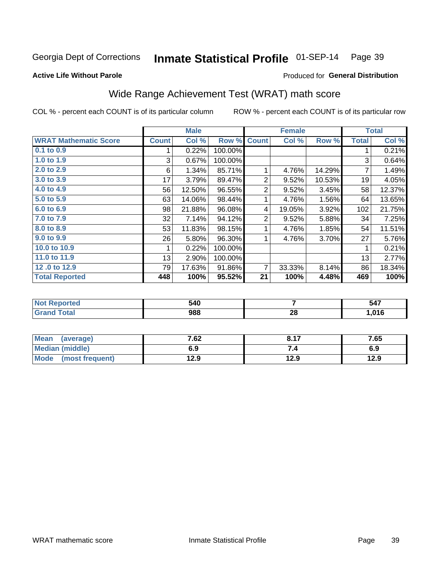#### Inmate Statistical Profile 01-SEP-14 Page 39

## **Active Life Without Parole**

# Produced for General Distribution

# Wide Range Achievement Test (WRAT) math score

COL % - percent each COUNT is of its particular column

|                              |              | <b>Male</b> |         |                | <b>Female</b> |        |              | <b>Total</b> |
|------------------------------|--------------|-------------|---------|----------------|---------------|--------|--------------|--------------|
| <b>WRAT Mathematic Score</b> | <b>Count</b> | Col %       | Row %   | <b>Count</b>   | Col %         | Row %  | <b>Total</b> | Col $%$      |
| $0.1$ to $0.9$               |              | 0.22%       | 100.00% |                |               |        |              | 0.21%        |
| 1.0 to 1.9                   | 3            | 0.67%       | 100.00% |                |               |        | 3            | 0.64%        |
| 2.0 to 2.9                   | 6            | 1.34%       | 85.71%  |                | 4.76%         | 14.29% | 7            | 1.49%        |
| 3.0 to 3.9                   | 17           | 3.79%       | 89.47%  | 2              | 9.52%         | 10.53% | 19           | 4.05%        |
| 4.0 to 4.9                   | 56           | 12.50%      | 96.55%  | $\overline{c}$ | 9.52%         | 3.45%  | 58           | 12.37%       |
| 5.0 to 5.9                   | 63           | 14.06%      | 98.44%  |                | 4.76%         | 1.56%  | 64           | 13.65%       |
| 6.0 to 6.9                   | 98           | 21.88%      | 96.08%  | 4              | 19.05%        | 3.92%  | 102          | 21.75%       |
| 7.0 to 7.9                   | 32           | 7.14%       | 94.12%  | 2              | 9.52%         | 5.88%  | 34           | 7.25%        |
| 8.0 to 8.9                   | 53           | 11.83%      | 98.15%  |                | 4.76%         | 1.85%  | 54           | 11.51%       |
| 9.0 to 9.9                   | 26           | 5.80%       | 96.30%  |                | 4.76%         | 3.70%  | 27           | 5.76%        |
| 10.0 to 10.9                 |              | 0.22%       | 100.00% |                |               |        | 1            | 0.21%        |
| 11.0 to 11.9                 | 13           | 2.90%       | 100.00% |                |               |        | 13           | 2.77%        |
| 12.0 to 12.9                 | 79           | 17.63%      | 91.86%  | 7              | 33.33%        | 8.14%  | 86           | 18.34%       |
| <b>Total Reported</b>        | 448          | 100%        | 95.52%  | 21             | 100%          | 4.48%  | 469          | 100%         |

| 540<br>- - |         | 547<br>$\sim$ |
|------------|---------|---------------|
| 988        | റ<br>ZO | 01C<br>/ I O  |

| <b>Mean</b><br>(average) | 7.62 | 0.47 | 7.65 |
|--------------------------|------|------|------|
| Median (middle)          | 6.9  |      | 6.9  |
| Mode (most frequent)     | 12.9 | 12.9 | 12.9 |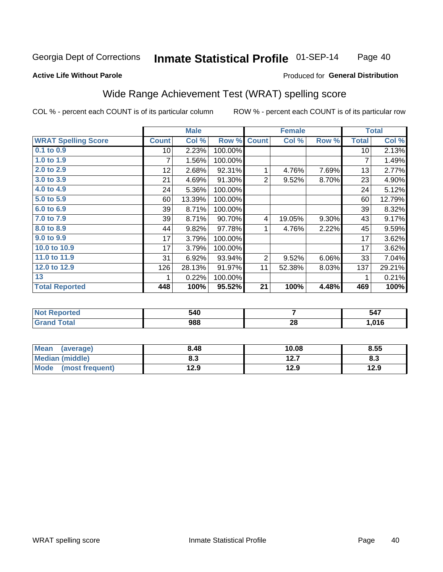### Inmate Statistical Profile 01-SEP-14 Page 40

### **Active Life Without Parole**

# Produced for General Distribution

# Wide Range Achievement Test (WRAT) spelling score

COL % - percent each COUNT is of its particular column

|                            |                 | <b>Male</b> |         |                | <b>Female</b> |       |              | <b>Total</b> |
|----------------------------|-----------------|-------------|---------|----------------|---------------|-------|--------------|--------------|
| <b>WRAT Spelling Score</b> | <b>Count</b>    | Col %       | Row %   | <b>Count</b>   | Col %         | Row % | <b>Total</b> | Col %        |
| 0.1 to 0.9                 | 10 <sup>1</sup> | 2.23%       | 100.00% |                |               |       | 10           | 2.13%        |
| 1.0 to 1.9                 | 7               | 1.56%       | 100.00% |                |               |       | 7            | 1.49%        |
| 2.0 to 2.9                 | 12              | 2.68%       | 92.31%  | 1              | 4.76%         | 7.69% | 13           | 2.77%        |
| 3.0 to 3.9                 | 21              | 4.69%       | 91.30%  | $\overline{2}$ | 9.52%         | 8.70% | 23           | 4.90%        |
| 4.0 to 4.9                 | 24              | 5.36%       | 100.00% |                |               |       | 24           | 5.12%        |
| 5.0 to 5.9                 | 60              | 13.39%      | 100.00% |                |               |       | 60           | 12.79%       |
| 6.0 to 6.9                 | 39              | 8.71%       | 100.00% |                |               |       | 39           | 8.32%        |
| 7.0 to 7.9                 | 39              | 8.71%       | 90.70%  | 4              | 19.05%        | 9.30% | 43           | 9.17%        |
| 8.0 to 8.9                 | 44              | 9.82%       | 97.78%  | 1              | 4.76%         | 2.22% | 45           | 9.59%        |
| 9.0 to 9.9                 | 17              | 3.79%       | 100.00% |                |               |       | 17           | 3.62%        |
| 10.0 to 10.9               | 17              | 3.79%       | 100.00% |                |               |       | 17           | 3.62%        |
| 11.0 to 11.9               | 31              | 6.92%       | 93.94%  | $\overline{2}$ | 9.52%         | 6.06% | 33           | 7.04%        |
| 12.0 to 12.9               | 126             | 28.13%      | 91.97%  | 11             | 52.38%        | 8.03% | 137          | 29.21%       |
| 13                         |                 | 0.22%       | 100.00% |                |               |       | 1            | 0.21%        |
| <b>Total Reported</b>      | 448             | 100%        | 95.52%  | 21             | 100%          | 4.48% | 469          | 100%         |
|                            |                 |             |         |                |               |       |              |              |

| <b>Not</b><br><b>Reported</b> | 540 |    | 547  |
|-------------------------------|-----|----|------|
| iotal                         | 988 | 28 | ,016 |

| <b>Mean</b><br>(average)       | 8.48 | 10.08 | 8.55 |
|--------------------------------|------|-------|------|
| Median (middle)                | 8.3  | 12.7  | ი.ა  |
| <b>Mode</b><br>(most frequent) | 12.9 | 12.9  | 12.9 |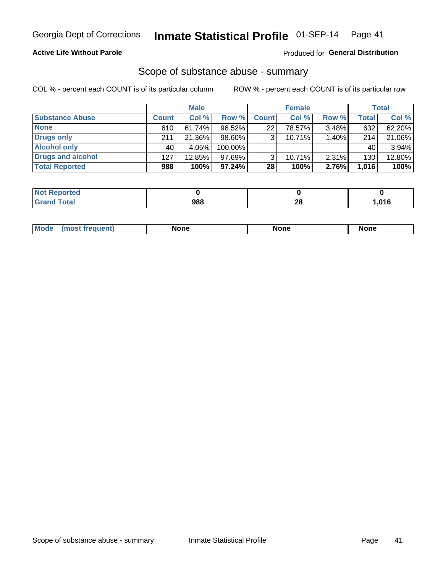# **Active Life Without Parole**

## Produced for General Distribution

# Scope of substance abuse - summary

COL % - percent each COUNT is of its particular column

|                        |              | <b>Male</b> |         |                 | <b>Female</b> |          |              | <b>Total</b> |
|------------------------|--------------|-------------|---------|-----------------|---------------|----------|--------------|--------------|
| <b>Substance Abuse</b> | <b>Count</b> | Col %       | Row %   | <b>Count</b>    | Col %         | Row %    | <b>Total</b> | Col %        |
| <b>None</b>            | 610          | 61.74%      | 96.52%  | 22 <sub>1</sub> | 78.57%        | $3.48\%$ | 632          | 62.20%       |
| <b>Drugs only</b>      | 211          | 21.36%      | 98.60%  |                 | 10.71%        | 1.40%    | 214          | 21.06%       |
| <b>Alcohol only</b>    | 40           | 4.05%       | 100.00% |                 |               |          | 40           | 3.94%        |
| Drugs and alcohol      | 127          | $12.85\%$   | 97.69%  |                 | 10.71%        | $2.31\%$ | 130          | 12.80%       |
| <b>Total Reported</b>  | 988          | 100%        | 97.24%  | 28              | 100%          | 2.76%    | 1,016        | 100%         |

| <b>Not</b><br>Reported       |     |         |      |
|------------------------------|-----|---------|------|
| <b>Total</b><br><b>Grand</b> | 988 | ഹ<br>40 | .016 |

| <b>Mode</b> | None<br>None | <b>None</b> |
|-------------|--------------|-------------|
|-------------|--------------|-------------|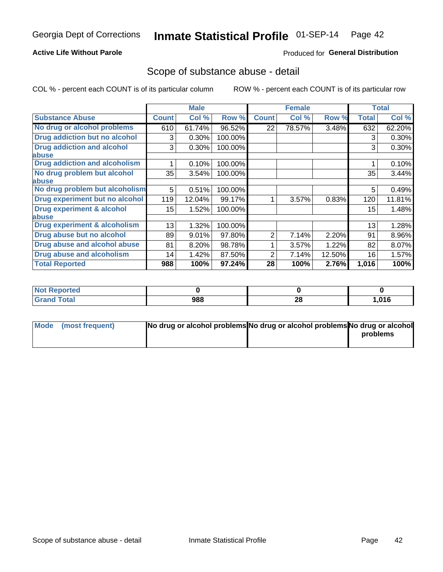# **Active Life Without Parole**

# **Produced for General Distribution**

# Scope of substance abuse - detail

COL % - percent each COUNT is of its particular column

|                                      |              | <b>Male</b> |         |              | <b>Female</b> |        |              | <b>Total</b> |
|--------------------------------------|--------------|-------------|---------|--------------|---------------|--------|--------------|--------------|
| <b>Substance Abuse</b>               | <b>Count</b> | Col %       | Row %   | <b>Count</b> | Col %         | Row %  | <b>Total</b> | Col %        |
| No drug or alcohol problems          | 610          | 61.74%      | 96.52%  | 22           | 78.57%        | 3.48%  | 632          | 62.20%       |
| Drug addiction but no alcohol        | 3            | 0.30%       | 100.00% |              |               |        | 3            | 0.30%        |
| <b>Drug addiction and alcohol</b>    | 3            | 0.30%       | 100.00% |              |               |        | 3            | 0.30%        |
| <b>labuse</b>                        |              |             |         |              |               |        |              |              |
| <b>Drug addiction and alcoholism</b> |              | 0.10%       | 100.00% |              |               |        |              | 0.10%        |
| No drug problem but alcohol          | 35           | 3.54%       | 100.00% |              |               |        | 35           | 3.44%        |
| abuse                                |              |             |         |              |               |        |              |              |
| No drug problem but alcoholism       | 5            | 0.51%       | 100.00% |              |               |        | 5            | 0.49%        |
| Drug experiment but no alcohol       | 119          | 12.04%      | 99.17%  |              | 3.57%         | 0.83%  | 120          | 11.81%       |
| <b>Drug experiment &amp; alcohol</b> | 15           | 1.52%       | 100.00% |              |               |        | 15           | 1.48%        |
| abuse                                |              |             |         |              |               |        |              |              |
| Drug experiment & alcoholism         | 13           | 1.32%       | 100.00% |              |               |        | 13           | 1.28%        |
| Drug abuse but no alcohol            | 89           | 9.01%       | 97.80%  | 2            | 7.14%         | 2.20%  | 91           | 8.96%        |
| Drug abuse and alcohol abuse         | 81           | 8.20%       | 98.78%  |              | 3.57%         | 1.22%  | 82           | 8.07%        |
| <b>Drug abuse and alcoholism</b>     | 14           | 1.42%       | 87.50%  | 2            | 7.14%         | 12.50% | 16           | 1.57%        |
| <b>Total Reported</b>                | 988          | 100%        | 97.24%  | 28           | 100%          | 2.76%  | 1,016        | 100%         |

| <b>NOT</b><br>portea |     |    |      |
|----------------------|-----|----|------|
| $\sim$               | 988 | 28 | ,016 |

| Mode (most frequent) | No drug or alcohol problems No drug or alcohol problems No drug or alcohol |          |
|----------------------|----------------------------------------------------------------------------|----------|
|                      |                                                                            | problems |
|                      |                                                                            |          |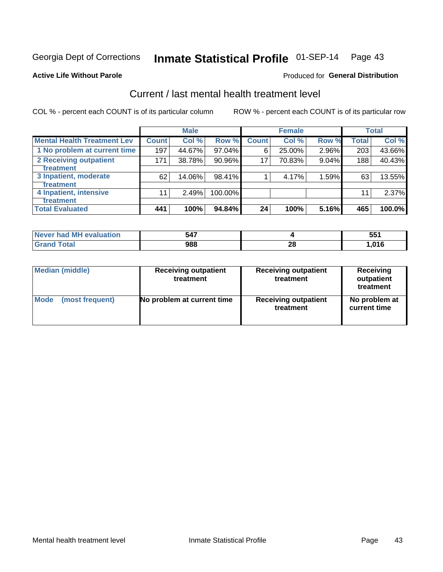# Inmate Statistical Profile 01-SEP-14 Page 43

### **Active Life Without Parole**

# **Produced for General Distribution**

# Current / last mental health treatment level

COL % - percent each COUNT is of its particular column

|                                    |              | <b>Male</b> |         |              | <b>Female</b> |       |       | <b>Total</b> |
|------------------------------------|--------------|-------------|---------|--------------|---------------|-------|-------|--------------|
| <b>Mental Health Treatment Lev</b> | <b>Count</b> | Col%        | Row %   | <b>Count</b> | Col %         | Row % | Total | Col %        |
| 1 No problem at current time       | 197          | 44.67%      | 97.04%  | 6            | 25.00%        | 2.96% | 203   | 43.66%       |
| 2 Receiving outpatient             | 171          | 38.78%      | 90.96%  | 17           | 70.83%        | 9.04% | 188   | 40.43%       |
| <b>Treatment</b>                   |              |             |         |              |               |       |       |              |
| 3 Inpatient, moderate              | 62           | 14.06%      | 98.41%  |              | 4.17%         | 1.59% | 63    | 13.55%       |
| Treatment                          |              |             |         |              |               |       |       |              |
| 4 Inpatient, intensive             | 11           | 2.49%       | 100.00% |              |               |       | 11    | 2.37%        |
| <b>Treatment</b>                   |              |             |         |              |               |       |       |              |
| <b>Total Evaluated</b>             | 441          | 100%        | 94.84%  | 24           | 100%          | 5.16% | 465   | 100.0%       |

| Never had MH evaluation | 547 |    | rr.<br>◡ |
|-------------------------|-----|----|----------|
| ™ota⊩                   | 988 | ÆU | .016     |

| <b>Median (middle)</b> | <b>Receiving outpatient</b><br>treatment | <b>Receiving outpatient</b><br>treatment | <b>Receiving</b><br>outpatient<br>treatment |  |
|------------------------|------------------------------------------|------------------------------------------|---------------------------------------------|--|
| <b>Mode</b>            | No problem at current time               | <b>Receiving outpatient</b>              | No problem at                               |  |
| (most frequent)        |                                          | treatment                                | current time                                |  |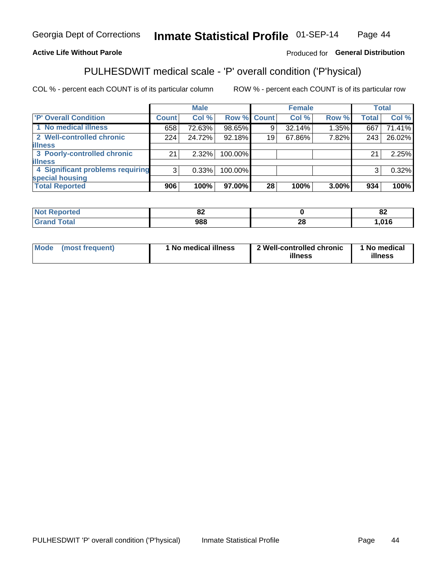### Inmate Statistical Profile 01-SEP-14 Page 44

# **Active Life Without Parole**

## Produced for General Distribution

# PULHESDWIT medical scale - 'P' overall condition ('P'hysical)

COL % - percent each COUNT is of its particular column

|                                  |                | <b>Male</b> |         |             | <b>Female</b> |       |              | <b>Total</b> |
|----------------------------------|----------------|-------------|---------|-------------|---------------|-------|--------------|--------------|
| 'P' Overall Condition            | Count l        | Col %       |         | Row % Count | Col %         | Row % | <b>Total</b> | Col %        |
| 1 No medical illness             | 658            | 72.63%      | 98.65%  | 9           | 32.14%        | 1.35% | 667          | 71.41%       |
| 2 Well-controlled chronic        | 224            | 24.72%      | 92.18%  | 19          | 67.86%        | 7.82% | 243          | 26.02%       |
| <b>illness</b>                   |                |             |         |             |               |       |              |              |
| 3 Poorly-controlled chronic      | 21             | $2.32\%$    | 100.00% |             |               |       | 21           | 2.25%        |
| <b>illness</b>                   |                |             |         |             |               |       |              |              |
| 4 Significant problems requiring | 3 <sup>1</sup> | 0.33%       | 100.00% |             |               |       | 3            | 0.32%        |
| special housing                  |                |             |         |             |               |       |              |              |
| <b>Total Reported</b>            | 906            | 100%        | 97.00%  | 28          | 100%          | 3.00% | 934          | 100%         |

| О.<br>∽ |          | $\mathbf{C}$<br>UŁ |
|---------|----------|--------------------|
| noo     | n.<br>Z, | 04C                |

| <b>Mode</b> | (most frequent) | 1 No medical illness | 2 Well-controlled chronic<br>illness | 1 No medical<br>illness |
|-------------|-----------------|----------------------|--------------------------------------|-------------------------|
|-------------|-----------------|----------------------|--------------------------------------|-------------------------|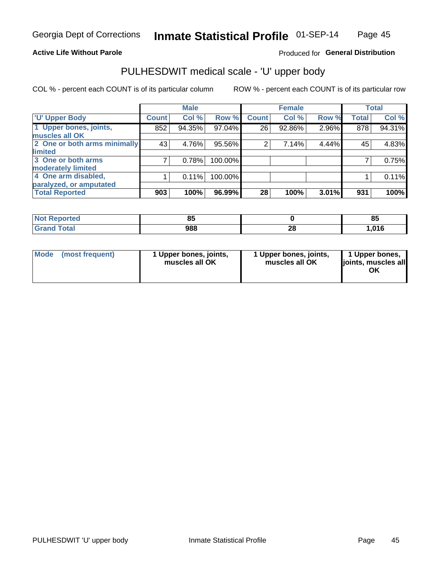## **Active Life Without Parole**

# Produced for General Distribution

# PULHESDWIT medical scale - 'U' upper body

COL % - percent each COUNT is of its particular column

|                              |              | <b>Male</b> |         |              | <b>Female</b> |       |              | <b>Total</b> |
|------------------------------|--------------|-------------|---------|--------------|---------------|-------|--------------|--------------|
| <b>U' Upper Body</b>         | <b>Count</b> | Col %       | Row %   | <b>Count</b> | Col %         | Row % | <b>Total</b> | Col %        |
| 1 Upper bones, joints,       | 852          | 94.35%      | 97.04%  | 26           | 92.86%        | 2.96% | 878          | 94.31%       |
| muscles all OK               |              |             |         |              |               |       |              |              |
| 2 One or both arms minimally | 43           | 4.76%       | 95.56%  | 2            | 7.14%         | 4.44% | 45           | 4.83%        |
| limited                      |              |             |         |              |               |       |              |              |
| 3 One or both arms           |              | 0.78%       | 100.00% |              |               |       |              | 0.75%        |
| moderately limited           |              |             |         |              |               |       |              |              |
| 4 One arm disabled,          |              | 0.11%       | 100.00% |              |               |       |              | 0.11%        |
| paralyzed, or amputated      |              |             |         |              |               |       |              |              |
| <b>Total Reported</b>        | 903          | 100%        | 96.99%  | 28           | 100%          | 3.01% | 931          | 100%         |

| <b>Not Reported</b>   | nг<br>uu |          | ОΙ<br>o. |
|-----------------------|----------|----------|----------|
| <b>Total</b><br>Grand | 988      | ኅር<br>40 | ,016     |

| Mode | (most frequent) | 1 Upper bones, joints,<br>muscles all OK | 1 Upper bones, joints,<br>muscles all OK | 1 Upper bones,<br>ljoints, muscles all<br>OK |
|------|-----------------|------------------------------------------|------------------------------------------|----------------------------------------------|
|------|-----------------|------------------------------------------|------------------------------------------|----------------------------------------------|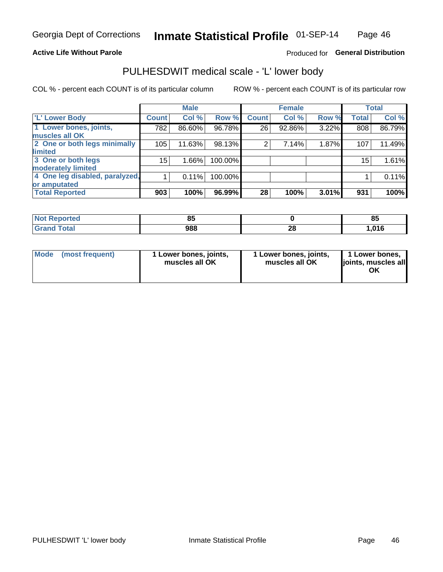## **Active Life Without Parole**

# Produced for General Distribution

# PULHESDWIT medical scale - 'L' lower body

COL % - percent each COUNT is of its particular column

|                                |              | <b>Male</b> |         |                | <b>Female</b> |       |              | <b>Total</b> |
|--------------------------------|--------------|-------------|---------|----------------|---------------|-------|--------------|--------------|
| 'L' Lower Body                 | <b>Count</b> | Col %       | Row %   | <b>Count</b>   | Col %         | Row % | <b>Total</b> | Col %        |
| 1 Lower bones, joints,         | 782          | 86.60%      | 96.78%  | 26             | 92.86%        | 3.22% | 808          | 86.79%       |
| muscles all OK                 |              |             |         |                |               |       |              |              |
| 2 One or both legs minimally   | 105          | 11.63%      | 98.13%  | $\overline{2}$ | 7.14%         | 1.87% | 107          | 11.49%       |
| limited                        |              |             |         |                |               |       |              |              |
| 3 One or both legs             | 15           | $1.66\%$    | 100.00% |                |               |       | 15           | 1.61%        |
| moderately limited             |              |             |         |                |               |       |              |              |
| 4 One leg disabled, paralyzed, |              | 0.11%       | 100.00% |                |               |       |              | 0.11%        |
| or amputated                   |              |             |         |                |               |       |              |              |
| <b>Total Reported</b>          | 903          | 100%        | 96.99%  | 28             | 100%          | 3.01% | 931          | 100%         |

| <b>Not Reported</b>   | nг<br>uu |          | ОΙ<br>o. |
|-----------------------|----------|----------|----------|
| <b>Total</b><br>Grand | 988      | ኅር<br>40 | ,016     |

| Mode | (most frequent) | 1 Lower bones, joints,<br>muscles all OK | 1 Lower bones, joints,<br>muscles all OK | 1 Lower bones,<br>ljoints, muscles all<br>OK |
|------|-----------------|------------------------------------------|------------------------------------------|----------------------------------------------|
|------|-----------------|------------------------------------------|------------------------------------------|----------------------------------------------|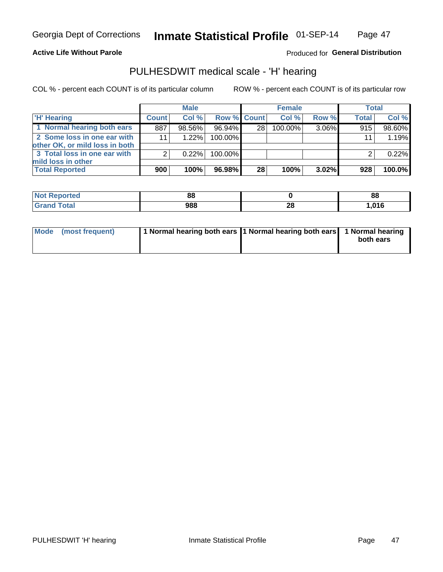## **Active Life Without Parole**

# **Produced for General Distribution**

# PULHESDWIT medical scale - 'H' hearing

COL % - percent each COUNT is of its particular column

|                                                               |              | <b>Male</b> |             |    | <b>Female</b> |          | <b>Total</b> |        |
|---------------------------------------------------------------|--------------|-------------|-------------|----|---------------|----------|--------------|--------|
| <b>'H' Hearing</b>                                            | <b>Count</b> | Col%        | Row % Count |    | Col%          | Row %    | <b>Total</b> | Col %  |
| 1 Normal hearing both ears                                    | 887          | 98.56%      | 96.94%      | 28 | 100.00%       | 3.06%    | 915          | 98.60% |
| 2 Some loss in one ear with<br>other OK, or mild loss in both | 11           | $1.22\%$    | 100.00%     |    |               |          | 11           | 1.19%  |
| 3 Total loss in one ear with<br>mild loss in other            | 2            | 0.22%       | 100.00%     |    |               |          |              | 0.22%  |
| <b>Total Reported</b>                                         | 900          | 100%        | 96.98%      | 28 | 100%          | $3.02\%$ | 928          | 100.0% |

| <b>Reported</b><br><b>NOT</b> | 88  |          | 88    |
|-------------------------------|-----|----------|-------|
| <b>otal</b>                   | 988 | 00<br>ZO | 016,، |

| Mode (most frequent) | 1 Normal hearing both ears 1 Normal hearing both ears 1 Normal hearing |           |
|----------------------|------------------------------------------------------------------------|-----------|
|                      |                                                                        | both ears |
|                      |                                                                        |           |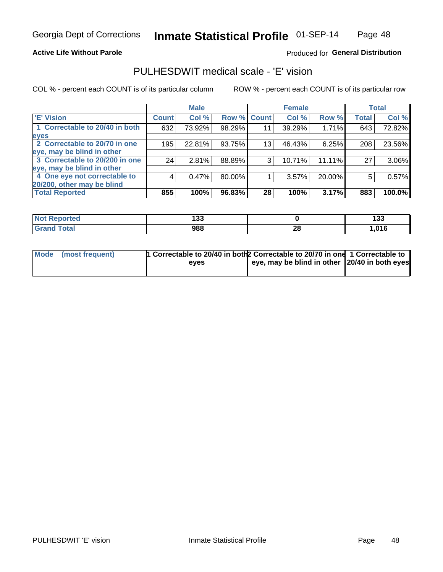## **Active Life Without Parole**

## Produced for General Distribution

# PULHESDWIT medical scale - 'E' vision

COL % - percent each COUNT is of its particular column

|                                |              | <b>Male</b> |        |                 | <b>Female</b> |        |              | <b>Total</b> |
|--------------------------------|--------------|-------------|--------|-----------------|---------------|--------|--------------|--------------|
| <b>E' Vision</b>               | <b>Count</b> | Col %       | Row %  | <b>Count</b>    | Col %         | Row %  | <b>Total</b> | Col %        |
| 1 Correctable to 20/40 in both | 632          | 73.92%      | 98.29% | 11              | 39.29%        | 1.71%  | 643          | 72.82%       |
| eyes                           |              |             |        |                 |               |        |              |              |
| 2 Correctable to 20/70 in one  | 195          | 22.81%      | 93.75% | 13 <sub>1</sub> | 46.43%        | 6.25%  | 208          | 23.56%       |
| eye, may be blind in other     |              |             |        |                 |               |        |              |              |
| 3 Correctable to 20/200 in one | 24           | 2.81%       | 88.89% | 3               | 10.71%        | 11.11% | 27           | 3.06%        |
| eye, may be blind in other     |              |             |        |                 |               |        |              |              |
| 4 One eye not correctable to   | 4            | 0.47%       | 80.00% |                 | 3.57%         | 20.00% | 5            | 0.57%        |
| 20/200, other may be blind     |              |             |        |                 |               |        |              |              |
| <b>Total Reported</b>          | 855          | 100%        | 96.83% | 28              | 100%          | 3.17%  | 883          | 100.0%       |

| <b>Not Reported</b>   | 199<br>טטו |           | .<br>. .<br>199 |
|-----------------------|------------|-----------|-----------------|
| <b>Total</b><br>Grand | 988        | ne.<br>ZС | 04C             |

| Mode (most frequent) | 1 Correctable to 20/40 in both 2 Correctable to 20/70 in one 1 Correctable to<br>eves | eye, may be blind in other 20/40 in both eyes |  |
|----------------------|---------------------------------------------------------------------------------------|-----------------------------------------------|--|
|                      |                                                                                       |                                               |  |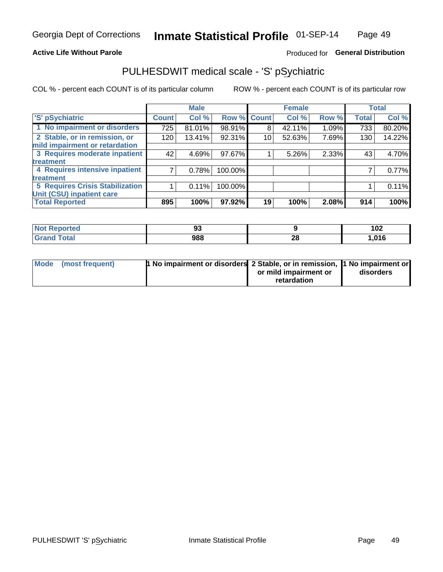## **Active Life Without Parole**

# Produced for General Distribution

# PULHESDWIT medical scale - 'S' pSychiatric

COL % - percent each COUNT is of its particular column

|                                        |              | <b>Male</b> |         |             | <b>Female</b> |       |              | <b>Total</b> |
|----------------------------------------|--------------|-------------|---------|-------------|---------------|-------|--------------|--------------|
| 'S' pSychiatric                        | <b>Count</b> | Col %       |         | Row % Count | Col %         | Row % | <b>Total</b> | Col %        |
| 1 No impairment or disorders           | 725          | 81.01%      | 98.91%  | 8           | 42.11%        | 1.09% | 733          | 80.20%       |
| 2 Stable, or in remission, or          | 120          | 13.41%      | 92.31%  | 10          | 52.63%        | 7.69% | 130          | 14.22%       |
| mild impairment or retardation         |              |             |         |             |               |       |              |              |
| 3 Requires moderate inpatient          | 42           | 4.69%       | 97.67%  |             | 5.26%         | 2.33% | 43           | 4.70%        |
| treatment                              |              |             |         |             |               |       |              |              |
| 4 Requires intensive inpatient         |              | 0.78%       | 100.00% |             |               |       |              | 0.77%        |
| treatment                              |              |             |         |             |               |       |              |              |
| <b>5 Requires Crisis Stabilization</b> |              | 0.11%       | 100.00% |             |               |       |              | 0.11%        |
| Unit (CSU) inpatient care              |              |             |         |             |               |       |              |              |
| <b>Total Reported</b>                  | 895          | 100%        | 97.92%  | 19          | 100%          | 2.08% | 914          | 100%         |

| <b>Enorted</b><br><b>NOT</b><br>Renoi | $\sim$<br>JJ. |          | 102    |
|---------------------------------------|---------------|----------|--------|
| <b>Total</b>                          | 988           | 00<br>ZO | 016, ا |

| Mode (most frequent) | <b>1 No impairment or disorders 2 Stable, or in remission, 1 No impairment or</b> |                       |           |
|----------------------|-----------------------------------------------------------------------------------|-----------------------|-----------|
|                      |                                                                                   | or mild impairment or | disorders |
|                      |                                                                                   | retardation           |           |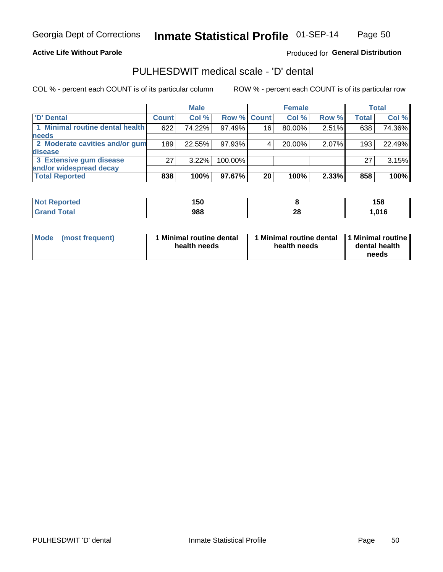**Active Life Without Parole** 

Produced for General Distribution

# PULHESDWIT medical scale - 'D' dental

COL % - percent each COUNT is of its particular column

|                                 |              | <b>Male</b> |         |             | <b>Female</b> |       |              | Total  |
|---------------------------------|--------------|-------------|---------|-------------|---------------|-------|--------------|--------|
| 'D' Dental                      | <b>Count</b> | Col %       |         | Row % Count | Col %         | Row % | <b>Total</b> | Col %  |
| 1 Minimal routine dental health | 622          | 74.22%      | 97.49%  | 16          | 80.00%        | 2.51% | 638          | 74.36% |
| <b>needs</b>                    |              |             |         |             |               |       |              |        |
| 2 Moderate cavities and/or gum  | 189          | 22.55%      | 97.93%  |             | 20.00%        | 2.07% | 193          | 22.49% |
| <b>disease</b>                  |              |             |         |             |               |       |              |        |
| 3 Extensive gum disease         | 27           | 3.22%       | 100.00% |             |               |       | 27           | 3.15%  |
| and/or widespread decay         |              |             |         |             |               |       |              |        |
| <b>Total Reported</b>           | 838          | 100%        | 97.67%  | 20          | 100%          | 2.33% | 858          | 100%   |

| rtea<br>NOT<br>. | 150<br>טעו |                 | 158  |
|------------------|------------|-----------------|------|
| int              | 988        | ኅር<br><b>ZO</b> | ,016 |

| <b>Mode</b><br><b>Minimal routine dental</b><br>(most frequent)<br>health needs | Minimal routine dental<br>health needs | 1 Minimal routine<br>dental health<br>needs |
|---------------------------------------------------------------------------------|----------------------------------------|---------------------------------------------|
|---------------------------------------------------------------------------------|----------------------------------------|---------------------------------------------|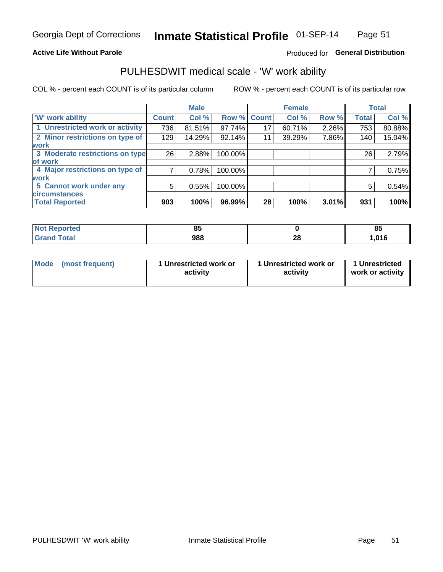## **Active Life Without Parole**

# Produced for General Distribution

# PULHESDWIT medical scale - 'W' work ability

COL % - percent each COUNT is of its particular column

|                                 |              | <b>Male</b> |         |             | <b>Female</b> |       |              | <b>Total</b> |
|---------------------------------|--------------|-------------|---------|-------------|---------------|-------|--------------|--------------|
| <b>W' work ability</b>          | <b>Count</b> | Col %       |         | Row % Count | Col %         | Row % | <b>Total</b> | Col %        |
| 1 Unrestricted work or activity | 736          | 81.51%      | 97.74%  | 17          | 60.71%        | 2.26% | 753          | 80.88%       |
| 2 Minor restrictions on type of | 129          | 14.29%      | 92.14%  | 11          | 39.29%        | 7.86% | 140          | 15.04%       |
| <b>work</b>                     |              |             |         |             |               |       |              |              |
| 3 Moderate restrictions on type | 26           | 2.88%       | 100.00% |             |               |       | 26           | 2.79%        |
| lof work                        |              |             |         |             |               |       |              |              |
| 4 Major restrictions on type of |              | 0.78%       | 100.00% |             |               |       |              | 0.75%        |
| <b>work</b>                     |              |             |         |             |               |       |              |              |
| 5 Cannot work under any         | 5            | 0.55%       | 100.00% |             |               |       | 5            | 0.54%        |
| <b>circumstances</b>            |              |             |         |             |               |       |              |              |
| <b>Total Reported</b>           | 903          | 100%        | 96.99%  | 28          | 100%          | 3.01% | 931          | 100%         |

| <b>Not Reported</b>           | o.  |          | O L<br>o. |
|-------------------------------|-----|----------|-----------|
| <b>Total</b><br>Cron<br>Grand | 988 | ኅር<br>∠∪ | 016,      |

| <b>Mode</b> | (most frequent) | 1 Unrestricted work or<br>activity | 1 Unrestricted work or<br>activity | 1 Unrestricted<br>work or activity |
|-------------|-----------------|------------------------------------|------------------------------------|------------------------------------|
|-------------|-----------------|------------------------------------|------------------------------------|------------------------------------|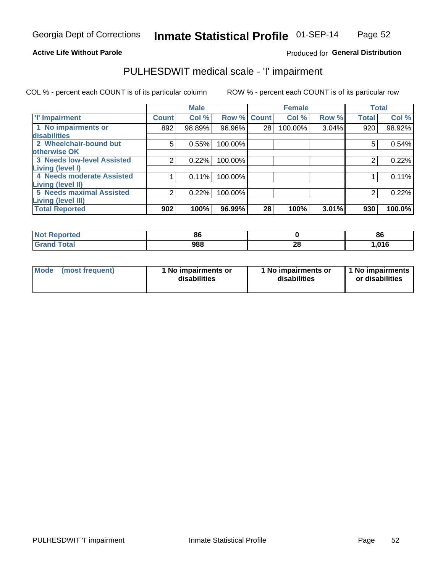## **Active Life Without Parole**

# Produced for General Distribution

# PULHESDWIT medical scale - 'I' impairment

|                                   |              | <b>Male</b> |             |    | <b>Female</b> |       |              | <b>Total</b> |
|-----------------------------------|--------------|-------------|-------------|----|---------------|-------|--------------|--------------|
| <b>T' Impairment</b>              | <b>Count</b> | Col %       | Row % Count |    | Col %         | Row % | <b>Total</b> | Col %        |
| 1 No impairments or               | 892          | 98.89%      | 96.96%      | 28 | 100.00%       | 3.04% | 920          | 98.92%       |
| <b>disabilities</b>               |              |             |             |    |               |       |              |              |
| 2 Wheelchair-bound but            | 5            | 0.55%       | 100.00%     |    |               |       | 5            | 0.54%        |
| otherwise OK                      |              |             |             |    |               |       |              |              |
| <b>3 Needs low-level Assisted</b> | 2            | 0.22%       | 100.00%     |    |               |       |              | 0.22%        |
| Living (level I)                  |              |             |             |    |               |       |              |              |
| 4 Needs moderate Assisted         |              | 0.11%       | 100.00%     |    |               |       |              | 0.11%        |
| Living (level II)                 |              |             |             |    |               |       |              |              |
| <b>5 Needs maximal Assisted</b>   | 2            | 0.22%       | 100.00%     |    |               |       |              | 0.22%        |
| <b>Living (level III)</b>         |              |             |             |    |               |       |              |              |
| <b>Total Reported</b>             | 902          | 100%        | 96.99%      | 28 | 100%          | 3.01% | 930          | 100.0%       |

| <b>eported</b> | 86  |         | 86   |
|----------------|-----|---------|------|
| <b>otal</b>    | 988 | ጣ<br>ZO | ,016 |

| Mode | (most frequent) | 1 No impairments or<br>disabilities | 1 No impairments or<br>disabilities | 1 No impairments<br>or disabilities |
|------|-----------------|-------------------------------------|-------------------------------------|-------------------------------------|
|------|-----------------|-------------------------------------|-------------------------------------|-------------------------------------|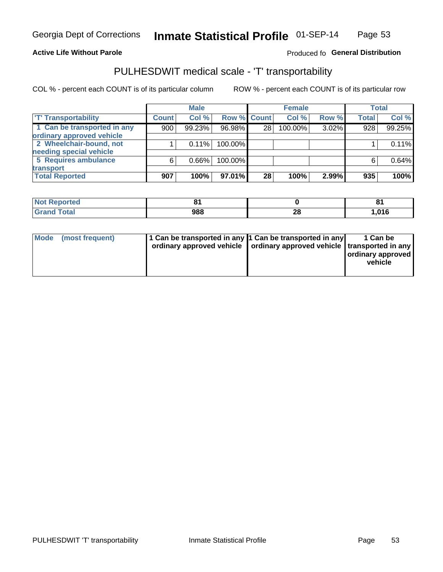## **Active Life Without Parole**

## Produced fo General Distribution

# PULHESDWIT medical scale - 'T' transportability

COL % - percent each COUNT is of its particular column

|                             |              | <b>Male</b> |             |    | <b>Female</b> |       |              | <b>Total</b> |
|-----------------------------|--------------|-------------|-------------|----|---------------|-------|--------------|--------------|
| <b>T' Transportability</b>  | <b>Count</b> | Col %       | Row % Count |    | Col %         | Row % | <b>Total</b> | Col %        |
| 1 Can be transported in any | 900          | 99.23%      | 96.98%      | 28 | 100.00%       | 3.02% | 928          | 99.25%       |
| ordinary approved vehicle   |              |             |             |    |               |       |              |              |
| 2 Wheelchair-bound, not     |              | 0.11%       | 100.00%     |    |               |       |              | 0.11%        |
| needing special vehicle     |              |             |             |    |               |       |              |              |
| 5 Requires ambulance        | 6            | $0.66\%$    | 100.00%     |    |               |       |              | 0.64%        |
| transport                   |              |             |             |    |               |       |              |              |
| <b>Total Reported</b>       | 907          | 100%        | 97.01%      | 28 | 100%          | 2.99% | 935          | 100%         |

| Reported     | n.<br>o |                | о4<br>$\bullet$ |
|--------------|---------|----------------|-----------------|
| <b>"otal</b> | 988     | ኅር<br>ZO<br>__ | 1,016           |

| Mode (most frequent) | 1 Can be transported in any 1 Can be transported in any | ordinary approved vehicle   ordinary approved vehicle   transported in any | 1 Can be<br>  ordinary approved<br>vehicle |
|----------------------|---------------------------------------------------------|----------------------------------------------------------------------------|--------------------------------------------|
|----------------------|---------------------------------------------------------|----------------------------------------------------------------------------|--------------------------------------------|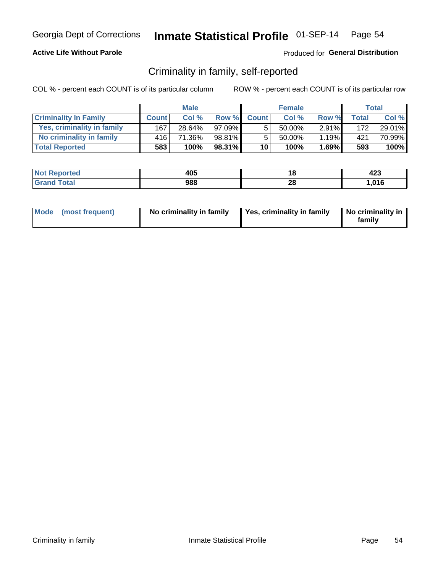## **Active Life Without Parole**

## Produced for General Distribution

# Criminality in family, self-reported

COL % - percent each COUNT is of its particular column

|                              |              | <b>Male</b> |           |                 | <b>Female</b> |          |       | Total  |
|------------------------------|--------------|-------------|-----------|-----------------|---------------|----------|-------|--------|
| <b>Criminality In Family</b> | <b>Count</b> | Col %       | Row %     | <b>Count</b>    | Col %         | Row %    | Total | Col %  |
| Yes, criminality in family   | 167          | 28.64%      | $97.09\%$ | 5               | 50.00%        | $2.91\%$ | 172   | 29.01% |
| No criminality in family     | 416'         | 71.36%      | 98.81%    | 5               | $50.00\%$     | 1.19%    | 421   | 70.99% |
| <b>Total Reported</b>        | 583          | 100%        | 98.31%    | 10 <sup>1</sup> | 100%          | 1.69%    | 593   | 100%   |

| <b>Not Reported</b> | 405 | ιu       | "^^<br>423 |
|---------------------|-----|----------|------------|
| <b>Total</b>        | 988 | ኅር<br>∠o | .016       |

|  | Mode (most frequent) | No criminality in family | Yes, criminality in family | No criminality in<br>family |
|--|----------------------|--------------------------|----------------------------|-----------------------------|
|--|----------------------|--------------------------|----------------------------|-----------------------------|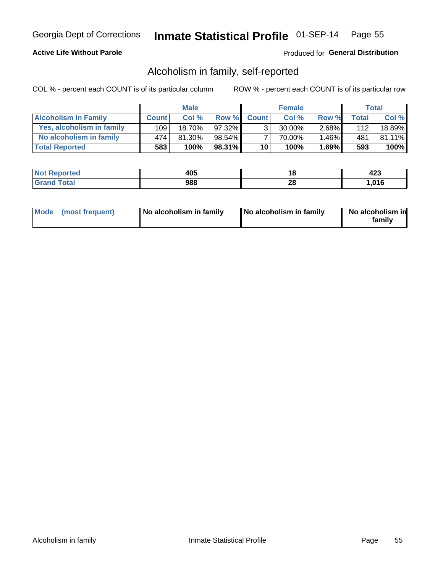# **Active Life Without Parole**

# Produced for General Distribution

# Alcoholism in family, self-reported

COL % - percent each COUNT is of its particular column

|                             |              | <b>Male</b> |           |                 | <b>Female</b> |          |              | Total   |
|-----------------------------|--------------|-------------|-----------|-----------------|---------------|----------|--------------|---------|
| <b>Alcoholism In Family</b> | <b>Count</b> | Col%        | Row %     | <b>Count</b>    | Col%          | Row %    | <b>Total</b> | Col %   |
| Yes, alcoholism in family   | 109          | 18.70%      | $97.32\%$ | 3 <sub>1</sub>  | $30.00\%$     | $2.68\%$ | 112          | 18.89%  |
| No alcoholism in family     | 474          | 81.30%      | 98.54%    |                 | 70.00%        | 1.46%    | 481          | 81.11%  |
| <b>Total Reported</b>       | 583          | 100%        | 98.31%    | 10 <sup>1</sup> | 100%          | $1.69\%$ | 593          | $100\%$ |

| <b>Not Reported</b> | 405 |         | ,,,<br>423 |
|---------------------|-----|---------|------------|
| <b>Total</b>        | 988 | ഹ<br>20 | 016،،      |

|  | Mode (most frequent) | No alcoholism in family | No alcoholism in family | No alcoholism in<br>family |
|--|----------------------|-------------------------|-------------------------|----------------------------|
|--|----------------------|-------------------------|-------------------------|----------------------------|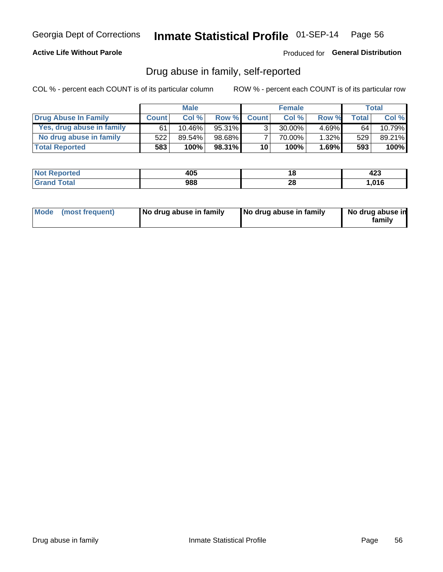## **Active Life Without Parole**

Produced for General Distribution

# Drug abuse in family, self-reported

COL % - percent each COUNT is of its particular column

|                           |              | <b>Male</b> |        |                 | <b>Female</b> |          |              | Total  |
|---------------------------|--------------|-------------|--------|-----------------|---------------|----------|--------------|--------|
| Drug Abuse In Family      | <b>Count</b> | Col%        | Row %  | <b>Count</b>    | Col%          | Row %    | <b>Total</b> | Col %  |
| Yes, drug abuse in family | 61           | 10.46%      | 95.31% | 3               | 30.00%        | $4.69\%$ | 64           | 10.79% |
| No drug abuse in family   | 522          | 89.54%      | 98.68% |                 | 70.00%        | $1.32\%$ | 529          | 89.21% |
| <b>Total Reported</b>     | 583          | 100%        | 98.31% | 10 <sup>1</sup> | 100%          | 1.69%    | 593          | 100%   |

| <b>Not Reported</b> | 405 |         | ,,,<br>423 |
|---------------------|-----|---------|------------|
| <b>Total</b>        | 988 | ഹ<br>20 | 016،،      |

|  | Mode (most frequent) | No drug abuse in family | No drug abuse in family | No drug abuse in<br>family |
|--|----------------------|-------------------------|-------------------------|----------------------------|
|--|----------------------|-------------------------|-------------------------|----------------------------|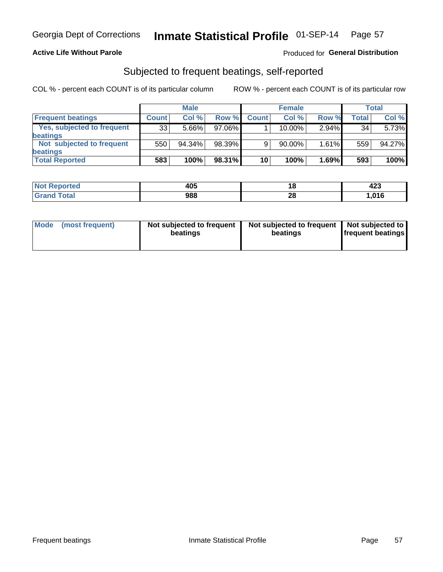## **Active Life Without Parole**

# Produced for General Distribution

# Subjected to frequent beatings, self-reported

COL % - percent each COUNT is of its particular column

|                                   |              | <b>Male</b> |        |              | <b>Female</b> |          |       | Total  |
|-----------------------------------|--------------|-------------|--------|--------------|---------------|----------|-------|--------|
| <b>Frequent beatings</b>          | <b>Count</b> | Col %       | Row %  | <b>Count</b> | Col %         | Row %    | Total | Col %  |
| <b>Yes, subjected to frequent</b> | 33           | 5.66%       | 97.06% |              | 10.00%        | $2.94\%$ | 34    | 5.73%  |
| <b>beatings</b>                   |              |             |        |              |               |          |       |        |
| Not subjected to frequent         | 550          | 94.34%      | 98.39% | 9            | 90.00%        | 1.61%    | 559   | 94.27% |
| <b>beatings</b>                   |              |             |        |              |               |          |       |        |
| <b>Total Reported</b>             | 583          | 100%        | 98.31% | 10           | 100%          | 1.69%    | 593   | 100%   |

| <b>Not Reported</b> | 405 | 10.     | ,,,<br>423 |
|---------------------|-----|---------|------------|
| <b>Total</b>        | 988 | റ<br>20 | .016       |

| Mode (most frequent) | Not subjected to frequent<br>beatings | Not subjected to frequent<br>beatings | Not subjected to<br><b>frequent beatings</b> |
|----------------------|---------------------------------------|---------------------------------------|----------------------------------------------|
|                      |                                       |                                       |                                              |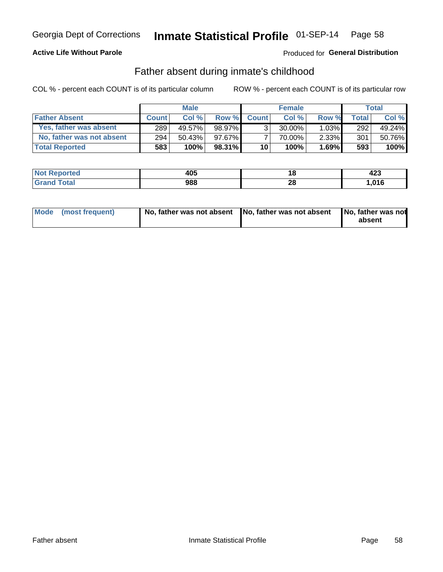# **Active Life Without Parole**

# **Produced for General Distribution**

# Father absent during inmate's childhood

COL % - percent each COUNT is of its particular column

|                           |              | <b>Male</b> |        |                 | <b>Female</b> |          |         | Total   |
|---------------------------|--------------|-------------|--------|-----------------|---------------|----------|---------|---------|
| <b>Father Absent</b>      | <b>Count</b> | Col%        | Row %  | <b>Count</b>    | Col %         | Row %    | Total i | Col %   |
| Yes, father was absent    | 289          | 49.57%      | 98.97% | $\mathcal{R}_1$ | $30.00\%$     | $1.03\%$ | 292     | 49.24%  |
| No, father was not absent | 294          | 50.43%      | 97.67% |                 | 70.00%        | $2.33\%$ | 301     | 50.76%  |
| <b>Total Reported</b>     | 583          | 100%        | 98.31% | 10 <sup>1</sup> | 100%          | 1.69%    | 593     | $100\%$ |

| <b>Not Reported</b>   | 405 |                 | ,,,<br>443 |
|-----------------------|-----|-----------------|------------|
| Гоtal<br><b>Grand</b> | 988 | ne.<br>ZС<br>__ | ,016       |

| Mode (most frequent) |  | No, father was not absent No, father was not absent No, father was not | absent |
|----------------------|--|------------------------------------------------------------------------|--------|
|----------------------|--|------------------------------------------------------------------------|--------|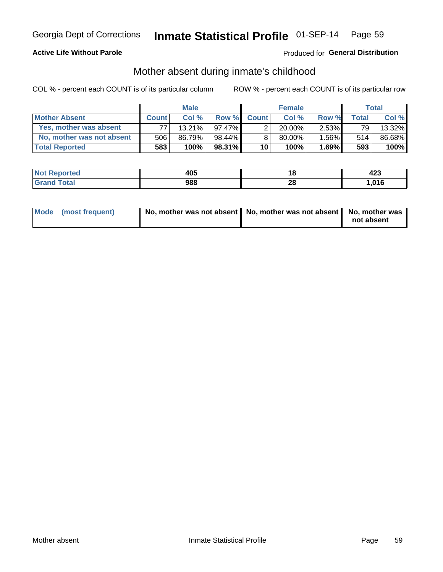# **Active Life Without Parole**

# **Produced for General Distribution**

# Mother absent during inmate's childhood

COL % - percent each COUNT is of its particular column

|                           |              | <b>Male</b> |        |                 | <b>Female</b> |          |       | Total  |
|---------------------------|--------------|-------------|--------|-----------------|---------------|----------|-------|--------|
| <b>Mother Absent</b>      | <b>Count</b> | Col%        | Row %  | <b>Count</b>    | Col%          | Row %    | Total | Col %  |
| Yes, mother was absent    | 77           | $13.21\%$   | 97.47% | ◠               | $20.00\%$     | $2.53\%$ | 791   | 13.32% |
| No, mother was not absent | 506          | 86.79%      | 98.44% | 8               | 80.00%        | $1.56\%$ | 514   | 86.68% |
| <b>Total Reported</b>     | 583          | 100%        | 98.31% | 10 <sup>1</sup> | 100%          | 1.69%    | 593   | 100%   |

| <b>Not</b><br>Reported | 405 | ı o            | "י<br>443 |
|------------------------|-----|----------------|-----------|
| <b>otal</b>            | 988 | റല<br>ZO<br>__ | ,016      |

| Mode (most frequent) | No, mother was not absent   No, mother was not absent   No, mother was | not absent |
|----------------------|------------------------------------------------------------------------|------------|
|                      |                                                                        |            |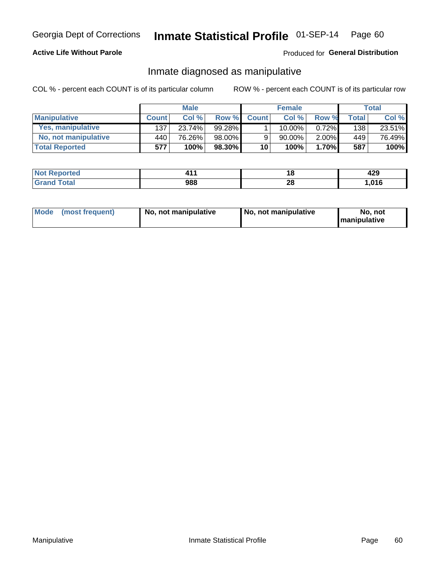# **Active Life Without Parole**

# Produced for General Distribution

# Inmate diagnosed as manipulative

COL % - percent each COUNT is of its particular column

|                          |              | <b>Male</b> |           |              | <b>Female</b> |          |              | Total  |
|--------------------------|--------------|-------------|-----------|--------------|---------------|----------|--------------|--------|
| <b>Manipulative</b>      | <b>Count</b> | Col%        | Row %     | <b>Count</b> | Col%          | Row %    | <b>Total</b> | Col %  |
| <b>Yes, manipulative</b> | 137          | 23.74%      | 99.28%    |              | $10.00\%$ ,   | $0.72\%$ | 138          | 23.51% |
| No, not manipulative     | 440 l        | 76.26%      | 98.00%    | 9            | 90.00%        | 2.00%    | 449          | 76.49% |
| <b>Total Reported</b>    | 577          | 100%        | $98.30\%$ | 10           | 100%          | 1.70%    | 587          | 100%   |

| <b>Not Reported</b> | .   | ı a      | . מ<br>44J |
|---------------------|-----|----------|------------|
| <b>Total</b>        | 988 | ററ<br>∠∪ | 016، ا     |

|  | Mode (most frequent) | No, not manipulative | No, not manipulative | No. not<br><b>I</b> manipulative |
|--|----------------------|----------------------|----------------------|----------------------------------|
|--|----------------------|----------------------|----------------------|----------------------------------|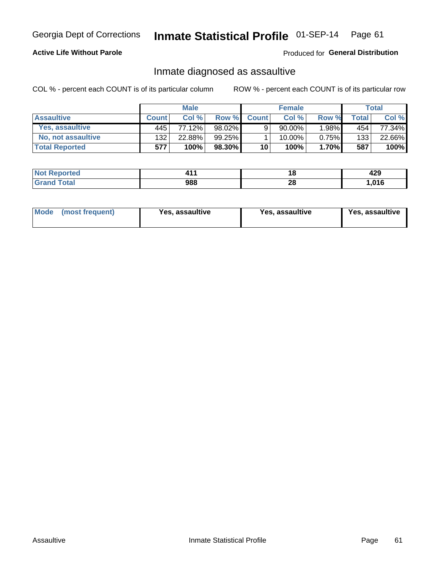# Inmate Statistical Profile 01-SEP-14 Page 61

# **Active Life Without Parole**

Produced for General Distribution

# Inmate diagnosed as assaultive

COL % - percent each COUNT is of its particular column

|                       |              | <b>Male</b> |           |              | <b>Female</b> |          |       | Total  |
|-----------------------|--------------|-------------|-----------|--------------|---------------|----------|-------|--------|
| <b>Assaultive</b>     | <b>Count</b> | Col%        | Row %     | <b>Count</b> | Col %         | Row %    | Total | Col %  |
| Yes, assaultive       | 445          | 77.12%      | 98.02%    | 9            | $90.00\%$     | .98%     | 454   | 77.34% |
| No. not assaultive    | 132          | 22.88%      | 99.25%    |              | 10.00%        | $0.75\%$ | 133   | 22.66% |
| <b>Total Reported</b> | 577          | 100%        | $98.30\%$ | 10           | 100%          | $1.70\%$ | 587   | 100%   |

| <b>Not</b><br>Reported |     |          | ,,,<br>443 |
|------------------------|-----|----------|------------|
| <i>i</i> otal          | 988 | ግብ<br>ZO | .016       |

| Mode (most frequent)<br>Yes, assaultive | Yes, assaultive | <b>Yes, assaultive</b> |
|-----------------------------------------|-----------------|------------------------|
|-----------------------------------------|-----------------|------------------------|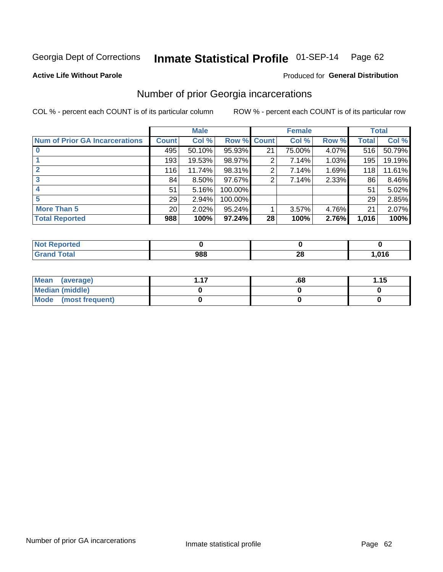### Inmate Statistical Profile 01-SEP-14 Page 62

### **Active Life Without Parole**

### Produced for General Distribution

# Number of prior Georgia incarcerations

COL % - percent each COUNT is of its particular column

|                                       |                 | <b>Male</b> |             |                 | <b>Female</b> |       |       | <b>Total</b> |
|---------------------------------------|-----------------|-------------|-------------|-----------------|---------------|-------|-------|--------------|
| <b>Num of Prior GA Incarcerations</b> | Count           | Col %       | Row % Count |                 | Col %         | Row % | Total | Col %        |
|                                       | 495             | 50.10%      | 95.93%      | 21              | 75.00%        | 4.07% | 516   | 50.79%       |
|                                       | 193             | 19.53%      | 98.97%      | 2               | 7.14%         | 1.03% | 195   | 19.19%       |
|                                       | 116             | 11.74%      | 98.31%      | 2               | 7.14%         | 1.69% | 118   | 11.61%       |
| 3                                     | 84              | 8.50%       | $97.67\%$   | 2               | 7.14%         | 2.33% | 86    | 8.46%        |
| 4                                     | 51              | 5.16%       | 100.00%     |                 |               |       | 51    | 5.02%        |
| 5                                     | 29              | 2.94%       | 100.00%     |                 |               |       | 29    | 2.85%        |
| <b>More Than 5</b>                    | 20 <sub>1</sub> | 2.02%       | $95.24\%$   |                 | 3.57%         | 4.76% | 21    | 2.07%        |
| <b>Total Reported</b>                 | 988             | 100%        | $97.24\%$   | 28 <sub>1</sub> | 100%          | 2.76% | 1,016 | 100%         |

| eported<br><b>NO</b><br> |            |                                                 |       |
|--------------------------|------------|-------------------------------------------------|-------|
| <b>Total</b>             | noc<br>YOG | $\sim$<br>ZO<br>the contract of the contract of | 016,، |

| Mean (average)       | .68 | 1.15 |
|----------------------|-----|------|
| Median (middle)      |     |      |
| Mode (most frequent) |     |      |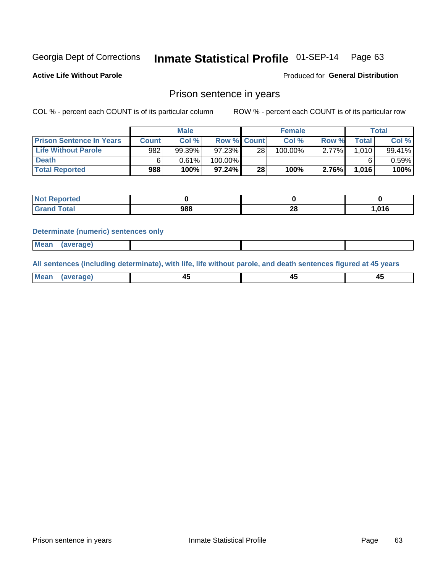### Inmate Statistical Profile 01-SEP-14 Page 63

**Active Life Without Parole** 

Produced for General Distribution

# Prison sentence in years

COL % - percent each COUNT is of its particular column

ROW % - percent each COUNT is of its particular row

|                                 |              | <b>Male</b> |                    |    | <b>Female</b> |       |             | Total  |
|---------------------------------|--------------|-------------|--------------------|----|---------------|-------|-------------|--------|
| <b>Prison Sentence In Years</b> | <b>Count</b> | Col %       | <b>Row % Count</b> |    | $Col \%$      | Row % | $\tau$ otal | Col %  |
| <b>Life Without Parole</b>      | 982          | 99.39%      | 97.23%             | 28 | 100.00%       | 2.77% | 1.010 l     | 99.41% |
| <b>Death</b>                    |              | 0.61%       | 100.00%            |    |               |       |             | 0.59%  |
| <b>Total Reported</b>           | 988          | 100%        | 97.24%             | 28 | 100%          | 2.76% | 1,016       | 100%   |

| . Reported<br>NOT |     |         |      |
|-------------------|-----|---------|------|
| <b>Total</b>      | 988 | ഹ<br>40 | .016 |

### **Determinate (numeric) sentences only**

| ' Mea<br><b>Service</b> A<br>ЯМА. |  |  |  |
|-----------------------------------|--|--|--|
|                                   |  |  |  |

All sentences (including determinate), with life, life without parole, and death sentences figured at 45 years

| l Mea<br>'апе<br>.<br> | ᠇<br>$\sim$ | $\sim$ |  |
|------------------------|-------------|--------|--|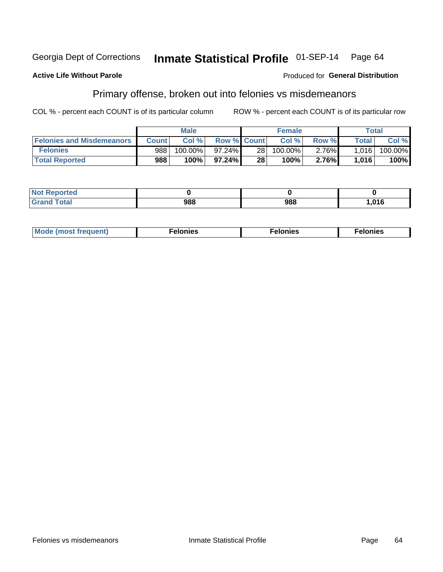### **Active Life Without Parole**

# **Produced for General Distribution**

# Primary offense, broken out into felonies vs misdemeanors

COL % - percent each COUNT is of its particular column

|                                  |              | <b>Male</b> |                    |                 | <b>Female</b> |          | Total        |         |
|----------------------------------|--------------|-------------|--------------------|-----------------|---------------|----------|--------------|---------|
| <b>Felonies and Misdemeanors</b> | <b>Count</b> | Col $%$     | <b>Row % Count</b> |                 | Col%          | Row %    | <b>Total</b> | Col %   |
| <b>Felonies</b>                  | 988          | $100.00\%$  | 97.24%             | 28 <sub>1</sub> | 100.00%       | $2.76\%$ | 1.016        | 100.00% |
| <b>Total Reported</b>            | 988          | $100\%$     | 97.24%             | 28              | 100%          | 2.76%    | 1,016        | 100%    |

| <b>Not Reported</b>                 |            |     |              |
|-------------------------------------|------------|-----|--------------|
| <b>Total</b><br>Grand<br><b>UIU</b> | noo<br>,00 | 988 | 04C<br>ט ו ט |

| <b>Mode</b><br>frequent)<br>nies<br>≧ (most tr.<br>. | onies<br>. | lonies<br>ею<br>____ |
|------------------------------------------------------|------------|----------------------|
|------------------------------------------------------|------------|----------------------|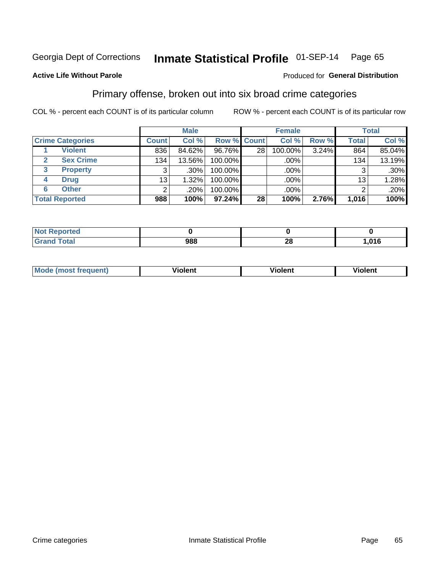#### Inmate Statistical Profile 01-SEP-14 Page 65

## **Active Life Without Parole**

### Produced for General Distribution

# Primary offense, broken out into six broad crime categories

COL % - percent each COUNT is of its particular column

|                                  |              | <b>Male</b> |           |                 | <b>Female</b> |       |              | <b>Total</b> |
|----------------------------------|--------------|-------------|-----------|-----------------|---------------|-------|--------------|--------------|
| <b>Crime Categories</b>          | <b>Count</b> | Col %       |           | Row % Count     | Col %         | Row % | <b>Total</b> | Col %        |
| <b>Violent</b>                   | 836          | 84.62%      | 96.76%    | 28              | 100.00%       | 3.24% | 864          | 85.04%       |
| <b>Sex Crime</b><br>$\mathbf{2}$ | 134          | 13.56%      | 100.00%   |                 | .00%          |       | 134          | 13.19%       |
| 3<br><b>Property</b>             | 3            | $.30\%$     | 100.00%   |                 | .00%          |       | 3            | $.30\%$      |
| <b>Drug</b><br>4                 | 13           | 1.32%       | 100.00%   |                 | .00%          |       | 13           | 1.28%        |
| <b>Other</b><br>6                | 2            | .20%        | 100.00%   |                 | .00%          |       | 2            | .20%         |
| <b>Total Reported</b>            | 988          | 100%        | $97.24\%$ | 28 <sub>1</sub> | 100%          | 2.76% | 1,016        | 100%         |

| <b>Not Reported</b> |     |         |      |
|---------------------|-----|---------|------|
| <b>Total</b>        | 988 | ົ<br>40 | .016 |

| M | . | 40 O |
|---|---|------|
|   |   |      |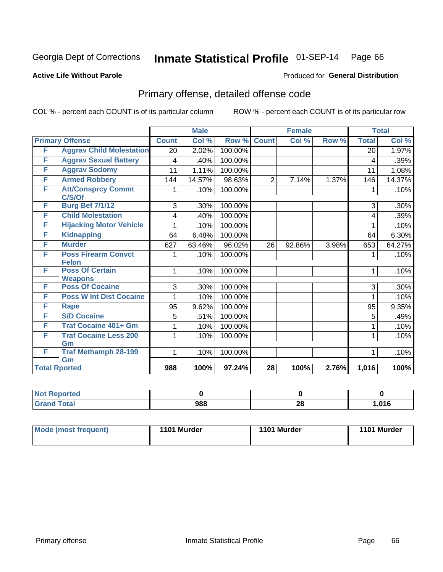# Inmate Statistical Profile 01-SEP-14 Page 66

## **Active Life Without Parole**

### Produced for General Distribution

# Primary offense, detailed offense code

COL % - percent each COUNT is of its particular column

|   |                                            |              | <b>Male</b> |         |                 | <b>Female</b> |       |              | <b>Total</b> |
|---|--------------------------------------------|--------------|-------------|---------|-----------------|---------------|-------|--------------|--------------|
|   | <b>Primary Offense</b>                     | <b>Count</b> | Col%        | Row %   | <b>Count</b>    | Col %         | Row % | <b>Total</b> | Col %        |
| F | <b>Aggrav Child Molestation</b>            | 20           | 2.02%       | 100.00% |                 |               |       | 20           | 1.97%        |
| F | <b>Aggrav Sexual Battery</b>               | 4            | .40%        | 100.00% |                 |               |       | 4            | .39%         |
| F | <b>Aggrav Sodomy</b>                       | 11           | 1.11%       | 100.00% |                 |               |       | 11           | 1.08%        |
| F | <b>Armed Robbery</b>                       | 144          | 14.57%      | 98.63%  | $\overline{2}$  | 7.14%         | 1.37% | 146          | 14.37%       |
| F | <b>Att/Consprcy Commt</b><br>C/S/Of        |              | .10%        | 100.00% |                 |               |       |              | .10%         |
| F | <b>Burg Bef 7/1/12</b>                     | 3            | .30%        | 100.00% |                 |               |       | 3            | .30%         |
| F | <b>Child Molestation</b>                   | 4            | .40%        | 100.00% |                 |               |       | 4            | .39%         |
| F | <b>Hijacking Motor Vehicle</b>             |              | .10%        | 100.00% |                 |               |       |              | .10%         |
| F | <b>Kidnapping</b>                          | 64           | 6.48%       | 100.00% |                 |               |       | 64           | 6.30%        |
| F | <b>Murder</b>                              | 627          | 63.46%      | 96.02%  | 26              | 92.86%        | 3.98% | 653          | 64.27%       |
| F | <b>Poss Firearm Convct</b><br><b>Felon</b> | 1            | .10%        | 100.00% |                 |               |       | 1            | .10%         |
| F | <b>Poss Of Certain</b><br><b>Weapons</b>   | 1            | .10%        | 100.00% |                 |               |       | 1            | .10%         |
| F | <b>Poss Of Cocaine</b>                     | 3            | .30%        | 100.00% |                 |               |       | 3            | .30%         |
| F | <b>Poss W Int Dist Cocaine</b>             |              | .10%        | 100.00% |                 |               |       |              | .10%         |
| F | Rape                                       | 95           | 9.62%       | 100.00% |                 |               |       | 95           | 9.35%        |
| F | <b>S/D Cocaine</b>                         | 5            | .51%        | 100.00% |                 |               |       | 5            | .49%         |
| F | <b>Traf Cocaine 401+ Gm</b>                |              | .10%        | 100.00% |                 |               |       | 1            | .10%         |
| F | <b>Traf Cocaine Less 200</b>               | 1            | .10%        | 100.00% |                 |               |       | 1            | .10%         |
| F | Gm<br><b>Traf Methamph 28-199</b><br>Gm    | $\mathbf 1$  | .10%        | 100.00% |                 |               |       | 1            | .10%         |
|   | <b>Total Rported</b>                       | 988          | 100%        | 97.24%  | $\overline{28}$ | 100%          | 2.76% | 1,016        | 100%         |

| Reported<br><b>NOT</b> |     |           |      |
|------------------------|-----|-----------|------|
| <b>Total</b>           | 988 | no.<br>20 | 016, |

| Mode (most frequent) | 1101 Murder | 1101 Murder | 1101 Murder |
|----------------------|-------------|-------------|-------------|
|----------------------|-------------|-------------|-------------|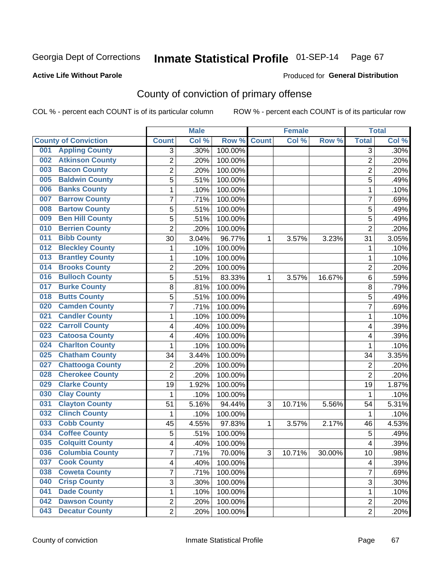## **Active Life Without Parole**

### Produced for **General Distribution**

# County of conviction of primary offense

|                                |                | <b>Male</b> |                  |              | <b>Female</b> |        |                | <b>Total</b> |
|--------------------------------|----------------|-------------|------------------|--------------|---------------|--------|----------------|--------------|
| <b>County of Conviction</b>    | <b>Count</b>   | Col %       | Row <sup>%</sup> | <b>Count</b> | Col %         | Row %  | <b>Total</b>   | Col %        |
| <b>Appling County</b><br>001   | 3              | .30%        | 100.00%          |              |               |        | 3              | $.30\%$      |
| <b>Atkinson County</b><br>002  | $\overline{2}$ | .20%        | 100.00%          |              |               |        | $\overline{2}$ | .20%         |
| <b>Bacon County</b><br>003     | 2              | .20%        | 100.00%          |              |               |        | 2              | .20%         |
| <b>Baldwin County</b><br>005   | $\overline{5}$ | .51%        | 100.00%          |              |               |        | $\overline{5}$ | .49%         |
| <b>Banks County</b><br>006     | 1              | .10%        | 100.00%          |              |               |        | $\mathbf{1}$   | .10%         |
| <b>Barrow County</b><br>007    | 7              | .71%        | 100.00%          |              |               |        | $\overline{7}$ | .69%         |
| <b>Bartow County</b><br>008    | 5              | .51%        | 100.00%          |              |               |        | 5              | .49%         |
| <b>Ben Hill County</b><br>009  | 5              | .51%        | 100.00%          |              |               |        | $\overline{5}$ | .49%         |
| <b>Berrien County</b><br>010   | $\overline{2}$ | .20%        | 100.00%          |              |               |        | $\overline{2}$ | .20%         |
| <b>Bibb County</b><br>011      | 30             | 3.04%       | 96.77%           | 1            | 3.57%         | 3.23%  | 31             | 3.05%        |
| <b>Bleckley County</b><br>012  | 1              | .10%        | 100.00%          |              |               |        | 1              | .10%         |
| <b>Brantley County</b><br>013  | 1              | .10%        | 100.00%          |              |               |        | 1              | .10%         |
| <b>Brooks County</b><br>014    | $\overline{2}$ | .20%        | 100.00%          |              |               |        | $\overline{2}$ | .20%         |
| <b>Bulloch County</b><br>016   | 5              | .51%        | 83.33%           | 1            | 3.57%         | 16.67% | 6              | .59%         |
| <b>Burke County</b><br>017     | 8              | .81%        | 100.00%          |              |               |        | 8              | .79%         |
| <b>Butts County</b><br>018     | 5              | .51%        | 100.00%          |              |               |        | $\overline{5}$ | .49%         |
| <b>Camden County</b><br>020    | 7              | .71%        | 100.00%          |              |               |        | 7              | .69%         |
| <b>Candler County</b><br>021   | 1              | .10%        | 100.00%          |              |               |        | 1              | .10%         |
| <b>Carroll County</b><br>022   | 4              | .40%        | 100.00%          |              |               |        | 4              | .39%         |
| <b>Catoosa County</b><br>023   | 4              | .40%        | 100.00%          |              |               |        | 4              | .39%         |
| <b>Charlton County</b><br>024  | 1              | .10%        | 100.00%          |              |               |        | 1              | .10%         |
| <b>Chatham County</b><br>025   | 34             | 3.44%       | 100.00%          |              |               |        | 34             | 3.35%        |
| <b>Chattooga County</b><br>027 | 2              | .20%        | 100.00%          |              |               |        | $\overline{2}$ | .20%         |
| <b>Cherokee County</b><br>028  | $\overline{2}$ | .20%        | 100.00%          |              |               |        | $\overline{2}$ | .20%         |
| <b>Clarke County</b><br>029    | 19             | 1.92%       | 100.00%          |              |               |        | 19             | 1.87%        |
| <b>Clay County</b><br>030      | 1              | .10%        | 100.00%          |              |               |        | 1              | .10%         |
| <b>Clayton County</b><br>031   | 51             | 5.16%       | 94.44%           | 3            | 10.71%        | 5.56%  | 54             | 5.31%        |
| <b>Clinch County</b><br>032    | 1              | .10%        | 100.00%          |              |               |        | 1              | .10%         |
| <b>Cobb County</b><br>033      | 45             | 4.55%       | 97.83%           | 1            | 3.57%         | 2.17%  | 46             | 4.53%        |
| <b>Coffee County</b><br>034    | 5              | .51%        | 100.00%          |              |               |        | 5              | .49%         |
| <b>Colquitt County</b><br>035  | 4              | .40%        | 100.00%          |              |               |        | 4              | .39%         |
| 036 Columbia County            | 7              | .71%        | 70.00%           | З            | 10.71%        | 30.00% | 10             | .98%         |
| <b>Cook County</b><br>037      | 4              | .40%        | 100.00%          |              |               |        | 4              | .39%         |
| 038<br><b>Coweta County</b>    | 7              | .71%        | 100.00%          |              |               |        | $\overline{7}$ | .69%         |
| <b>Crisp County</b><br>040     | 3              | .30%        | 100.00%          |              |               |        | 3              | .30%         |
| <b>Dade County</b><br>041      | 1              | .10%        | 100.00%          |              |               |        | $\mathbf{1}$   | .10%         |
| <b>Dawson County</b><br>042    | $\overline{2}$ | .20%        | 100.00%          |              |               |        | $\overline{c}$ | .20%         |
| <b>Decatur County</b><br>043   | $\overline{2}$ | .20%        | 100.00%          |              |               |        | $\overline{2}$ | .20%         |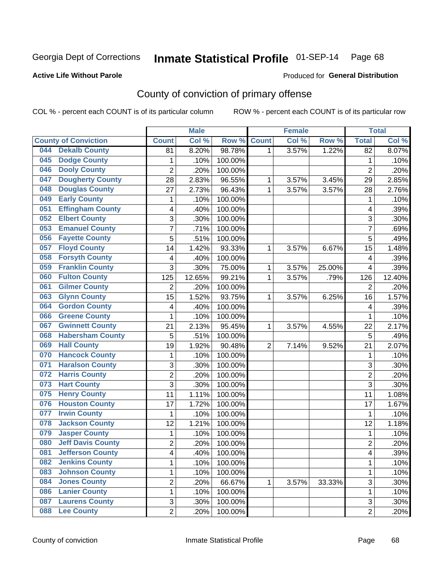### **Active Life Without Parole**

# Produced for **General Distribution**

# County of conviction of primary offense

|     |                             |                | <b>Male</b> |         |                | <b>Female</b> |        |                | <b>Total</b> |
|-----|-----------------------------|----------------|-------------|---------|----------------|---------------|--------|----------------|--------------|
|     | <b>County of Conviction</b> | <b>Count</b>   | Col %       | Row %   | <b>Count</b>   | Col %         | Row %  | <b>Total</b>   | Col %        |
| 044 | <b>Dekalb County</b>        | 81             | 8.20%       | 98.78%  | 1              | 3.57%         | 1.22%  | 82             | 8.07%        |
| 045 | <b>Dodge County</b>         | 1              | .10%        | 100.00% |                |               |        | 1              | .10%         |
| 046 | <b>Dooly County</b>         | $\overline{2}$ | .20%        | 100.00% |                |               |        | $\overline{2}$ | .20%         |
| 047 | <b>Dougherty County</b>     | 28             | 2.83%       | 96.55%  | 1              | 3.57%         | 3.45%  | 29             | 2.85%        |
| 048 | <b>Douglas County</b>       | 27             | 2.73%       | 96.43%  | 1              | 3.57%         | 3.57%  | 28             | 2.76%        |
| 049 | <b>Early County</b>         | 1              | .10%        | 100.00% |                |               |        | 1              | .10%         |
| 051 | <b>Effingham County</b>     | 4              | .40%        | 100.00% |                |               |        | 4              | .39%         |
| 052 | <b>Elbert County</b>        | 3              | .30%        | 100.00% |                |               |        | 3              | .30%         |
| 053 | <b>Emanuel County</b>       | $\overline{7}$ | .71%        | 100.00% |                |               |        | $\overline{7}$ | .69%         |
| 056 | <b>Fayette County</b>       | $\overline{5}$ | .51%        | 100.00% |                |               |        | 5              | .49%         |
| 057 | <b>Floyd County</b>         | 14             | 1.42%       | 93.33%  | 1              | 3.57%         | 6.67%  | 15             | 1.48%        |
| 058 | <b>Forsyth County</b>       | 4              | .40%        | 100.00% |                |               |        | 4              | .39%         |
| 059 | <b>Franklin County</b>      | 3              | .30%        | 75.00%  | 1              | 3.57%         | 25.00% | 4              | .39%         |
| 060 | <b>Fulton County</b>        | 125            | 12.65%      | 99.21%  | 1              | 3.57%         | .79%   | 126            | 12.40%       |
| 061 | <b>Gilmer County</b>        | $\overline{2}$ | .20%        | 100.00% |                |               |        | $\overline{2}$ | .20%         |
| 063 | <b>Glynn County</b>         | 15             | 1.52%       | 93.75%  | 1              | 3.57%         | 6.25%  | 16             | 1.57%        |
| 064 | <b>Gordon County</b>        | 4              | .40%        | 100.00% |                |               |        | 4              | .39%         |
| 066 | <b>Greene County</b>        | 1              | .10%        | 100.00% |                |               |        | 1              | .10%         |
| 067 | <b>Gwinnett County</b>      | 21             | 2.13%       | 95.45%  | 1              | 3.57%         | 4.55%  | 22             | 2.17%        |
| 068 | <b>Habersham County</b>     | 5              | .51%        | 100.00% |                |               |        | 5              | .49%         |
| 069 | <b>Hall County</b>          | 19             | 1.92%       | 90.48%  | $\overline{2}$ | 7.14%         | 9.52%  | 21             | 2.07%        |
| 070 | <b>Hancock County</b>       | 1              | .10%        | 100.00% |                |               |        | 1              | .10%         |
| 071 | <b>Haralson County</b>      | 3              | .30%        | 100.00% |                |               |        | 3              | .30%         |
| 072 | <b>Harris County</b>        | $\overline{2}$ | .20%        | 100.00% |                |               |        | $\overline{2}$ | .20%         |
| 073 | <b>Hart County</b>          | 3              | .30%        | 100.00% |                |               |        | 3              | .30%         |
| 075 | <b>Henry County</b>         | 11             | 1.11%       | 100.00% |                |               |        | 11             | 1.08%        |
| 076 | <b>Houston County</b>       | 17             | 1.72%       | 100.00% |                |               |        | 17             | 1.67%        |
| 077 | <b>Irwin County</b>         | 1              | .10%        | 100.00% |                |               |        | 1              | .10%         |
| 078 | <b>Jackson County</b>       | 12             | 1.21%       | 100.00% |                |               |        | 12             | 1.18%        |
| 079 | <b>Jasper County</b>        | 1              | .10%        | 100.00% |                |               |        | 1              | .10%         |
| 080 | <b>Jeff Davis County</b>    | $\overline{2}$ | .20%        | 100.00% |                |               |        | $\overline{2}$ | .20%         |
| 081 | <b>Jefferson County</b>     | 4              | .40%        | 100.00% |                |               |        | 4              | .39%         |
| 082 | <b>Jenkins County</b>       | 1              | .10%        | 100.00% |                |               |        | $\mathbf{1}$   | .10%         |
| 083 | <b>Johnson County</b>       | 1              | .10%        | 100.00% |                |               |        | 1              | .10%         |
| 084 | <b>Jones County</b>         | 2              | .20%        | 66.67%  | 1              | 3.57%         | 33.33% | 3              | .30%         |
| 086 | <b>Lanier County</b>        | 1              | .10%        | 100.00% |                |               |        | 1              | .10%         |
| 087 | <b>Laurens County</b>       | 3              | .30%        | 100.00% |                |               |        | 3              | .30%         |
| 088 | <b>Lee County</b>           | $\overline{2}$ | .20%        | 100.00% |                |               |        | $\overline{2}$ | .20%         |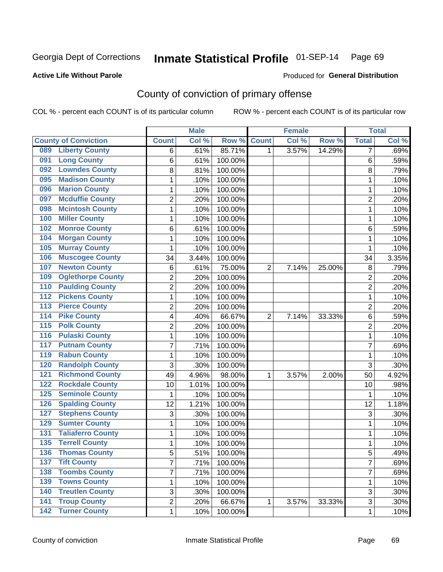## **Active Life Without Parole**

### Produced for **General Distribution**

# County of conviction of primary offense

|                  |                             |                | <b>Male</b> |         |                | <b>Female</b> |        |                | <b>Total</b> |
|------------------|-----------------------------|----------------|-------------|---------|----------------|---------------|--------|----------------|--------------|
|                  | <b>County of Conviction</b> | <b>Count</b>   | Col %       | Row %   | <b>Count</b>   | Col %         | Row %  | <b>Total</b>   | Col %        |
| 089              | <b>Liberty County</b>       | 6              | .61%        | 85.71%  | 1              | 3.57%         | 14.29% | 7              | .69%         |
| 091              | <b>Long County</b>          | 6              | .61%        | 100.00% |                |               |        | 6              | .59%         |
| 092              | <b>Lowndes County</b>       | 8              | .81%        | 100.00% |                |               |        | 8              | .79%         |
| 095              | <b>Madison County</b>       | 1              | .10%        | 100.00% |                |               |        | 1              | .10%         |
| 096              | <b>Marion County</b>        | 1              | .10%        | 100.00% |                |               |        | 1              | .10%         |
| 097              | <b>Mcduffie County</b>      | $\overline{2}$ | .20%        | 100.00% |                |               |        | $\overline{2}$ | .20%         |
| 098              | <b>Mcintosh County</b>      | $\mathbf 1$    | .10%        | 100.00% |                |               |        | 1              | .10%         |
| 100              | <b>Miller County</b>        | $\mathbf{1}$   | .10%        | 100.00% |                |               |        | 1              | .10%         |
| 102              | <b>Monroe County</b>        | 6              | .61%        | 100.00% |                |               |        | 6              | .59%         |
| 104              | <b>Morgan County</b>        | $\mathbf{1}$   | .10%        | 100.00% |                |               |        | $\mathbf{1}$   | .10%         |
| 105              | <b>Murray County</b>        | $\mathbf 1$    | .10%        | 100.00% |                |               |        | 1              | .10%         |
| 106              | <b>Muscogee County</b>      | 34             | 3.44%       | 100.00% |                |               |        | 34             | 3.35%        |
| 107              | <b>Newton County</b>        | 6              | .61%        | 75.00%  | $\overline{2}$ | 7.14%         | 25.00% | 8              | .79%         |
| 109              | <b>Oglethorpe County</b>    | $\overline{2}$ | .20%        | 100.00% |                |               |        | $\overline{2}$ | .20%         |
| 110              | <b>Paulding County</b>      | $\overline{c}$ | .20%        | 100.00% |                |               |        | $\overline{2}$ | .20%         |
| $\overline{112}$ | <b>Pickens County</b>       | $\mathbf{1}$   | .10%        | 100.00% |                |               |        | $\mathbf{1}$   | .10%         |
| $\overline{113}$ | <b>Pierce County</b>        | 2              | .20%        | 100.00% |                |               |        | $\overline{2}$ | .20%         |
| $\overline{114}$ | <b>Pike County</b>          | 4              | .40%        | 66.67%  | $\overline{2}$ | 7.14%         | 33.33% | 6              | .59%         |
| $\overline{115}$ | <b>Polk County</b>          | $\overline{c}$ | .20%        | 100.00% |                |               |        | $\overline{2}$ | .20%         |
| 116              | <b>Pulaski County</b>       | 1              | .10%        | 100.00% |                |               |        | 1              | .10%         |
| 117              | <b>Putnam County</b>        | 7              | .71%        | 100.00% |                |               |        | $\overline{7}$ | .69%         |
| 119              | <b>Rabun County</b>         | $\mathbf{1}$   | .10%        | 100.00% |                |               |        | 1              | .10%         |
| 120              | <b>Randolph County</b>      | 3              | .30%        | 100.00% |                |               |        | 3              | .30%         |
| 121              | <b>Richmond County</b>      | 49             | 4.96%       | 98.00%  | 1              | 3.57%         | 2.00%  | 50             | 4.92%        |
| 122              | <b>Rockdale County</b>      | 10             | 1.01%       | 100.00% |                |               |        | 10             | .98%         |
| 125              | <b>Seminole County</b>      | $\mathbf{1}$   | .10%        | 100.00% |                |               |        | 1              | .10%         |
| 126              | <b>Spalding County</b>      | 12             | 1.21%       | 100.00% |                |               |        | 12             | 1.18%        |
| 127              | <b>Stephens County</b>      | 3              | .30%        | 100.00% |                |               |        | 3              | .30%         |
| 129              | <b>Sumter County</b>        | $\mathbf{1}$   | .10%        | 100.00% |                |               |        | $\mathbf{1}$   | .10%         |
| 131              | <b>Taliaferro County</b>    | 1              | .10%        | 100.00% |                |               |        | 1              | .10%         |
| 135              | <b>Terrell County</b>       | $\mathbf{1}$   | .10%        | 100.00% |                |               |        | 1              | .10%         |
| 136              | <b>Thomas County</b>        | 5              | .51%        | 100.00% |                |               |        | 5              | .49%         |
| 137              | <b>Tift County</b>          | $\overline{7}$ | .71%        | 100.00% |                |               |        | $\overline{7}$ | .69%         |
| 138              | <b>Toombs County</b>        | $\overline{7}$ | .71%        | 100.00% |                |               |        | $\overline{7}$ | .69%         |
| 139              | <b>Towns County</b>         | 1              | .10%        | 100.00% |                |               |        | 1              | .10%         |
| 140              | <b>Treutlen County</b>      | 3              | .30%        | 100.00% |                |               |        | 3              | .30%         |
| $\overline{141}$ | <b>Troup County</b>         | 2              | .20%        | 66.67%  | $\mathbf{1}$   | 3.57%         | 33.33% | 3              | .30%         |
|                  | 142 Turner County           | 1              | .10%        | 100.00% |                |               |        | 1              | .10%         |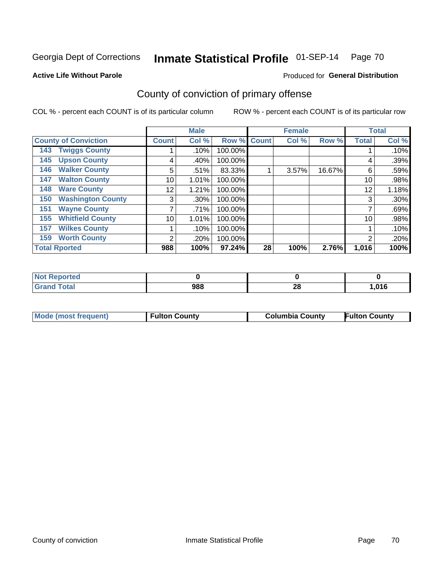### **Active Life Without Parole**

# Produced for **General Distribution**

# County of conviction of primary offense

|                                 |              | <b>Male</b> |         |             | <b>Female</b> |        |              | <b>Total</b> |
|---------------------------------|--------------|-------------|---------|-------------|---------------|--------|--------------|--------------|
| <b>County of Conviction</b>     | <b>Count</b> | Col %       |         | Row % Count | Col %         | Row %  | <b>Total</b> | Col %        |
| <b>Twiggs County</b><br>143     |              | .10%        | 100.00% |             |               |        |              | .10%         |
| <b>Upson County</b><br>145      | 4            | .40%        | 100.00% |             |               |        | 4            | .39%         |
| <b>Walker County</b><br>146     | 5            | .51%        | 83.33%  |             | 3.57%         | 16.67% | 6            | .59%         |
| <b>Walton County</b><br>147     | 10           | 1.01%       | 100.00% |             |               |        | 10           | .98%         |
| <b>Ware County</b><br>148       | 12           | 1.21%       | 100.00% |             |               |        | 12           | 1.18%        |
| <b>Washington County</b><br>150 | 3            | .30%        | 100.00% |             |               |        | 3            | .30%         |
| <b>Wayne County</b><br>151      |              | .71%        | 100.00% |             |               |        |              | .69%         |
| <b>Whitfield County</b><br>155  | 10           | 1.01%       | 100.00% |             |               |        | 10           | .98%         |
| <b>Wilkes County</b><br>157     |              | .10%        | 100.00% |             |               |        |              | .10%         |
| <b>Worth County</b><br>159      | 2            | .20%        | 100.00% |             |               |        | 2            | .20%         |
| <b>Total Rported</b>            | 988          | 100%        | 97.24%  | 28          | 100%          | 2.76%  | 1,016        | 100%         |

| rted<br><b>NOT</b> |     |    |      |
|--------------------|-----|----|------|
| `otal              | 988 | 40 | ,016 |

| <b>Mode (most frequent)</b><br><b>Fulton County</b> | <b>Columbia County</b> | <b>Fulton County</b> |
|-----------------------------------------------------|------------------------|----------------------|
|-----------------------------------------------------|------------------------|----------------------|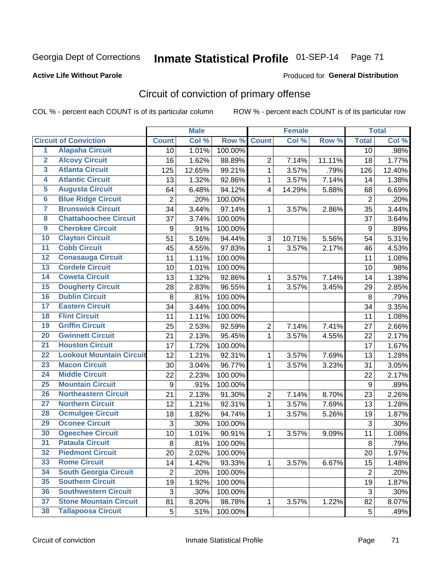### **Active Life Without Parole**

### Produced for **General Distribution**

# Circuit of conviction of primary offense

|                         |                                 |                | <b>Male</b> |         |                | <b>Female</b> |        |                  | <b>Total</b> |
|-------------------------|---------------------------------|----------------|-------------|---------|----------------|---------------|--------|------------------|--------------|
|                         | <b>Circuit of Conviction</b>    | <b>Count</b>   | Col %       | Row %   | <b>Count</b>   | Col %         | Row %  | <b>Total</b>     | Col %        |
| 1                       | <b>Alapaha Circuit</b>          | 10             | 1.01%       | 100.00% |                |               |        | 10               | .98%         |
| $\overline{2}$          | <b>Alcovy Circuit</b>           | 16             | 1.62%       | 88.89%  | $\overline{2}$ | 7.14%         | 11.11% | 18               | 1.77%        |
| $\overline{\mathbf{3}}$ | <b>Atlanta Circuit</b>          | 125            | 12.65%      | 99.21%  | $\mathbf{1}$   | 3.57%         | .79%   | 126              | 12.40%       |
| 4                       | <b>Atlantic Circuit</b>         | 13             | 1.32%       | 92.86%  | $\mathbf 1$    | 3.57%         | 7.14%  | 14               | 1.38%        |
| 5                       | <b>Augusta Circuit</b>          | 64             | 6.48%       | 94.12%  | $\overline{4}$ | 14.29%        | 5.88%  | 68               | 6.69%        |
| $\overline{\mathbf{6}}$ | <b>Blue Ridge Circuit</b>       | $\overline{2}$ | .20%        | 100.00% |                |               |        | $\overline{2}$   | .20%         |
| $\overline{\mathbf{7}}$ | <b>Brunswick Circuit</b>        | 34             | 3.44%       | 97.14%  | 1              | 3.57%         | 2.86%  | 35               | 3.44%        |
| $\overline{\mathbf{8}}$ | <b>Chattahoochee Circuit</b>    | 37             | 3.74%       | 100.00% |                |               |        | 37               | 3.64%        |
| $\overline{9}$          | <b>Cherokee Circuit</b>         | 9              | .91%        | 100.00% |                |               |        | 9                | .89%         |
| 10                      | <b>Clayton Circuit</b>          | 51             | 5.16%       | 94.44%  | 3              | 10.71%        | 5.56%  | 54               | 5.31%        |
| $\overline{11}$         | <b>Cobb Circuit</b>             | 45             | 4.55%       | 97.83%  | $\mathbf 1$    | 3.57%         | 2.17%  | 46               | 4.53%        |
| $\overline{12}$         | <b>Conasauga Circuit</b>        | 11             | 1.11%       | 100.00% |                |               |        | 11               | 1.08%        |
| 13                      | <b>Cordele Circuit</b>          | 10             | 1.01%       | 100.00% |                |               |        | 10               | .98%         |
| 14                      | <b>Coweta Circuit</b>           | 13             | 1.32%       | 92.86%  | $\mathbf{1}$   | 3.57%         | 7.14%  | 14               | 1.38%        |
| 15                      | <b>Dougherty Circuit</b>        | 28             | 2.83%       | 96.55%  | $\mathbf 1$    | 3.57%         | 3.45%  | 29               | 2.85%        |
| 16                      | <b>Dublin Circuit</b>           | 8              | .81%        | 100.00% |                |               |        | 8                | .79%         |
| 17                      | <b>Eastern Circuit</b>          | 34             | 3.44%       | 100.00% |                |               |        | 34               | 3.35%        |
| 18                      | <b>Flint Circuit</b>            | 11             | 1.11%       | 100.00% |                |               |        | 11               | 1.08%        |
| 19                      | <b>Griffin Circuit</b>          | 25             | 2.53%       | 92.59%  | $\overline{2}$ | 7.14%         | 7.41%  | 27               | 2.66%        |
| 20                      | <b>Gwinnett Circuit</b>         | 21             | 2.13%       | 95.45%  | 1              | 3.57%         | 4.55%  | 22               | 2.17%        |
| $\overline{21}$         | <b>Houston Circuit</b>          | 17             | 1.72%       | 100.00% |                |               |        | 17               | 1.67%        |
| $\overline{22}$         | <b>Lookout Mountain Circuit</b> | 12             | 1.21%       | 92.31%  | 1              | 3.57%         | 7.69%  | 13               | 1.28%        |
| 23                      | <b>Macon Circuit</b>            | 30             | 3.04%       | 96.77%  | $\mathbf 1$    | 3.57%         | 3.23%  | 31               | 3.05%        |
| $\overline{24}$         | <b>Middle Circuit</b>           | 22             | 2.23%       | 100.00% |                |               |        | 22               | 2.17%        |
| 25                      | <b>Mountain Circuit</b>         | 9              | .91%        | 100.00% |                |               |        | $\boldsymbol{9}$ | .89%         |
| 26                      | <b>Northeastern Circuit</b>     | 21             | 2.13%       | 91.30%  | $\overline{2}$ | 7.14%         | 8.70%  | 23               | 2.26%        |
| $\overline{27}$         | <b>Northern Circuit</b>         | 12             | 1.21%       | 92.31%  | $\mathbf{1}$   | 3.57%         | 7.69%  | 13               | 1.28%        |
| 28                      | <b>Ocmulgee Circuit</b>         | 18             | 1.82%       | 94.74%  | 1              | 3.57%         | 5.26%  | 19               | 1.87%        |
| 29                      | <b>Oconee Circuit</b>           | 3              | .30%        | 100.00% |                |               |        | 3                | .30%         |
| 30                      | <b>Ogeechee Circuit</b>         | 10             | 1.01%       | 90.91%  | 1              | 3.57%         | 9.09%  | 11               | 1.08%        |
| $\overline{31}$         | <b>Pataula Circuit</b>          | 8              | .81%        | 100.00% |                |               |        | 8                | .79%         |
| 32                      | <b>Piedmont Circuit</b>         | 20             | 2.02%       | 100.00% |                |               |        | 20               | 1.97%        |
| 33                      | <b>Rome Circuit</b>             | 14             | 1.42%       | 93.33%  | $\mathbf{1}$   | 3.57%         | 6.67%  | 15               | 1.48%        |
| 34                      | <b>South Georgia Circuit</b>    | $\overline{2}$ | .20%        | 100.00% |                |               |        | $\overline{2}$   | .20%         |
| 35                      | <b>Southern Circuit</b>         | 19             | 1.92%       | 100.00% |                |               |        | 19               | 1.87%        |
| 36                      | <b>Southwestern Circuit</b>     | 3              | .30%        | 100.00% |                |               |        | 3                | .30%         |
| 37                      | <b>Stone Mountain Circuit</b>   | 81             | 8.20%       | 98.78%  | 1              | 3.57%         | 1.22%  | 82               | 8.07%        |
| 38                      | <b>Tallapoosa Circuit</b>       | 5              | .51%        | 100.00% |                |               |        | 5                | .49%         |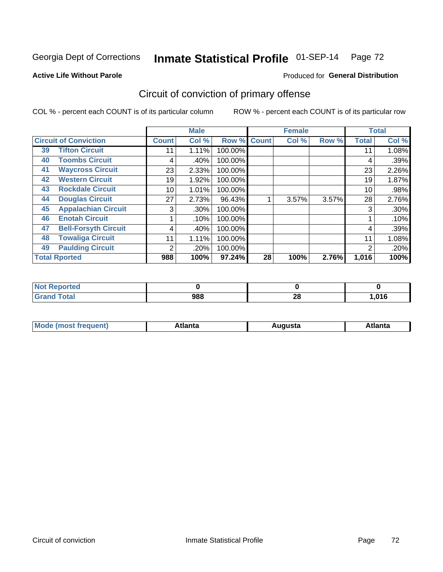### **Active Life Without Parole**

### Produced for **General Distribution**

# Circuit of conviction of primary offense

|    |                              |                | <b>Male</b> |         |              | <b>Female</b> |       |              | <b>Total</b> |
|----|------------------------------|----------------|-------------|---------|--------------|---------------|-------|--------------|--------------|
|    | <b>Circuit of Conviction</b> | <b>Count</b>   | Col %       | Row %   | <b>Count</b> | Col %         | Row % | <b>Total</b> | Col %        |
| 39 | <b>Tifton Circuit</b>        | 11             | 1.11%       | 100.00% |              |               |       | 11           | 1.08%        |
| 40 | <b>Toombs Circuit</b>        | 4              | .40%        | 100.00% |              |               |       | 4            | .39%         |
| 41 | <b>Waycross Circuit</b>      | 23             | 2.33%       | 100.00% |              |               |       | 23           | 2.26%        |
| 42 | <b>Western Circuit</b>       | 19             | 1.92%       | 100.00% |              |               |       | 19           | 1.87%        |
| 43 | <b>Rockdale Circuit</b>      | 10             | 1.01%       | 100.00% |              |               |       | 10           | .98%         |
| 44 | <b>Douglas Circuit</b>       | 27             | 2.73%       | 96.43%  |              | 3.57%         | 3.57% | 28           | 2.76%        |
| 45 | <b>Appalachian Circuit</b>   | 3              | $.30\%$     | 100.00% |              |               |       | 3            | $.30\%$      |
| 46 | <b>Enotah Circuit</b>        |                | .10%        | 100.00% |              |               |       |              | .10%         |
| 47 | <b>Bell-Forsyth Circuit</b>  | 4              | .40%        | 100.00% |              |               |       | 4            | .39%         |
| 48 | <b>Towaliga Circuit</b>      | 11             | 1.11%       | 100.00% |              |               |       | 11           | 1.08%        |
| 49 | <b>Paulding Circuit</b>      | $\overline{2}$ | .20%        | 100.00% |              |               |       | 2            | .20%         |
|    | <b>Total Rported</b>         | 988            | 100%        | 97.24%  | 28           | 100%          | 2.76% | 1,016        | 100%         |

| ported<br>- IN 4 |     |          |        |
|------------------|-----|----------|--------|
| <b>Total</b>     | 988 | ററ<br>zo | 016, ا |

| М<br>. In n tr<br>.<br>.<br>wanta<br>ााद्व<br>31.<br>$\sim$ $\sim$ $\sim$ |
|---------------------------------------------------------------------------|
|---------------------------------------------------------------------------|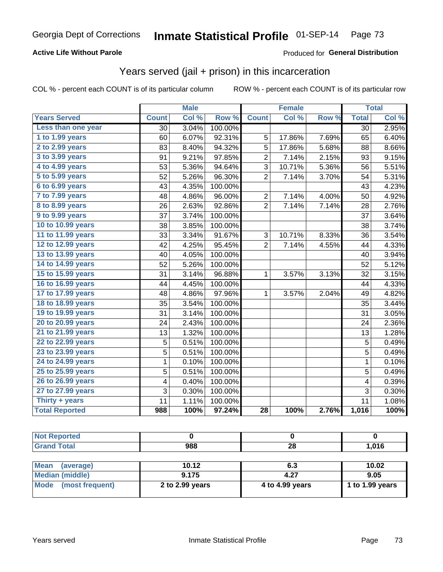### **Active Life Without Parole**

#### Produced for **General Distribution**

## Years served (jail + prison) in this incarceration

|                       |                         | <b>Male</b> |         |                | <b>Female</b> |       |                         | <b>Total</b> |
|-----------------------|-------------------------|-------------|---------|----------------|---------------|-------|-------------------------|--------------|
| <b>Years Served</b>   | <b>Count</b>            | Col %       | Row %   | <b>Count</b>   | Col %         | Row % | <b>Total</b>            | Col %        |
| Less than one year    | 30                      | 3.04%       | 100.00% |                |               |       | 30                      | 2.95%        |
| 1 to 1.99 years       | 60                      | 6.07%       | 92.31%  | 5              | 17.86%        | 7.69% | 65                      | 6.40%        |
| 2 to 2.99 years       | 83                      | 8.40%       | 94.32%  | 5              | 17.86%        | 5.68% | 88                      | 8.66%        |
| 3 to 3.99 years       | 91                      | 9.21%       | 97.85%  | $\overline{2}$ | 7.14%         | 2.15% | 93                      | 9.15%        |
| 4 to 4.99 years       | 53                      | 5.36%       | 94.64%  | 3              | 10.71%        | 5.36% | 56                      | 5.51%        |
| 5 to 5.99 years       | 52                      | 5.26%       | 96.30%  | $\overline{2}$ | 7.14%         | 3.70% | 54                      | 5.31%        |
| 6 to 6.99 years       | 43                      | 4.35%       | 100.00% |                |               |       | 43                      | 4.23%        |
| 7 to 7.99 years       | 48                      | 4.86%       | 96.00%  | $\overline{c}$ | 7.14%         | 4.00% | 50                      | 4.92%        |
| 8 to 8.99 years       | 26                      | 2.63%       | 92.86%  | $\overline{2}$ | 7.14%         | 7.14% | 28                      | 2.76%        |
| 9 to 9.99 years       | 37                      | 3.74%       | 100.00% |                |               |       | 37                      | 3.64%        |
| 10 to 10.99 years     | 38                      | 3.85%       | 100.00% |                |               |       | 38                      | 3.74%        |
| 11 to 11.99 years     | 33                      | 3.34%       | 91.67%  | 3              | 10.71%        | 8.33% | 36                      | 3.54%        |
| 12 to 12.99 years     | 42                      | 4.25%       | 95.45%  | $\overline{2}$ | 7.14%         | 4.55% | 44                      | 4.33%        |
| 13 to 13.99 years     | 40                      | 4.05%       | 100.00% |                |               |       | 40                      | 3.94%        |
| 14 to 14.99 years     | 52                      | 5.26%       | 100.00% |                |               |       | 52                      | 5.12%        |
| 15 to 15.99 years     | 31                      | 3.14%       | 96.88%  | 1              | 3.57%         | 3.13% | 32                      | 3.15%        |
| 16 to 16.99 years     | 44                      | 4.45%       | 100.00% |                |               |       | 44                      | 4.33%        |
| 17 to 17.99 years     | 48                      | 4.86%       | 97.96%  | $\mathbf{1}$   | 3.57%         | 2.04% | 49                      | 4.82%        |
| 18 to 18.99 years     | 35                      | 3.54%       | 100.00% |                |               |       | 35                      | 3.44%        |
| 19 to 19.99 years     | 31                      | 3.14%       | 100.00% |                |               |       | 31                      | 3.05%        |
| 20 to 20.99 years     | 24                      | 2.43%       | 100.00% |                |               |       | 24                      | 2.36%        |
| 21 to 21.99 years     | 13                      | 1.32%       | 100.00% |                |               |       | 13                      | 1.28%        |
| 22 to 22.99 years     | 5                       | 0.51%       | 100.00% |                |               |       | 5                       | 0.49%        |
| 23 to 23.99 years     | 5                       | 0.51%       | 100.00% |                |               |       | 5                       | 0.49%        |
| 24 to 24.99 years     | $\mathbf{1}$            | 0.10%       | 100.00% |                |               |       | $\mathbf{1}$            | 0.10%        |
| 25 to 25.99 years     | 5                       | 0.51%       | 100.00% |                |               |       | 5                       | 0.49%        |
| 26 to 26.99 years     | $\overline{\mathbf{4}}$ | 0.40%       | 100.00% |                |               |       | $\overline{\mathbf{4}}$ | 0.39%        |
| 27 to 27.99 years     | 3                       | 0.30%       | 100.00% |                |               |       | 3                       | 0.30%        |
| Thirty + years        | 11                      | 1.11%       | 100.00% |                |               |       | 11                      | 1.08%        |
| <b>Total Reported</b> | 988                     | 100%        | 97.24%  | 28             | 100%          | 2.76% | 1,016                   | 100%         |

| <b>Not Reported</b>     |                 |                 |                 |
|-------------------------|-----------------|-----------------|-----------------|
| <b>Grand Total</b>      | 988             | 28              | 1,016           |
|                         |                 |                 |                 |
| Mean<br>(average)       | 10.12           | 6.3             | 10.02           |
| Median (middle)         | 9.175           | 4.27            | 9.05            |
| Mode<br>(most frequent) | 2 to 2.99 years | 4 to 4.99 years | 1 to 1.99 years |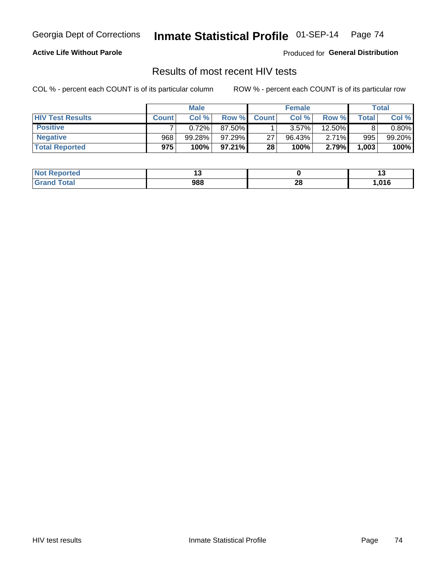#### **Active Life Without Parole**

Produced for **General Distribution**

## Results of most recent HIV tests

|                         | <b>Male</b>  |        |           | <b>Female</b> |        |          | Total |          |
|-------------------------|--------------|--------|-----------|---------------|--------|----------|-------|----------|
| <b>HIV Test Results</b> | <b>Count</b> | Col%   | Row %     | <b>Count</b>  | Col %  | Row %    | Total | Col %    |
| <b>Positive</b>         |              | 0.72%  | 87.50%    |               | 3.57%  | 12.50%   |       | $0.80\%$ |
| <b>Negative</b>         | 968          | 99.28% | 97.29%    | 27            | 96.43% | $2.71\%$ | 995   | 99.20%   |
| <b>Total Reported</b>   | 975          | 100%   | $97.21\%$ | 28            | 100%   | 2.79%    | 1,003 | 100%     |

| <b>Not Reported</b>  |     |         |        |
|----------------------|-----|---------|--------|
| Total<br><b>Grar</b> | 988 | റ<br>zo | 016, ا |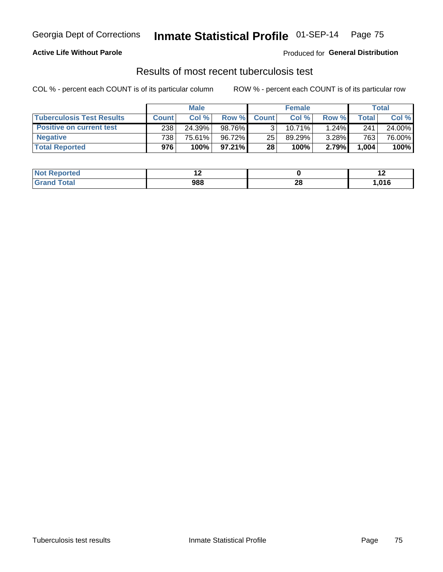### **Active Life Without Parole**

Produced for **General Distribution**

### Results of most recent tuberculosis test

|                                  |              | <b>Male</b> |        |                 | <b>Female</b> |          |       | Total  |
|----------------------------------|--------------|-------------|--------|-----------------|---------------|----------|-------|--------|
| <b>Tuberculosis Test Results</b> | <b>Count</b> | Col%        | Row %I | <b>Count</b>    | Col%          | Row %    | Total | Col %  |
| <b>Positive on current test</b>  | 238          | 24.39%      | 98.76% |                 | 10.71%        | $1.24\%$ | 241   | 24.00% |
| <b>Negative</b>                  | 738          | 75.61%      | 96.72% | 25              | 89.29%        | $3.28\%$ | 763   | 76.00% |
| <b>Total Reported</b>            | 976          | 100%        | 97.21% | 28 <sub>1</sub> | 100%          | 2.79%    | 1,004 | 100%   |

| <b>Not Reported</b> |     |          | . .  |
|---------------------|-----|----------|------|
| Total               | 988 | ኅር<br>ZO | ,016 |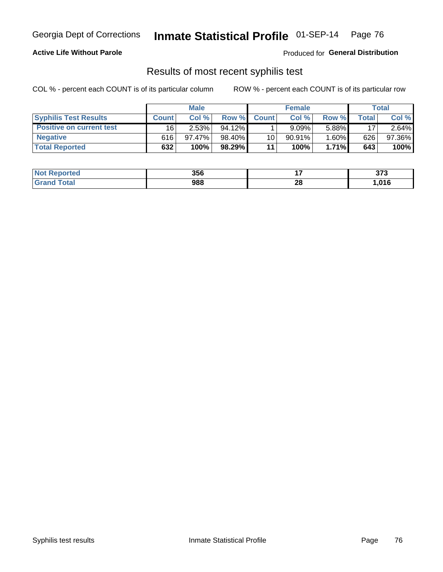### **Active Life Without Parole**

Produced for **General Distribution**

## Results of most recent syphilis test

|                                 | <b>Male</b>  |           |           | <b>Female</b> |           |          | Total |        |
|---------------------------------|--------------|-----------|-----------|---------------|-----------|----------|-------|--------|
| <b>Syphilis Test Results</b>    | <b>Count</b> | Col %     | Row %     | <b>Count</b>  | Col %     | Row %I   | Total | Col %  |
| <b>Positive on current test</b> | 16           | 2.53%     | $94.12\%$ |               | 9.09%     | 5.88%    | 17    | 2.64%  |
| <b>Negative</b>                 | 616          | $97.47\%$ | 98.40%    | 10            | $90.91\%$ | $1.60\%$ | 626   | 97.36% |
| <b>Total Reported</b>           | 632          | 100%      | 98.29%    | 11            | 100%      | $1.71\%$ | 643   | 100%   |

| <b>Not Reported</b> | 356 |    | ヘフヘ<br>JI J |
|---------------------|-----|----|-------------|
| <b>Grand Total</b>  | 988 | 28 | ,016        |